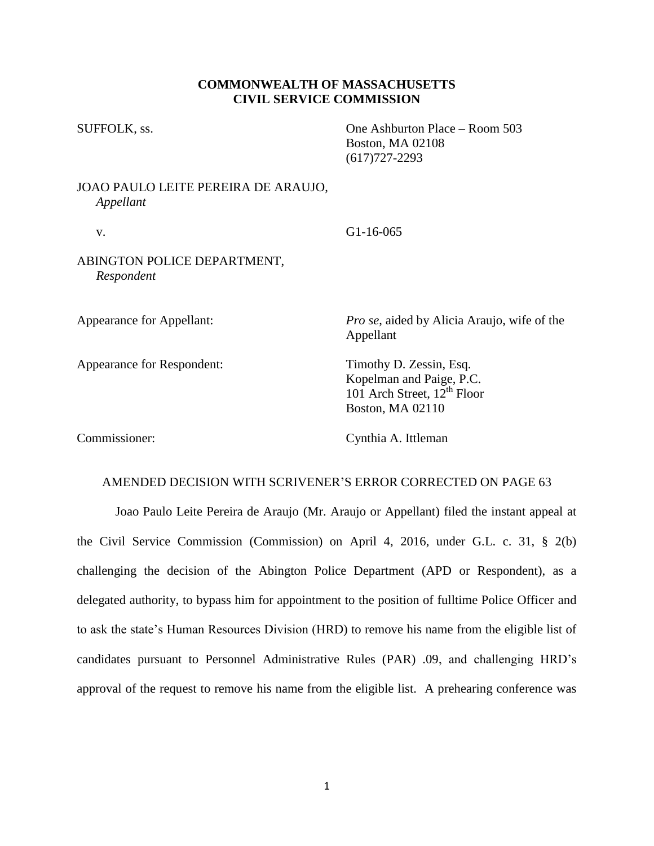## **COMMONWEALTH OF MASSACHUSETTS CIVIL SERVICE COMMISSION**

SUFFOLK, ss. One Ashburton Place – Room 503 Boston, MA 02108 (617)727-2293

# JOAO PAULO LEITE PEREIRA DE ARAUJO, *Appellant*

## v. G1-16-065

## ABINGTON POLICE DEPARTMENT, *Respondent*

Appearance for Respondent: Timothy D. Zessin, Esq.

Appearance for Appellant: *Pro se*, aided by Alicia Araujo, wife of the Appellant

> Kopelman and Paige, P.C. 101 Arch Street,  $12<sup>th</sup>$  Floor Boston, MA 02110

Commissioner: Cynthia A. Ittleman

## AMENDED DECISION WITH SCRIVENER'S ERROR CORRECTED ON PAGE 63

Joao Paulo Leite Pereira de Araujo (Mr. Araujo or Appellant) filed the instant appeal at the Civil Service Commission (Commission) on April 4, 2016, under G.L. c. 31, § 2(b) challenging the decision of the Abington Police Department (APD or Respondent), as a delegated authority, to bypass him for appointment to the position of fulltime Police Officer and to ask the state's Human Resources Division (HRD) to remove his name from the eligible list of candidates pursuant to Personnel Administrative Rules (PAR) .09, and challenging HRD's approval of the request to remove his name from the eligible list. A prehearing conference was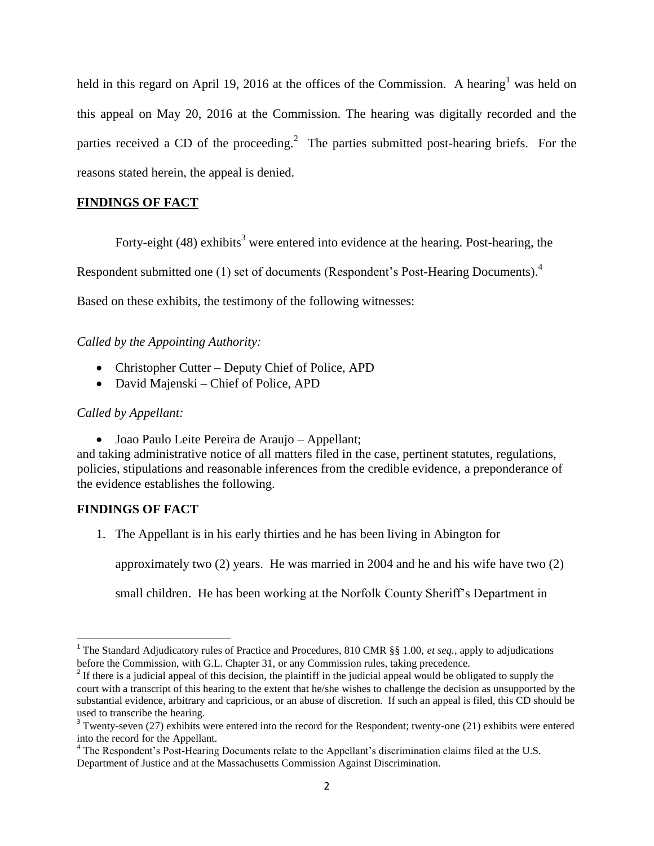held in this regard on April 19, 2016 at the offices of the Commission. A hearing<sup>1</sup> was held on this appeal on May 20, 2016 at the Commission. The hearing was digitally recorded and the parties received a CD of the proceeding.<sup>2</sup> The parties submitted post-hearing briefs. For the reasons stated herein, the appeal is denied.

## **FINDINGS OF FACT**

Forty-eight  $(48)$  exhibits<sup>3</sup> were entered into evidence at the hearing. Post-hearing, the

Respondent submitted one (1) set of documents (Respondent's Post-Hearing Documents).<sup>4</sup>

Based on these exhibits, the testimony of the following witnesses:

*Called by the Appointing Authority:*

- Christopher Cutter Deputy Chief of Police, APD
- David Majenski Chief of Police, APD

## *Called by Appellant:*

Joao Paulo Leite Pereira de Araujo – Appellant;

and taking administrative notice of all matters filed in the case, pertinent statutes, regulations, policies, stipulations and reasonable inferences from the credible evidence, a preponderance of the evidence establishes the following.

## **FINDINGS OF FACT**

 $\overline{\phantom{a}}$ 

1. The Appellant is in his early thirties and he has been living in Abington for

approximately two (2) years. He was married in 2004 and he and his wife have two (2)

small children. He has been working at the Norfolk County Sheriff's Department in

<sup>&</sup>lt;sup>1</sup> The Standard Adjudicatory rules of Practice and Procedures, 810 CMR §§ 1.00, *et seq.*, apply to adjudications before the Commission, with G.L. Chapter 31, or any Commission rules, taking precedence.

<sup>&</sup>lt;sup>2</sup> If there is a judicial appeal of this decision, the plaintiff in the judicial appeal would be obligated to supply the court with a transcript of this hearing to the extent that he/she wishes to challenge the decision as unsupported by the substantial evidence, arbitrary and capricious, or an abuse of discretion. If such an appeal is filed, this CD should be used to transcribe the hearing.

 $3$  Twenty-seven (27) exhibits were entered into the record for the Respondent; twenty-one (21) exhibits were entered into the record for the Appellant.

<sup>&</sup>lt;sup>4</sup> The Respondent's Post-Hearing Documents relate to the Appellant's discrimination claims filed at the U.S. Department of Justice and at the Massachusetts Commission Against Discrimination.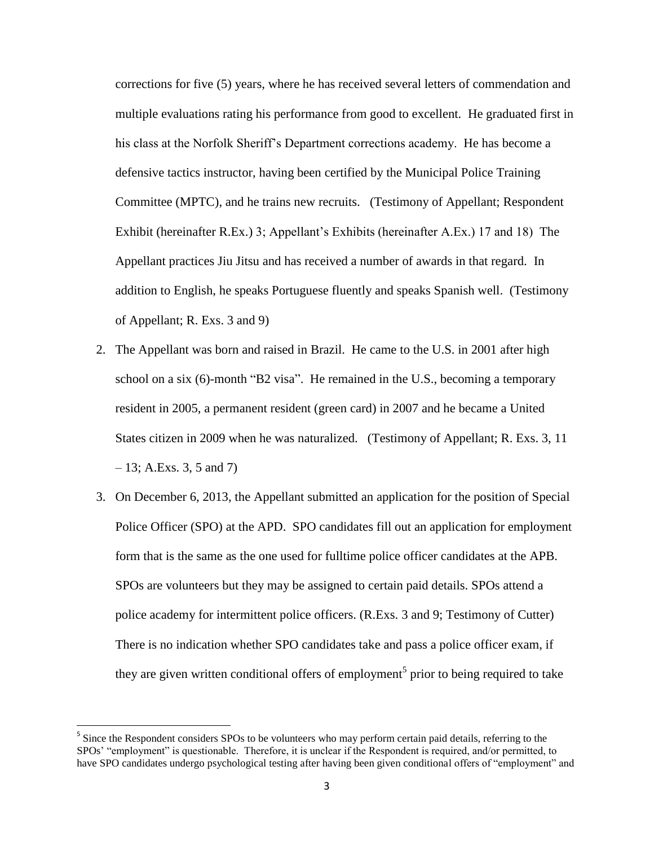corrections for five (5) years, where he has received several letters of commendation and multiple evaluations rating his performance from good to excellent. He graduated first in his class at the Norfolk Sheriff's Department corrections academy. He has become a defensive tactics instructor, having been certified by the Municipal Police Training Committee (MPTC), and he trains new recruits. (Testimony of Appellant; Respondent Exhibit (hereinafter R.Ex.) 3; Appellant's Exhibits (hereinafter A.Ex.) 17 and 18) The Appellant practices Jiu Jitsu and has received a number of awards in that regard. In addition to English, he speaks Portuguese fluently and speaks Spanish well. (Testimony of Appellant; R. Exs. 3 and 9)

- 2. The Appellant was born and raised in Brazil. He came to the U.S. in 2001 after high school on a six (6)-month "B2 visa". He remained in the U.S., becoming a temporary resident in 2005, a permanent resident (green card) in 2007 and he became a United States citizen in 2009 when he was naturalized. (Testimony of Appellant; R. Exs. 3, 11  $-13$ ; A.Exs. 3, 5 and 7)
- 3. On December 6, 2013, the Appellant submitted an application for the position of Special Police Officer (SPO) at the APD. SPO candidates fill out an application for employment form that is the same as the one used for fulltime police officer candidates at the APB. SPOs are volunteers but they may be assigned to certain paid details. SPOs attend a police academy for intermittent police officers. (R.Exs. 3 and 9; Testimony of Cutter) There is no indication whether SPO candidates take and pass a police officer exam, if they are given written conditional offers of employment<sup>5</sup> prior to being required to take

<sup>&</sup>lt;sup>5</sup> Since the Respondent considers SPOs to be volunteers who may perform certain paid details, referring to the SPOs' "employment" is questionable. Therefore, it is unclear if the Respondent is required, and/or permitted, to have SPO candidates undergo psychological testing after having been given conditional offers of "employment" and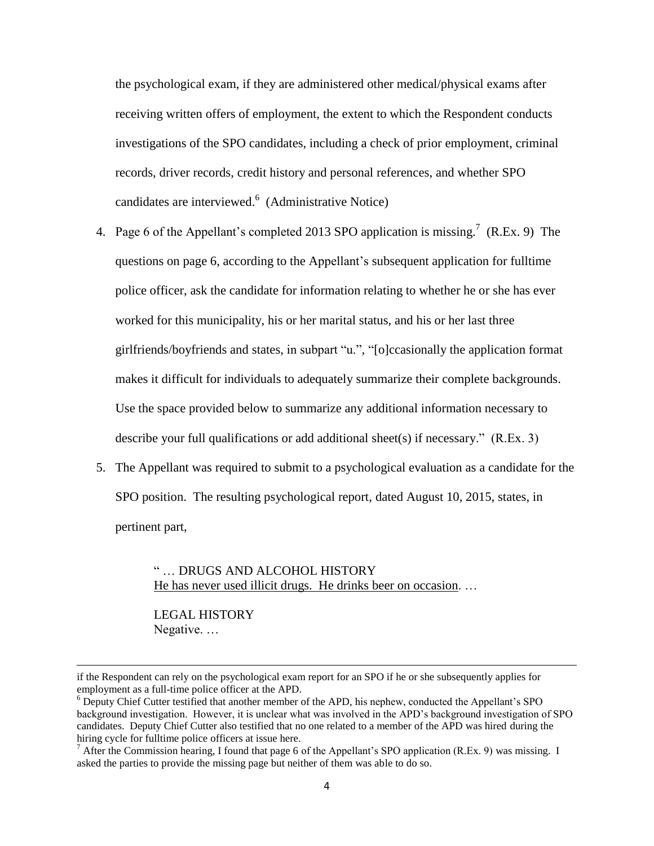the psychological exam, if they are administered other medical/physical exams after receiving written offers of employment, the extent to which the Respondent conducts investigations of the SPO candidates, including a check of prior employment, criminal records, driver records, credit history and personal references, and whether SPO candidates are interviewed. 6 (Administrative Notice)

- 4. Page 6 of the Appellant's completed 2013 SPO application is missing.<sup>7</sup> (R.Ex. 9) The questions on page 6, according to the Appellant's subsequent application for fulltime police officer, ask the candidate for information relating to whether he or she has ever worked for this municipality, his or her marital status, and his or her last three girlfriends/boyfriends and states, in subpart "u.", "[o]ccasionally the application format makes it difficult for individuals to adequately summarize their complete backgrounds. Use the space provided below to summarize any additional information necessary to describe your full qualifications or add additional sheet(s) if necessary." (R.Ex. 3)
- 5. The Appellant was required to submit to a psychological evaluation as a candidate for the SPO position. The resulting psychological report, dated August 10, 2015, states, in pertinent part,

" … DRUGS AND ALCOHOL HISTORY He has never used illicit drugs. He drinks beer on occasion. …

LEGAL HISTORY Negative. …

 $\overline{a}$ 

if the Respondent can rely on the psychological exam report for an SPO if he or she subsequently applies for employment as a full-time police officer at the APD.

<sup>6</sup> Deputy Chief Cutter testified that another member of the APD, his nephew, conducted the Appellant's SPO background investigation. However, it is unclear what was involved in the APD's background investigation of SPO candidates. Deputy Chief Cutter also testified that no one related to a member of the APD was hired during the hiring cycle for fulltime police officers at issue here.

<sup>&</sup>lt;sup>7</sup> After the Commission hearing, I found that page 6 of the Appellant's SPO application (R.Ex. 9) was missing. I asked the parties to provide the missing page but neither of them was able to do so.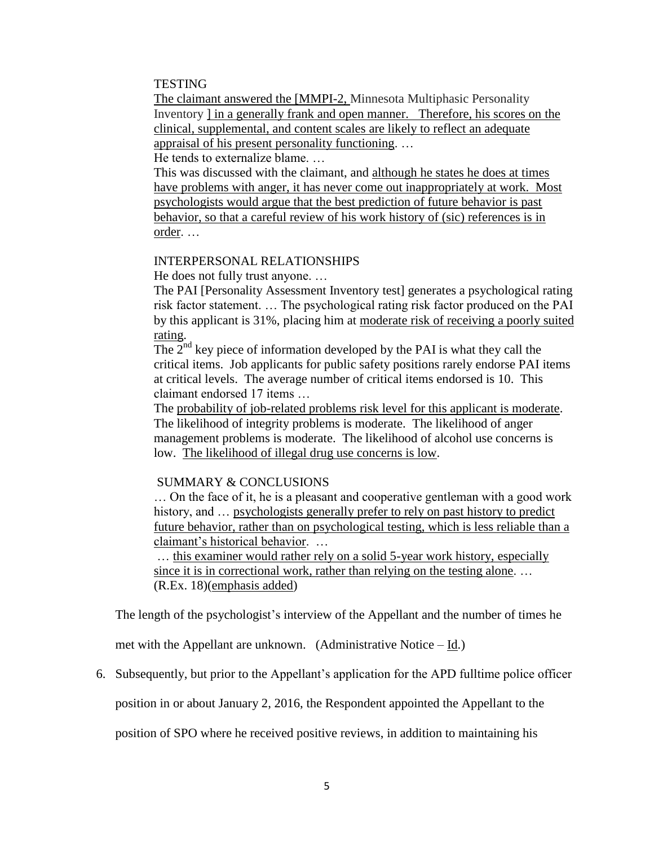### **TESTING**

The claimant answered the [MMPI-2, Minnesota Multiphasic Personality Inventory ] in a generally frank and open manner. Therefore, his scores on the clinical, supplemental, and content scales are likely to reflect an adequate appraisal of his present personality functioning. …

He tends to externalize blame. …

This was discussed with the claimant, and although he states he does at times have problems with anger, it has never come out inappropriately at work. Most psychologists would argue that the best prediction of future behavior is past behavior, so that a careful review of his work history of (sic) references is in order. …

### INTERPERSONAL RELATIONSHIPS

He does not fully trust anyone. …

The PAI [Personality Assessment Inventory test] generates a psychological rating risk factor statement. … The psychological rating risk factor produced on the PAI by this applicant is 31%, placing him at moderate risk of receiving a poorly suited rating.

The  $2<sup>nd</sup>$  key piece of information developed by the PAI is what they call the critical items. Job applicants for public safety positions rarely endorse PAI items at critical levels. The average number of critical items endorsed is 10. This claimant endorsed 17 items …

The probability of job-related problems risk level for this applicant is moderate. The likelihood of integrity problems is moderate. The likelihood of anger management problems is moderate. The likelihood of alcohol use concerns is low. The likelihood of illegal drug use concerns is low.

### SUMMARY & CONCLUSIONS

… On the face of it, he is a pleasant and cooperative gentleman with a good work history, and ... psychologists generally prefer to rely on past history to predict future behavior, rather than on psychological testing, which is less reliable than a claimant's historical behavior. …

… this examiner would rather rely on a solid 5-year work history, especially since it is in correctional work, rather than relying on the testing alone. … (R.Ex. 18)(emphasis added)

The length of the psychologist's interview of the Appellant and the number of times he

met with the Appellant are unknown. (Administrative Notice – Id.)

6. Subsequently, but prior to the Appellant's application for the APD fulltime police officer

position in or about January 2, 2016, the Respondent appointed the Appellant to the

position of SPO where he received positive reviews, in addition to maintaining his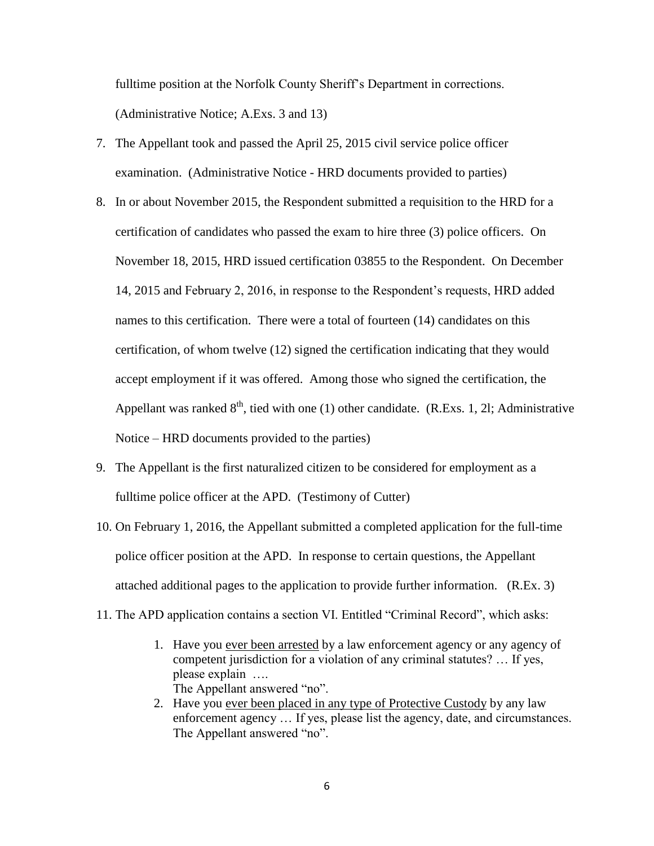fulltime position at the Norfolk County Sheriff's Department in corrections. (Administrative Notice; A.Exs. 3 and 13)

- 7. The Appellant took and passed the April 25, 2015 civil service police officer examination. (Administrative Notice - HRD documents provided to parties)
- 8. In or about November 2015, the Respondent submitted a requisition to the HRD for a certification of candidates who passed the exam to hire three (3) police officers. On November 18, 2015, HRD issued certification 03855 to the Respondent. On December 14, 2015 and February 2, 2016, in response to the Respondent's requests, HRD added names to this certification. There were a total of fourteen (14) candidates on this certification, of whom twelve (12) signed the certification indicating that they would accept employment if it was offered. Among those who signed the certification, the Appellant was ranked  $8<sup>th</sup>$ , tied with one (1) other candidate. (R.Exs. 1, 21; Administrative Notice – HRD documents provided to the parties)
- 9. The Appellant is the first naturalized citizen to be considered for employment as a fulltime police officer at the APD. (Testimony of Cutter)
- 10. On February 1, 2016, the Appellant submitted a completed application for the full-time police officer position at the APD. In response to certain questions, the Appellant attached additional pages to the application to provide further information. (R.Ex. 3)
- 11. The APD application contains a section VI. Entitled "Criminal Record", which asks:
	- 1. Have you ever been arrested by a law enforcement agency or any agency of competent jurisdiction for a violation of any criminal statutes? … If yes, please explain …. The Appellant answered "no".
	- 2. Have you ever been placed in any type of Protective Custody by any law enforcement agency … If yes, please list the agency, date, and circumstances. The Appellant answered "no".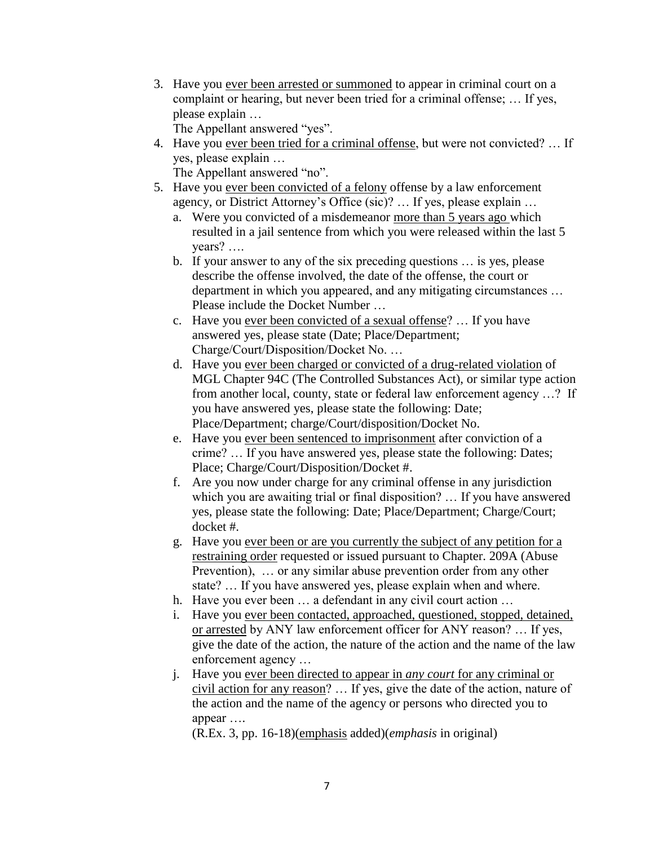3. Have you ever been arrested or summoned to appear in criminal court on a complaint or hearing, but never been tried for a criminal offense; … If yes, please explain …

The Appellant answered "yes".

4. Have you ever been tried for a criminal offense, but were not convicted? … If yes, please explain …

The Appellant answered "no".

- 5. Have you ever been convicted of a felony offense by a law enforcement agency, or District Attorney's Office (sic)? … If yes, please explain …
	- a. Were you convicted of a misdemeanor more than 5 years ago which resulted in a jail sentence from which you were released within the last 5 years? ….
	- b. If your answer to any of the six preceding questions … is yes, please describe the offense involved, the date of the offense, the court or department in which you appeared, and any mitigating circumstances … Please include the Docket Number …
	- c. Have you ever been convicted of a sexual offense? … If you have answered yes, please state (Date; Place/Department; Charge/Court/Disposition/Docket No. …
	- d. Have you ever been charged or convicted of a drug-related violation of MGL Chapter 94C (The Controlled Substances Act), or similar type action from another local, county, state or federal law enforcement agency …? If you have answered yes, please state the following: Date; Place/Department; charge/Court/disposition/Docket No.
	- e. Have you ever been sentenced to imprisonment after conviction of a crime? … If you have answered yes, please state the following: Dates; Place; Charge/Court/Disposition/Docket #.
	- f. Are you now under charge for any criminal offense in any jurisdiction which you are awaiting trial or final disposition? … If you have answered yes, please state the following: Date; Place/Department; Charge/Court; docket #.
	- g. Have you ever been or are you currently the subject of any petition for a restraining order requested or issued pursuant to Chapter. 209A (Abuse Prevention), … or any similar abuse prevention order from any other state? … If you have answered yes, please explain when and where.
	- h. Have you ever been … a defendant in any civil court action …
	- i. Have you ever been contacted, approached, questioned, stopped, detained, or arrested by ANY law enforcement officer for ANY reason? … If yes, give the date of the action, the nature of the action and the name of the law enforcement agency …
	- j. Have you ever been directed to appear in *any court* for any criminal or civil action for any reason? … If yes, give the date of the action, nature of the action and the name of the agency or persons who directed you to appear ….

(R.Ex. 3, pp. 16-18)(emphasis added)(*emphasis* in original)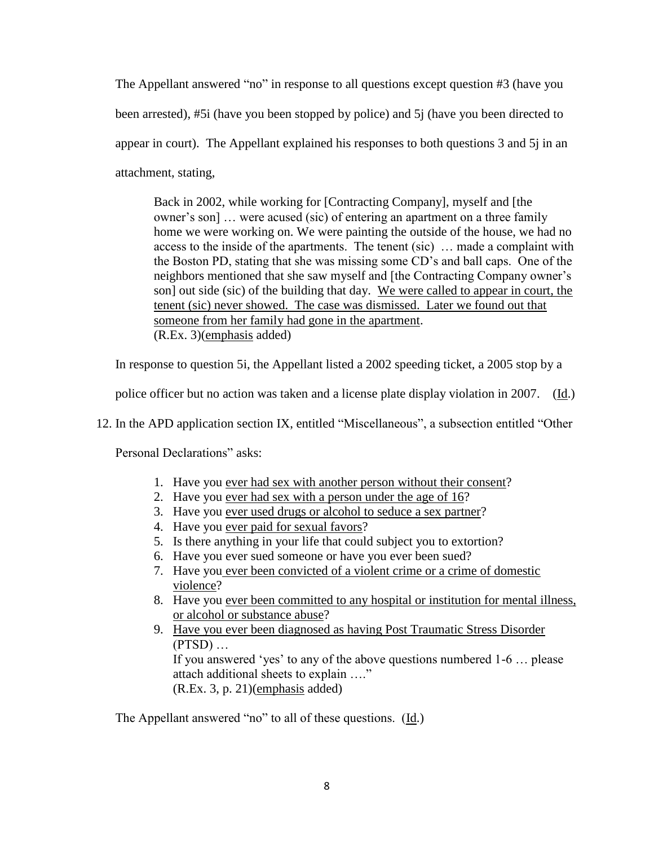The Appellant answered "no" in response to all questions except question #3 (have you been arrested), #5i (have you been stopped by police) and 5j (have you been directed to appear in court). The Appellant explained his responses to both questions 3 and 5j in an attachment, stating,

Back in 2002, while working for [Contracting Company], myself and [the owner's son] … were acused (sic) of entering an apartment on a three family home we were working on. We were painting the outside of the house, we had no access to the inside of the apartments. The tenent (sic) … made a complaint with the Boston PD, stating that she was missing some CD's and ball caps. One of the neighbors mentioned that she saw myself and [the Contracting Company owner's son] out side (sic) of the building that day. We were called to appear in court, the tenent (sic) never showed. The case was dismissed. Later we found out that someone from her family had gone in the apartment. (R.Ex. 3)(emphasis added)

In response to question 5i, the Appellant listed a 2002 speeding ticket, a 2005 stop by a

police officer but no action was taken and a license plate display violation in 2007. (Id.)

12. In the APD application section IX, entitled "Miscellaneous", a subsection entitled "Other

Personal Declarations" asks:

- 1. Have you ever had sex with another person without their consent?
- 2. Have you ever had sex with a person under the age of 16?
- 3. Have you ever used drugs or alcohol to seduce a sex partner?
- 4. Have you ever paid for sexual favors?
- 5. Is there anything in your life that could subject you to extortion?
- 6. Have you ever sued someone or have you ever been sued?
- 7. Have you ever been convicted of a violent crime or a crime of domestic violence?
- 8. Have you ever been committed to any hospital or institution for mental illness, or alcohol or substance abuse?
- 9. Have you ever been diagnosed as having Post Traumatic Stress Disorder  $(PTSD)$  ... If you answered 'yes' to any of the above questions numbered 1-6 … please attach additional sheets to explain …." (R.Ex. 3, p. 21)(emphasis added)

The Appellant answered "no" to all of these questions. (Id.)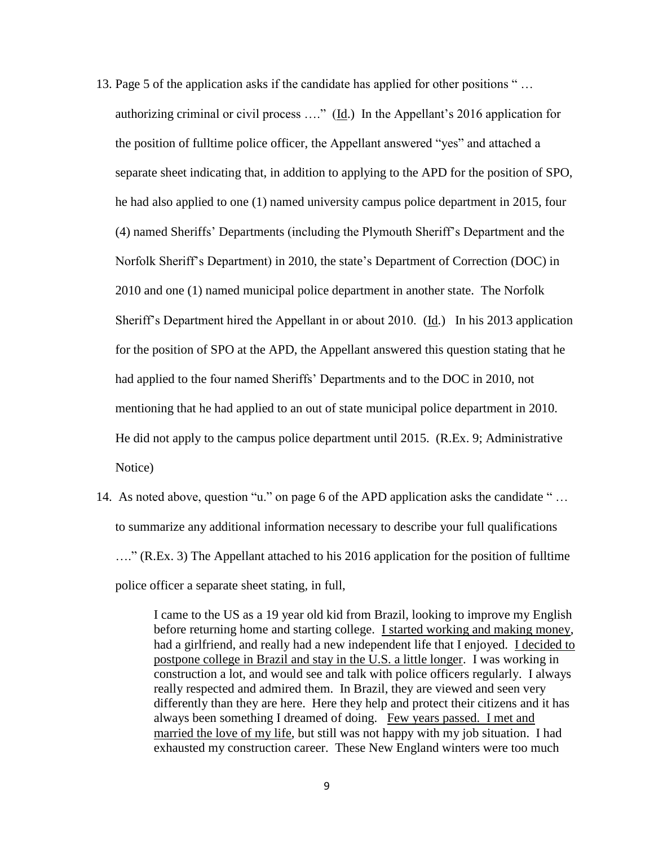- 13. Page 5 of the application asks if the candidate has applied for other positions " … authorizing criminal or civil process …." (Id.) In the Appellant's 2016 application for the position of fulltime police officer, the Appellant answered "yes" and attached a separate sheet indicating that, in addition to applying to the APD for the position of SPO, he had also applied to one (1) named university campus police department in 2015, four (4) named Sheriffs' Departments (including the Plymouth Sheriff's Department and the Norfolk Sheriff's Department) in 2010, the state's Department of Correction (DOC) in 2010 and one (1) named municipal police department in another state. The Norfolk Sheriff's Department hired the Appellant in or about 2010. (Id.) In his 2013 application for the position of SPO at the APD, the Appellant answered this question stating that he had applied to the four named Sheriffs' Departments and to the DOC in 2010, not mentioning that he had applied to an out of state municipal police department in 2010. He did not apply to the campus police department until 2015. (R.Ex. 9; Administrative Notice)
- 14. As noted above, question "u." on page 6 of the APD application asks the candidate " … to summarize any additional information necessary to describe your full qualifications …." (R.Ex. 3) The Appellant attached to his 2016 application for the position of fulltime police officer a separate sheet stating, in full,

I came to the US as a 19 year old kid from Brazil, looking to improve my English before returning home and starting college. I started working and making money, had a girlfriend, and really had a new independent life that I enjoyed. I decided to postpone college in Brazil and stay in the U.S. a little longer. I was working in construction a lot, and would see and talk with police officers regularly. I always really respected and admired them. In Brazil, they are viewed and seen very differently than they are here. Here they help and protect their citizens and it has always been something I dreamed of doing. Few years passed. I met and married the love of my life, but still was not happy with my job situation. I had exhausted my construction career. These New England winters were too much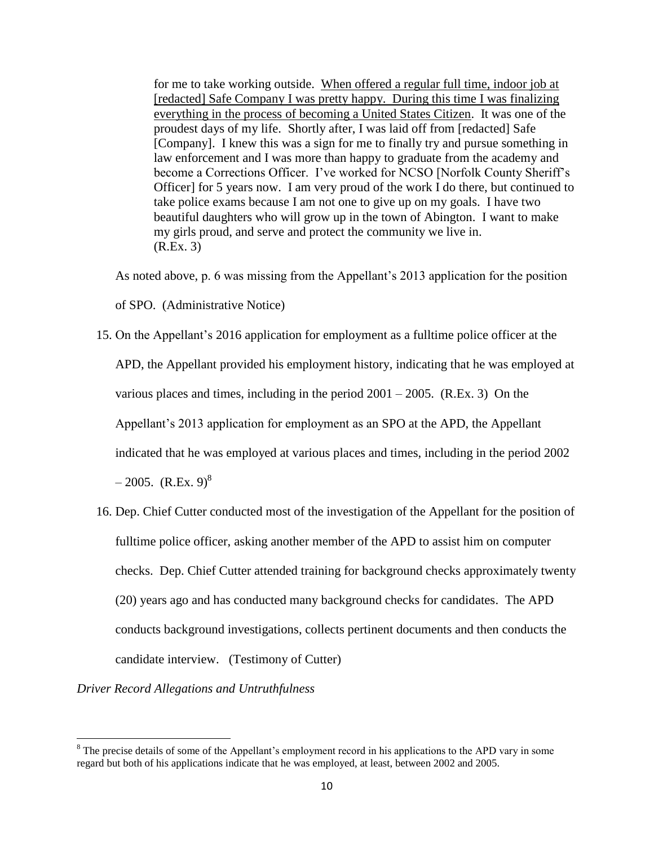for me to take working outside. When offered a regular full time, indoor job at [redacted] Safe Company I was pretty happy. During this time I was finalizing everything in the process of becoming a United States Citizen. It was one of the proudest days of my life. Shortly after, I was laid off from [redacted] Safe [Company]. I knew this was a sign for me to finally try and pursue something in law enforcement and I was more than happy to graduate from the academy and become a Corrections Officer. I've worked for NCSO [Norfolk County Sheriff's Officer] for 5 years now. I am very proud of the work I do there, but continued to take police exams because I am not one to give up on my goals. I have two beautiful daughters who will grow up in the town of Abington. I want to make my girls proud, and serve and protect the community we live in. (R.Ex. 3)

As noted above, p. 6 was missing from the Appellant's 2013 application for the position

of SPO. (Administrative Notice)

- 15. On the Appellant's 2016 application for employment as a fulltime police officer at the APD, the Appellant provided his employment history, indicating that he was employed at various places and times, including in the period 2001 – 2005. (R.Ex. 3) On the Appellant's 2013 application for employment as an SPO at the APD, the Appellant indicated that he was employed at various places and times, including in the period 2002  $-2005.$  (R.Ex. 9)<sup>8</sup>
- 16. Dep. Chief Cutter conducted most of the investigation of the Appellant for the position of fulltime police officer, asking another member of the APD to assist him on computer checks. Dep. Chief Cutter attended training for background checks approximately twenty (20) years ago and has conducted many background checks for candidates. The APD conducts background investigations, collects pertinent documents and then conducts the candidate interview. (Testimony of Cutter)

*Driver Record Allegations and Untruthfulness*

 $\overline{\phantom{a}}$  $8$  The precise details of some of the Appellant's employment record in his applications to the APD vary in some regard but both of his applications indicate that he was employed, at least, between 2002 and 2005.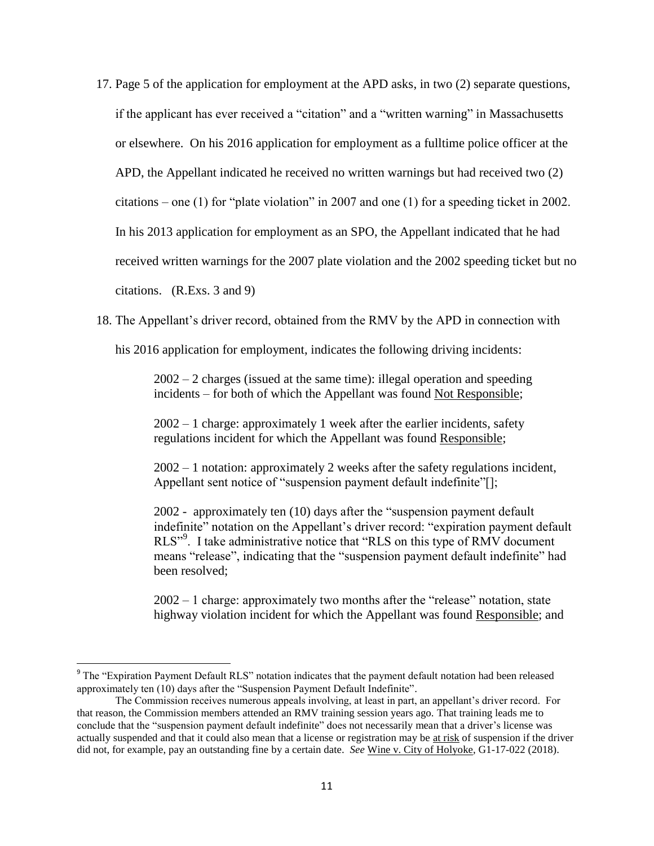17. Page 5 of the application for employment at the APD asks, in two (2) separate questions, if the applicant has ever received a "citation" and a "written warning" in Massachusetts or elsewhere. On his 2016 application for employment as a fulltime police officer at the APD, the Appellant indicated he received no written warnings but had received two (2) citations – one (1) for "plate violation" in 2007 and one (1) for a speeding ticket in 2002. In his 2013 application for employment as an SPO, the Appellant indicated that he had received written warnings for the 2007 plate violation and the 2002 speeding ticket but no citations. (R.Exs. 3 and 9)

18. The Appellant's driver record, obtained from the RMV by the APD in connection with

his 2016 application for employment, indicates the following driving incidents:

2002 – 2 charges (issued at the same time): illegal operation and speeding incidents – for both of which the Appellant was found Not Responsible;

2002 – 1 charge: approximately 1 week after the earlier incidents, safety regulations incident for which the Appellant was found Responsible;

2002 – 1 notation: approximately 2 weeks after the safety regulations incident, Appellant sent notice of "suspension payment default indefinite"[];

2002 - approximately ten (10) days after the "suspension payment default indefinite" notation on the Appellant's driver record: "expiration payment default RLS"<sup>9</sup>. I take administrative notice that "RLS on this type of RMV document means "release", indicating that the "suspension payment default indefinite" had been resolved;

2002 – 1 charge: approximately two months after the "release" notation, state highway violation incident for which the Appellant was found Responsible; and

l

<sup>&</sup>lt;sup>9</sup> The "Expiration Payment Default RLS" notation indicates that the payment default notation had been released approximately ten (10) days after the "Suspension Payment Default Indefinite".

The Commission receives numerous appeals involving, at least in part, an appellant's driver record. For that reason, the Commission members attended an RMV training session years ago. That training leads me to conclude that the "suspension payment default indefinite" does not necessarily mean that a driver's license was actually suspended and that it could also mean that a license or registration may be at risk of suspension if the driver did not, for example, pay an outstanding fine by a certain date. *See* Wine v. City of Holyoke, G1-17-022 (2018).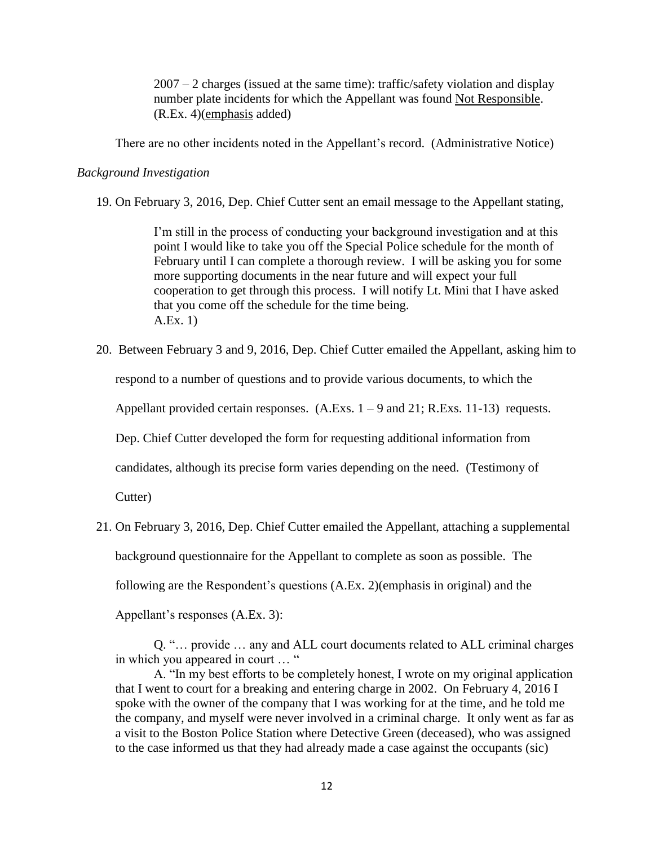$2007 - 2$  charges (issued at the same time): traffic/safety violation and display number plate incidents for which the Appellant was found Not Responsible. (R.Ex. 4)(emphasis added)

There are no other incidents noted in the Appellant's record. (Administrative Notice)

### *Background Investigation*

19. On February 3, 2016, Dep. Chief Cutter sent an email message to the Appellant stating,

I'm still in the process of conducting your background investigation and at this point I would like to take you off the Special Police schedule for the month of February until I can complete a thorough review. I will be asking you for some more supporting documents in the near future and will expect your full cooperation to get through this process. I will notify Lt. Mini that I have asked that you come off the schedule for the time being. A.Ex. 1)

20. Between February 3 and 9, 2016, Dep. Chief Cutter emailed the Appellant, asking him to

respond to a number of questions and to provide various documents, to which the

Appellant provided certain responses.  $(A.Exs. 1 - 9$  and  $21; R.Exs. 11-13)$  requests.

Dep. Chief Cutter developed the form for requesting additional information from

candidates, although its precise form varies depending on the need. (Testimony of

Cutter)

21. On February 3, 2016, Dep. Chief Cutter emailed the Appellant, attaching a supplemental background questionnaire for the Appellant to complete as soon as possible. The following are the Respondent's questions (A.Ex. 2)(emphasis in original) and the Appellant's responses (A.Ex. 3):

Q. "… provide … any and ALL court documents related to ALL criminal charges in which you appeared in court … "

A. "In my best efforts to be completely honest, I wrote on my original application that I went to court for a breaking and entering charge in 2002. On February 4, 2016 I spoke with the owner of the company that I was working for at the time, and he told me the company, and myself were never involved in a criminal charge. It only went as far as a visit to the Boston Police Station where Detective Green (deceased), who was assigned to the case informed us that they had already made a case against the occupants (sic)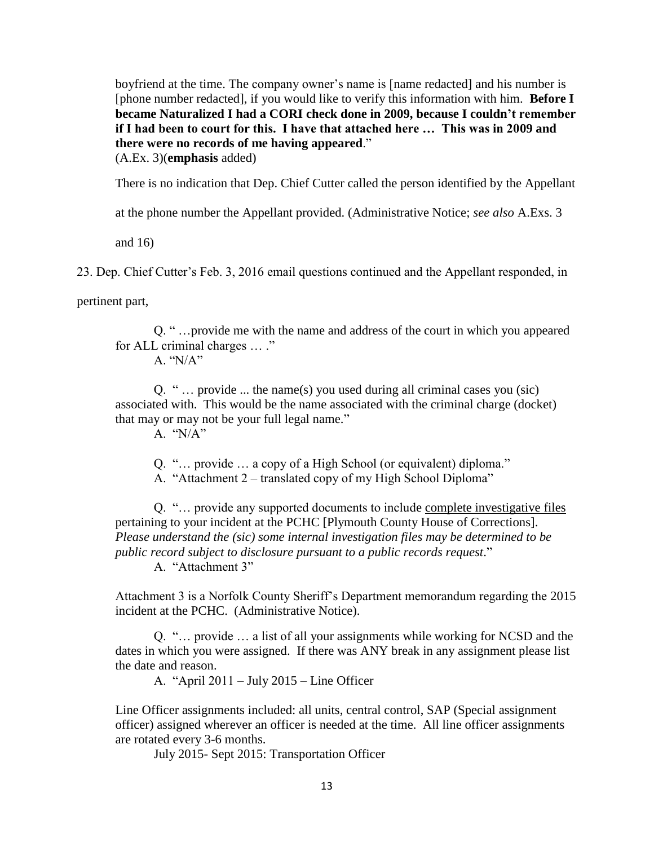boyfriend at the time. The company owner's name is [name redacted] and his number is [phone number redacted], if you would like to verify this information with him. **Before I became Naturalized I had a CORI check done in 2009, because I couldn't remember if I had been to court for this. I have that attached here … This was in 2009 and there were no records of me having appeared**."

(A.Ex. 3)(**emphasis** added)

There is no indication that Dep. Chief Cutter called the person identified by the Appellant

at the phone number the Appellant provided. (Administrative Notice; *see also* A.Exs. 3

and 16)

23. Dep. Chief Cutter's Feb. 3, 2016 email questions continued and the Appellant responded, in

pertinent part,

Q. " …provide me with the name and address of the court in which you appeared for ALL criminal charges … ."

A. "N/A"

Q. " … provide ... the name(s) you used during all criminal cases you (sic) associated with. This would be the name associated with the criminal charge (docket) that may or may not be your full legal name."

A. "N/A"

Q. "… provide … a copy of a High School (or equivalent) diploma."

A. "Attachment 2 – translated copy of my High School Diploma"

Q. "… provide any supported documents to include complete investigative files pertaining to your incident at the PCHC [Plymouth County House of Corrections]. *Please understand the (sic) some internal investigation files may be determined to be public record subject to disclosure pursuant to a public records request*."

A. "Attachment 3"

Attachment 3 is a Norfolk County Sheriff's Department memorandum regarding the 2015 incident at the PCHC. (Administrative Notice).

Q. "… provide … a list of all your assignments while working for NCSD and the dates in which you were assigned. If there was ANY break in any assignment please list the date and reason.

A. "April 2011 – July 2015 – Line Officer

Line Officer assignments included: all units, central control, SAP (Special assignment officer) assigned wherever an officer is needed at the time. All line officer assignments are rotated every 3-6 months.

July 2015- Sept 2015: Transportation Officer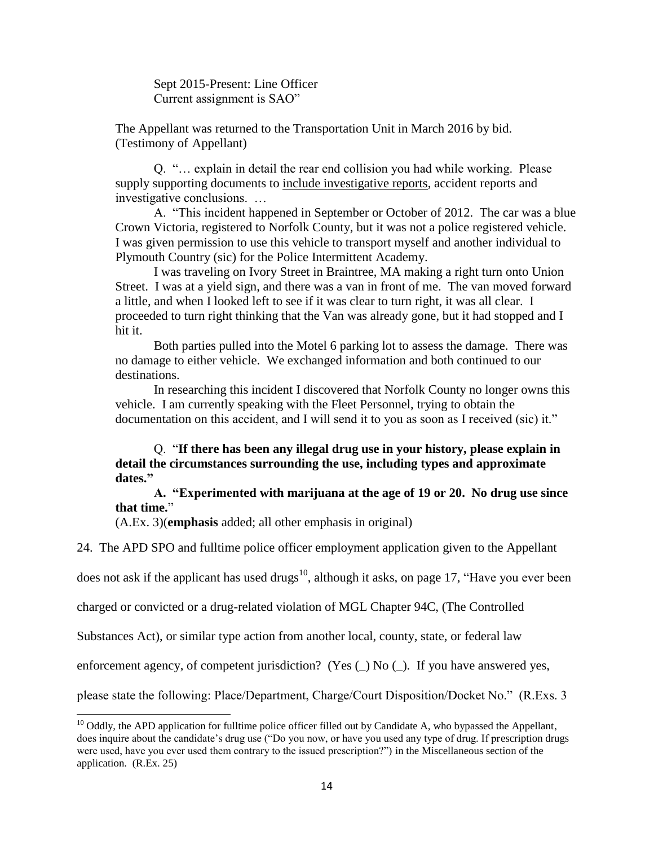Sept 2015-Present: Line Officer Current assignment is SAO"

The Appellant was returned to the Transportation Unit in March 2016 by bid. (Testimony of Appellant)

Q. "… explain in detail the rear end collision you had while working. Please supply supporting documents to include investigative reports, accident reports and investigative conclusions. …

A. "This incident happened in September or October of 2012. The car was a blue Crown Victoria, registered to Norfolk County, but it was not a police registered vehicle. I was given permission to use this vehicle to transport myself and another individual to Plymouth Country (sic) for the Police Intermittent Academy.

I was traveling on Ivory Street in Braintree, MA making a right turn onto Union Street. I was at a yield sign, and there was a van in front of me. The van moved forward a little, and when I looked left to see if it was clear to turn right, it was all clear. I proceeded to turn right thinking that the Van was already gone, but it had stopped and I hit it.

Both parties pulled into the Motel 6 parking lot to assess the damage. There was no damage to either vehicle. We exchanged information and both continued to our destinations.

In researching this incident I discovered that Norfolk County no longer owns this vehicle. I am currently speaking with the Fleet Personnel, trying to obtain the documentation on this accident, and I will send it to you as soon as I received (sic) it."

Q. "**If there has been any illegal drug use in your history, please explain in detail the circumstances surrounding the use, including types and approximate dates."**

**A. "Experimented with marijuana at the age of 19 or 20. No drug use since that time.**"

(A.Ex. 3)(**emphasis** added; all other emphasis in original)

 $\overline{\phantom{a}}$ 

24. The APD SPO and fulltime police officer employment application given to the Appellant

does not ask if the applicant has used drugs<sup>10</sup>, although it asks, on page 17, "Have you ever been

charged or convicted or a drug-related violation of MGL Chapter 94C, (The Controlled

Substances Act), or similar type action from another local, county, state, or federal law

enforcement agency, of competent jurisdiction? (Yes  $\Box$ ) No  $\Box$ ). If you have answered yes,

please state the following: Place/Department, Charge/Court Disposition/Docket No." (R.Exs. 3

 $10$  Oddly, the APD application for fulltime police officer filled out by Candidate A, who bypassed the Appellant, does inquire about the candidate's drug use ("Do you now, or have you used any type of drug. If prescription drugs were used, have you ever used them contrary to the issued prescription?") in the Miscellaneous section of the application. (R.Ex. 25)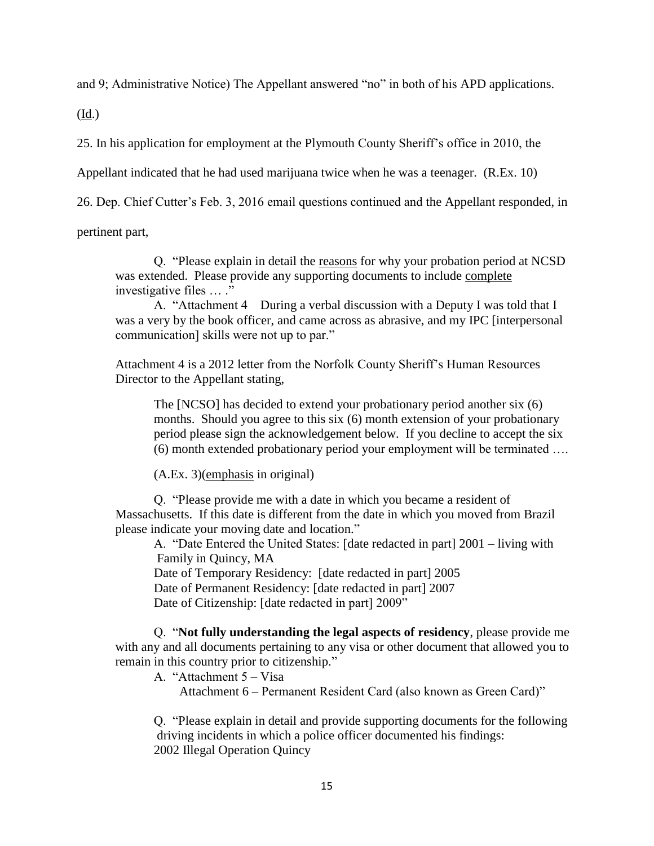and 9; Administrative Notice) The Appellant answered "no" in both of his APD applications.

(Id.)

25. In his application for employment at the Plymouth County Sheriff's office in 2010, the

Appellant indicated that he had used marijuana twice when he was a teenager. (R.Ex. 10)

26. Dep. Chief Cutter's Feb. 3, 2016 email questions continued and the Appellant responded, in

pertinent part,

Q. "Please explain in detail the reasons for why your probation period at NCSD was extended. Please provide any supporting documents to include complete investigative files … ."

A. "Attachment 4 During a verbal discussion with a Deputy I was told that I was a very by the book officer, and came across as abrasive, and my IPC [interpersonal communication] skills were not up to par."

Attachment 4 is a 2012 letter from the Norfolk County Sheriff's Human Resources Director to the Appellant stating,

The [NCSO] has decided to extend your probationary period another six (6) months. Should you agree to this six (6) month extension of your probationary period please sign the acknowledgement below. If you decline to accept the six (6) month extended probationary period your employment will be terminated ….

(A.Ex. 3)(emphasis in original)

Q. "Please provide me with a date in which you became a resident of Massachusetts. If this date is different from the date in which you moved from Brazil please indicate your moving date and location."

A. "Date Entered the United States: [date redacted in part] 2001 – living with Family in Quincy, MA

Date of Temporary Residency: [date redacted in part] 2005 Date of Permanent Residency: [date redacted in part] 2007 Date of Citizenship: [date redacted in part] 2009"

Q. "**Not fully understanding the legal aspects of residency**, please provide me with any and all documents pertaining to any visa or other document that allowed you to remain in this country prior to citizenship."

A. "Attachment 5 – Visa

Attachment 6 – Permanent Resident Card (also known as Green Card)"

Q. "Please explain in detail and provide supporting documents for the following driving incidents in which a police officer documented his findings: 2002 Illegal Operation Quincy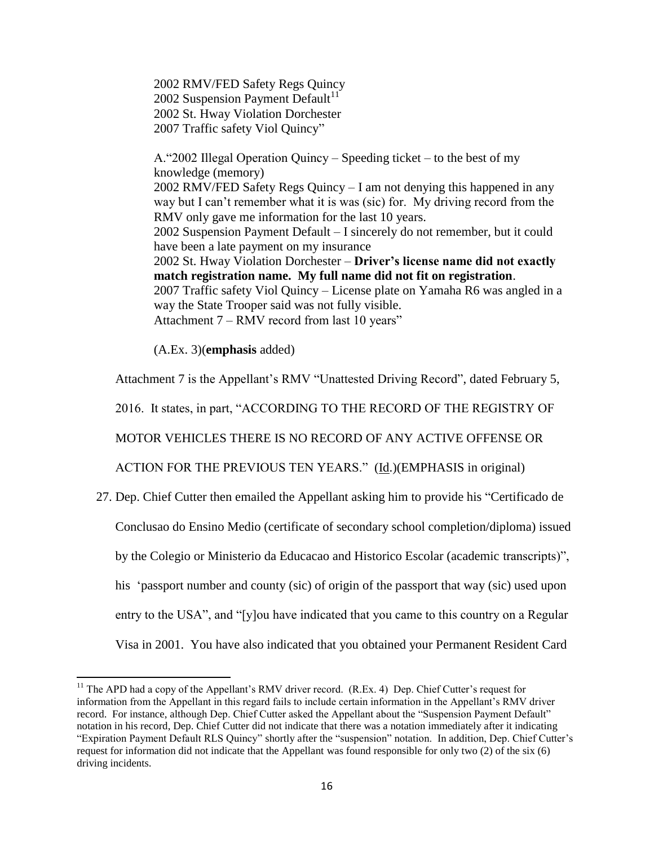2002 RMV/FED Safety Regs Quincy 2002 Suspension Payment Default<sup>11</sup> 2002 St. Hway Violation Dorchester 2007 Traffic safety Viol Quincy"

A."2002 Illegal Operation Quincy – Speeding ticket – to the best of my knowledge (memory) 2002 RMV/FED Safety Regs Quincy – I am not denying this happened in any way but I can't remember what it is was (sic) for. My driving record from the RMV only gave me information for the last 10 years. 2002 Suspension Payment Default – I sincerely do not remember, but it could have been a late payment on my insurance 2002 St. Hway Violation Dorchester – **Driver's license name did not exactly match registration name. My full name did not fit on registration**. 2007 Traffic safety Viol Quincy – License plate on Yamaha R6 was angled in a way the State Trooper said was not fully visible. Attachment 7 – RMV record from last 10 years"

(A.Ex. 3)(**emphasis** added)

Attachment 7 is the Appellant's RMV "Unattested Driving Record", dated February 5,

2016. It states, in part, "ACCORDING TO THE RECORD OF THE REGISTRY OF

MOTOR VEHICLES THERE IS NO RECORD OF ANY ACTIVE OFFENSE OR

ACTION FOR THE PREVIOUS TEN YEARS." (Id.)(EMPHASIS in original)

27. Dep. Chief Cutter then emailed the Appellant asking him to provide his "Certificado de

Conclusao do Ensino Medio (certificate of secondary school completion/diploma) issued

by the Colegio or Ministerio da Educacao and Historico Escolar (academic transcripts)",

his 'passport number and county (sic) of origin of the passport that way (sic) used upon

entry to the USA", and "[y]ou have indicated that you came to this country on a Regular

Visa in 2001. You have also indicated that you obtained your Permanent Resident Card

 $\overline{\phantom{a}}$ <sup>11</sup> The APD had a copy of the Appellant's RMV driver record. (R.Ex. 4) Dep. Chief Cutter's request for information from the Appellant in this regard fails to include certain information in the Appellant's RMV driver record. For instance, although Dep. Chief Cutter asked the Appellant about the "Suspension Payment Default" notation in his record, Dep. Chief Cutter did not indicate that there was a notation immediately after it indicating "Expiration Payment Default RLS Quincy" shortly after the "suspension" notation. In addition, Dep. Chief Cutter's request for information did not indicate that the Appellant was found responsible for only two (2) of the six (6) driving incidents.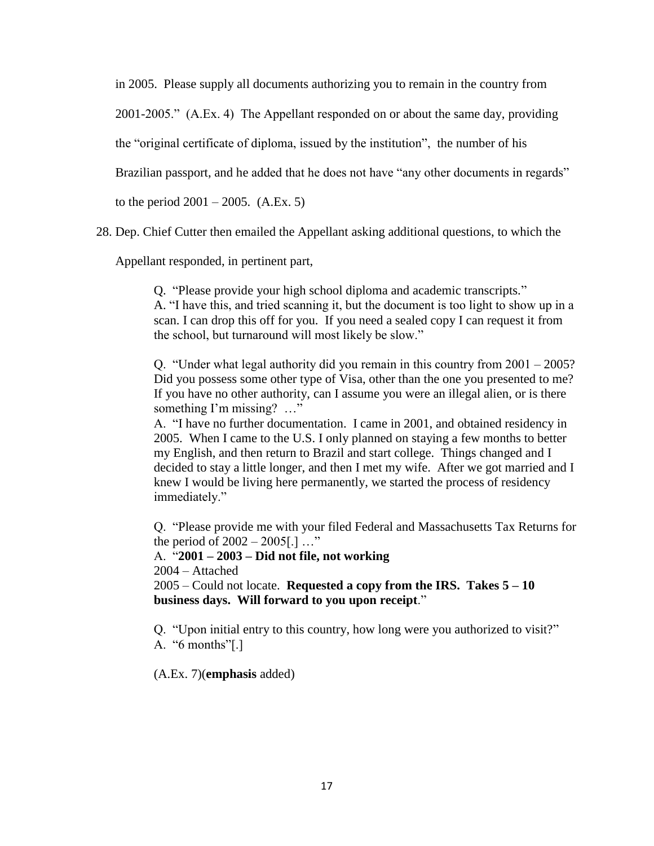in 2005. Please supply all documents authorizing you to remain in the country from

2001-2005." (A.Ex. 4) The Appellant responded on or about the same day, providing

the "original certificate of diploma, issued by the institution", the number of his

Brazilian passport, and he added that he does not have "any other documents in regards"

to the period  $2001 - 2005$ . (A.Ex. 5)

28. Dep. Chief Cutter then emailed the Appellant asking additional questions, to which the

Appellant responded, in pertinent part,

Q. "Please provide your high school diploma and academic transcripts." A. "I have this, and tried scanning it, but the document is too light to show up in a scan. I can drop this off for you. If you need a sealed copy I can request it from the school, but turnaround will most likely be slow."

Q. "Under what legal authority did you remain in this country from 2001 – 2005? Did you possess some other type of Visa, other than the one you presented to me? If you have no other authority, can I assume you were an illegal alien, or is there something I'm missing? …"

A. "I have no further documentation. I came in 2001, and obtained residency in 2005. When I came to the U.S. I only planned on staying a few months to better my English, and then return to Brazil and start college. Things changed and I decided to stay a little longer, and then I met my wife. After we got married and I knew I would be living here permanently, we started the process of residency immediately."

Q. "Please provide me with your filed Federal and Massachusetts Tax Returns for the period of 2002 – 2005[.] …"

A. "**2001 – 2003 – Did not file, not working**

2004 – Attached

2005 – Could not locate. **Requested a copy from the IRS. Takes 5 – 10 business days. Will forward to you upon receipt**."

Q. "Upon initial entry to this country, how long were you authorized to visit?" A. "6 months"[.]

(A.Ex. 7)(**emphasis** added)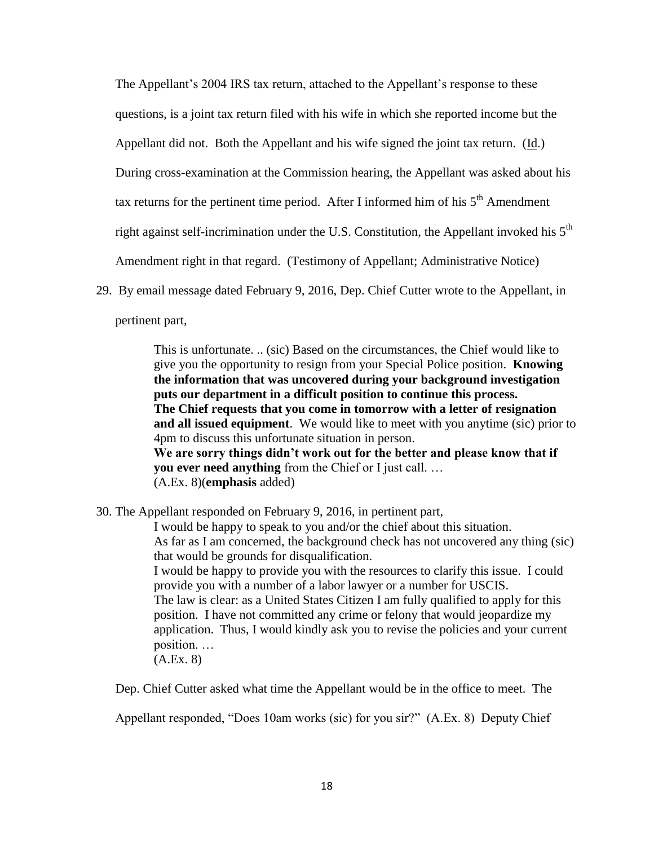The Appellant's 2004 IRS tax return, attached to the Appellant's response to these questions, is a joint tax return filed with his wife in which she reported income but the Appellant did not. Both the Appellant and his wife signed the joint tax return. (Id.) During cross-examination at the Commission hearing, the Appellant was asked about his tax returns for the pertinent time period. After I informed him of his  $5<sup>th</sup>$  Amendment right against self-incrimination under the U.S. Constitution, the Appellant invoked his  $5<sup>th</sup>$ Amendment right in that regard. (Testimony of Appellant; Administrative Notice)

29. By email message dated February 9, 2016, Dep. Chief Cutter wrote to the Appellant, in

pertinent part,

This is unfortunate. .. (sic) Based on the circumstances, the Chief would like to give you the opportunity to resign from your Special Police position. **Knowing the information that was uncovered during your background investigation puts our department in a difficult position to continue this process. The Chief requests that you come in tomorrow with a letter of resignation and all issued equipment**. We would like to meet with you anytime (sic) prior to 4pm to discuss this unfortunate situation in person. **We are sorry things didn't work out for the better and please know that if you ever need anything** from the Chief or I just call. … (A.Ex. 8)(**emphasis** added)

30. The Appellant responded on February 9, 2016, in pertinent part,

I would be happy to speak to you and/or the chief about this situation. As far as I am concerned, the background check has not uncovered any thing (sic) that would be grounds for disqualification. I would be happy to provide you with the resources to clarify this issue. I could provide you with a number of a labor lawyer or a number for USCIS. The law is clear: as a United States Citizen I am fully qualified to apply for this position. I have not committed any crime or felony that would jeopardize my application. Thus, I would kindly ask you to revise the policies and your current position. … (A.Ex. 8)

Dep. Chief Cutter asked what time the Appellant would be in the office to meet. The

Appellant responded, "Does 10am works (sic) for you sir?" (A.Ex. 8) Deputy Chief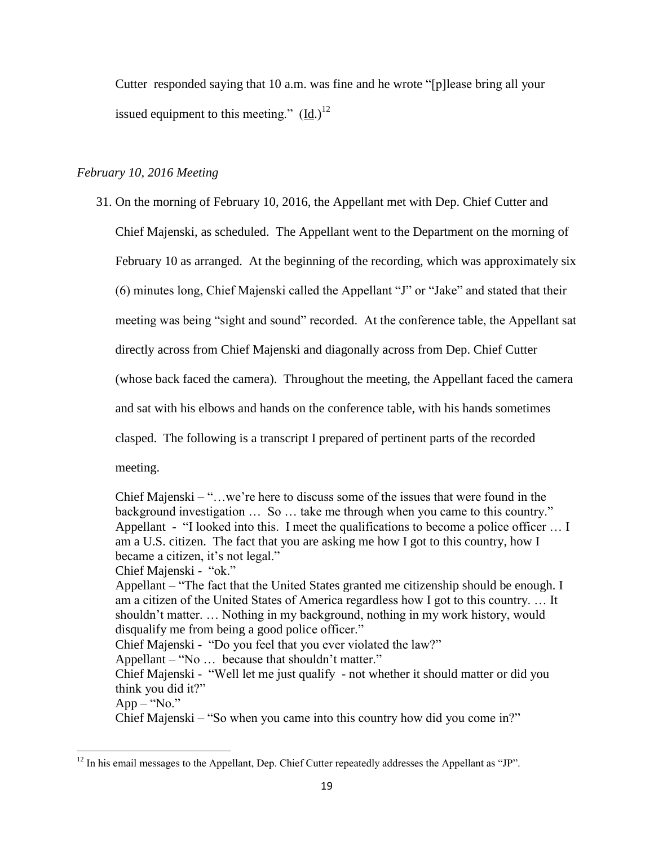Cutter responded saying that 10 a.m. was fine and he wrote "[p]lease bring all your issued equipment to this meeting."  $(Id.)^{12}$ 

## *February 10, 2016 Meeting*

 $\overline{\phantom{a}}$ 

31. On the morning of February 10, 2016, the Appellant met with Dep. Chief Cutter and Chief Majenski, as scheduled. The Appellant went to the Department on the morning of February 10 as arranged. At the beginning of the recording, which was approximately six (6) minutes long, Chief Majenski called the Appellant "J" or "Jake" and stated that their meeting was being "sight and sound" recorded. At the conference table, the Appellant sat directly across from Chief Majenski and diagonally across from Dep. Chief Cutter (whose back faced the camera). Throughout the meeting, the Appellant faced the camera and sat with his elbows and hands on the conference table, with his hands sometimes clasped. The following is a transcript I prepared of pertinent parts of the recorded meeting.

Chief Majenski – " $\dots$  we're here to discuss some of the issues that were found in the background investigation … So … take me through when you came to this country." Appellant - "I looked into this. I meet the qualifications to become a police officer … I am a U.S. citizen. The fact that you are asking me how I got to this country, how I became a citizen, it's not legal." Chief Majenski - "ok." Appellant – "The fact that the United States granted me citizenship should be enough. I am a citizen of the United States of America regardless how I got to this country. … It shouldn't matter. … Nothing in my background, nothing in my work history, would disqualify me from being a good police officer." Chief Majenski - "Do you feel that you ever violated the law?" Appellant – "No … because that shouldn't matter." Chief Majenski - "Well let me just qualify - not whether it should matter or did you think you did it?"  $App - "No."$ Chief Majenski – "So when you came into this country how did you come in?"

 $12$  In his email messages to the Appellant, Dep. Chief Cutter repeatedly addresses the Appellant as "JP".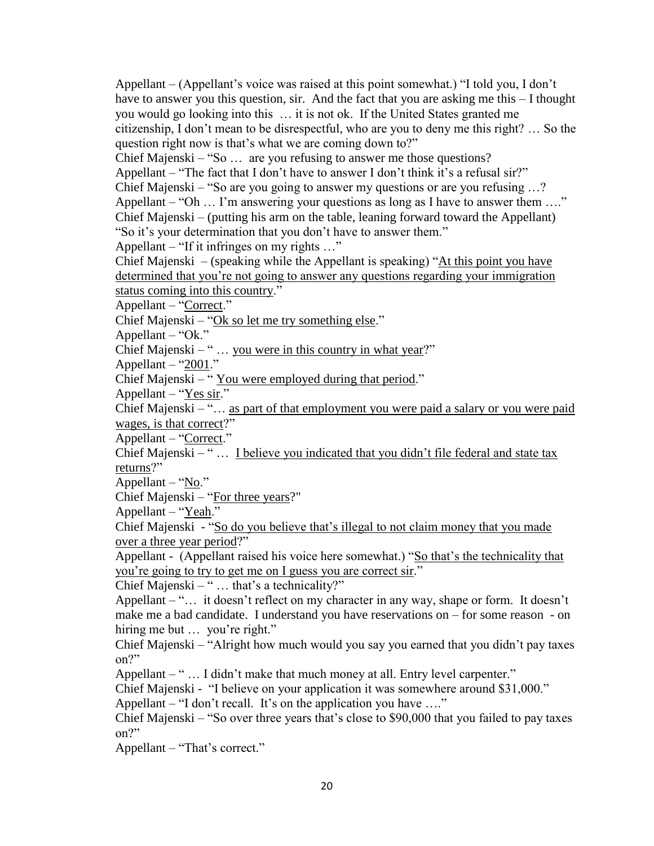Appellant – (Appellant's voice was raised at this point somewhat.) "I told you, I don't have to answer you this question, sir. And the fact that you are asking me this – I thought you would go looking into this … it is not ok. If the United States granted me citizenship, I don't mean to be disrespectful, who are you to deny me this right? … So the question right now is that's what we are coming down to?"

Chief Majenski – "So … are you refusing to answer me those questions?

Appellant – "The fact that I don't have to answer I don't think it's a refusal sir?"

Chief Majenski – "So are you going to answer my questions or are you refusing …? Appellant – "Oh  $\dots$  I'm answering your questions as long as I have to answer them  $\dots$ " Chief Majenski – (putting his arm on the table, leaning forward toward the Appellant)

"So it's your determination that you don't have to answer them."

Appellant – "If it infringes on my rights …"

Chief Majenski – (speaking while the Appellant is speaking) "At this point you have determined that you're not going to answer any questions regarding your immigration status coming into this country."

Appellant – "Correct."

Chief Majenski – "Ok so let me try something else."

Appellant – "Ok."

Chief Majenski – " $\ldots$  you were in this country in what year?"

Appellant – " $2001$ ."

Chief Majenski – " You were employed during that period."

Appellant – " $Yes sir$ ."</u>

Chief Majenski – "… as part of that employment you were paid a salary or you were paid wages, is that correct?"

Appellant – "Correct."

Chief Majenski – " … I believe you indicated that you didn't file federal and state tax returns?"

Appellant – "No."

Chief Majenski – "For three years?"

Appellant – "Yeah."

Chief Majenski - "So do you believe that's illegal to not claim money that you made over a three year period?"

Appellant - (Appellant raised his voice here somewhat.) "So that's the technicality that you're going to try to get me on I guess you are correct sir."

Chief Majenski – " … that's a technicality?"

Appellant – "… it doesn't reflect on my character in any way, shape or form. It doesn't make me a bad candidate. I understand you have reservations on – for some reason - on hiring me but ... you're right."

Chief Majenski – "Alright how much would you say you earned that you didn't pay taxes on?"

Appellant – "... I didn't make that much money at all. Entry level carpenter."

Chief Majenski - "I believe on your application it was somewhere around \$31,000."

Appellant – "I don't recall. It's on the application you have ...."

Chief Majenski – "So over three years that's close to \$90,000 that you failed to pay taxes on?"

Appellant – "That's correct."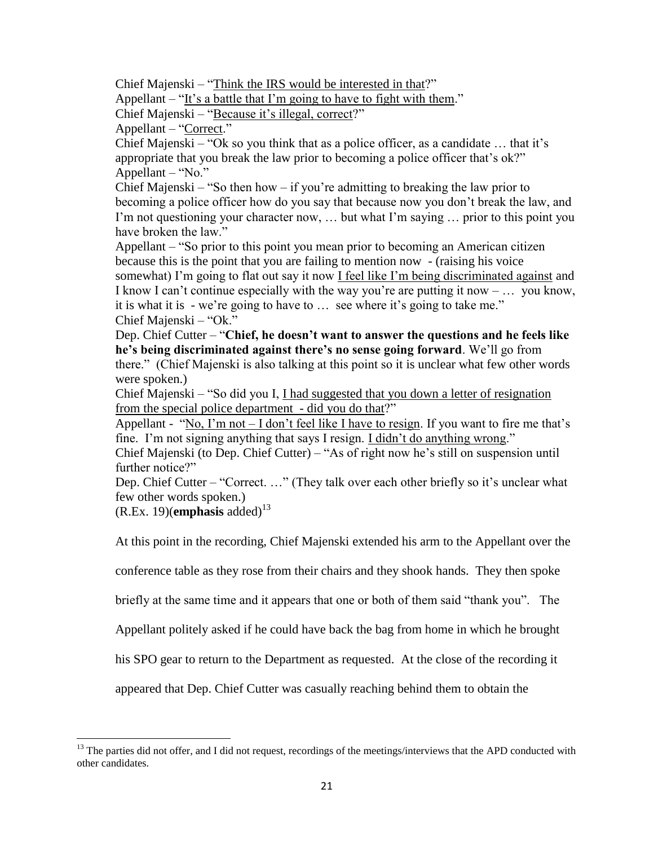Chief Majenski – "Think the IRS would be interested in that?"

Appellant – "It's a battle that I'm going to have to fight with them."

Chief Majenski – "Because it's illegal, correct?"

Appellant – "Correct."

Chief Majenski – "Ok so you think that as a police officer, as a candidate … that it's appropriate that you break the law prior to becoming a police officer that's ok?" Appellant – "No."

Chief Majenski – "So then how – if you're admitting to breaking the law prior to becoming a police officer how do you say that because now you don't break the law, and I'm not questioning your character now, … but what I'm saying … prior to this point you have broken the law."

Appellant – "So prior to this point you mean prior to becoming an American citizen because this is the point that you are failing to mention now - (raising his voice somewhat) I'm going to flat out say it now I feel like I'm being discriminated against and I know I can't continue especially with the way you're are putting it now  $- \dots$  you know, it is what it is - we're going to have to … see where it's going to take me." Chief Majenski – "Ok."

Dep. Chief Cutter – "**Chief, he doesn't want to answer the questions and he feels like he's being discriminated against there's no sense going forward**. We'll go from there." (Chief Majenski is also talking at this point so it is unclear what few other words were spoken.)

Chief Majenski – "So did you I, I had suggested that you down a letter of resignation from the special police department - did you do that?"

Appellant - "No, I'm not  $-$  I don't feel like I have to resign. If you want to fire me that's fine. I'm not signing anything that says I resign. I didn't do anything wrong."

Chief Majenski (to Dep. Chief Cutter) – "As of right now he's still on suspension until further notice?"

Dep. Chief Cutter – "Correct. …" (They talk over each other briefly so it's unclear what few other words spoken.)

 $(R.Ex. 19)(\text{emphasis added})^{13}$ 

At this point in the recording, Chief Majenski extended his arm to the Appellant over the

conference table as they rose from their chairs and they shook hands. They then spoke

briefly at the same time and it appears that one or both of them said "thank you". The

Appellant politely asked if he could have back the bag from home in which he brought

his SPO gear to return to the Department as requested. At the close of the recording it

appeared that Dep. Chief Cutter was casually reaching behind them to obtain the

 $\overline{\phantom{a}}$  $13$  The parties did not offer, and I did not request, recordings of the meetings/interviews that the APD conducted with other candidates.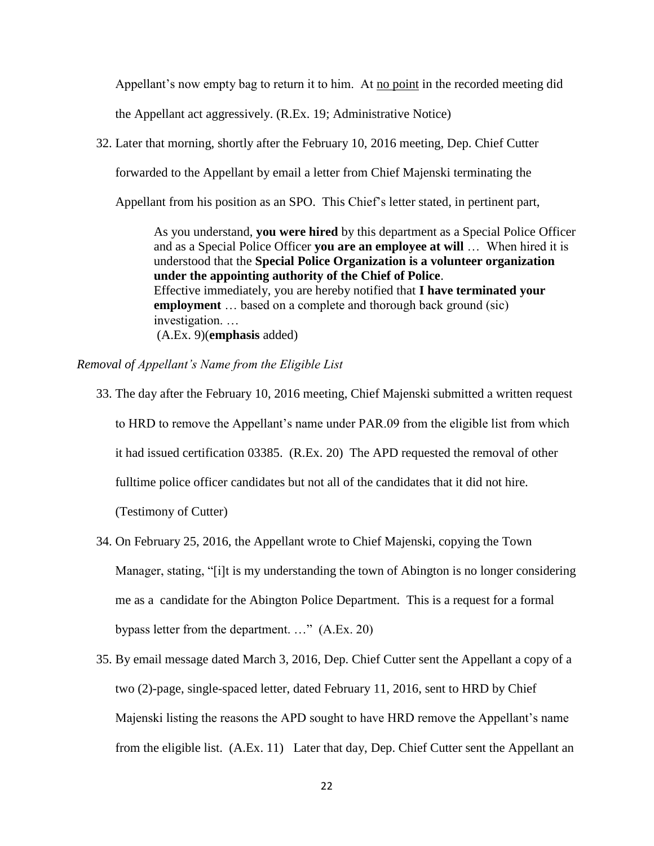Appellant's now empty bag to return it to him. At no point in the recorded meeting did

the Appellant act aggressively. (R.Ex. 19; Administrative Notice)

32. Later that morning, shortly after the February 10, 2016 meeting, Dep. Chief Cutter

forwarded to the Appellant by email a letter from Chief Majenski terminating the

Appellant from his position as an SPO. This Chief's letter stated, in pertinent part,

As you understand, **you were hired** by this department as a Special Police Officer and as a Special Police Officer **you are an employee at will** … When hired it is understood that the **Special Police Organization is a volunteer organization under the appointing authority of the Chief of Police**. Effective immediately, you are hereby notified that **I have terminated your employment** ... based on a complete and thorough back ground (sic) investigation. … (A.Ex. 9)(**emphasis** added)

*Removal of Appellant's Name from the Eligible List*

- 33. The day after the February 10, 2016 meeting, Chief Majenski submitted a written request to HRD to remove the Appellant's name under PAR.09 from the eligible list from which it had issued certification 03385. (R.Ex. 20) The APD requested the removal of other fulltime police officer candidates but not all of the candidates that it did not hire. (Testimony of Cutter)
- 34. On February 25, 2016, the Appellant wrote to Chief Majenski, copying the Town Manager, stating, "[i]t is my understanding the town of Abington is no longer considering me as a candidate for the Abington Police Department. This is a request for a formal bypass letter from the department. …" (A.Ex. 20)
- 35. By email message dated March 3, 2016, Dep. Chief Cutter sent the Appellant a copy of a two (2)-page, single-spaced letter, dated February 11, 2016, sent to HRD by Chief Majenski listing the reasons the APD sought to have HRD remove the Appellant's name from the eligible list. (A.Ex. 11) Later that day, Dep. Chief Cutter sent the Appellant an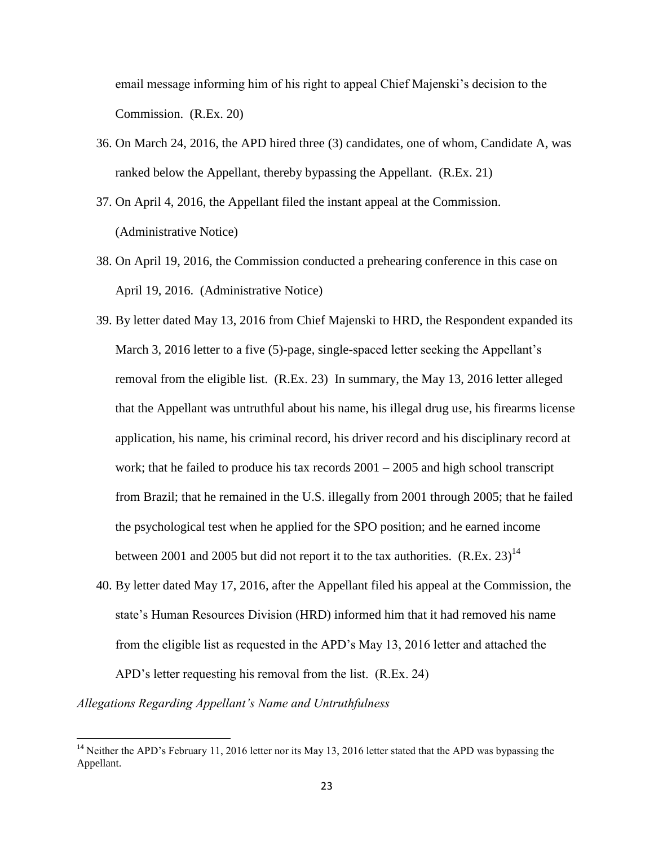email message informing him of his right to appeal Chief Majenski's decision to the Commission. (R.Ex. 20)

- 36. On March 24, 2016, the APD hired three (3) candidates, one of whom, Candidate A, was ranked below the Appellant, thereby bypassing the Appellant. (R.Ex. 21)
- 37. On April 4, 2016, the Appellant filed the instant appeal at the Commission. (Administrative Notice)
- 38. On April 19, 2016, the Commission conducted a prehearing conference in this case on April 19, 2016. (Administrative Notice)
- 39. By letter dated May 13, 2016 from Chief Majenski to HRD, the Respondent expanded its March 3, 2016 letter to a five (5)-page, single-spaced letter seeking the Appellant's removal from the eligible list. (R.Ex. 23) In summary, the May 13, 2016 letter alleged that the Appellant was untruthful about his name, his illegal drug use, his firearms license application, his name, his criminal record, his driver record and his disciplinary record at work; that he failed to produce his tax records  $2001 - 2005$  and high school transcript from Brazil; that he remained in the U.S. illegally from 2001 through 2005; that he failed the psychological test when he applied for the SPO position; and he earned income between 2001 and 2005 but did not report it to the tax authorities.  $(R.Ex. 23)^{14}$
- 40. By letter dated May 17, 2016, after the Appellant filed his appeal at the Commission, the state's Human Resources Division (HRD) informed him that it had removed his name from the eligible list as requested in the APD's May 13, 2016 letter and attached the APD's letter requesting his removal from the list. (R.Ex. 24)

*Allegations Regarding Appellant's Name and Untruthfulness*

<sup>&</sup>lt;sup>14</sup> Neither the APD's February 11, 2016 letter nor its May 13, 2016 letter stated that the APD was bypassing the Appellant.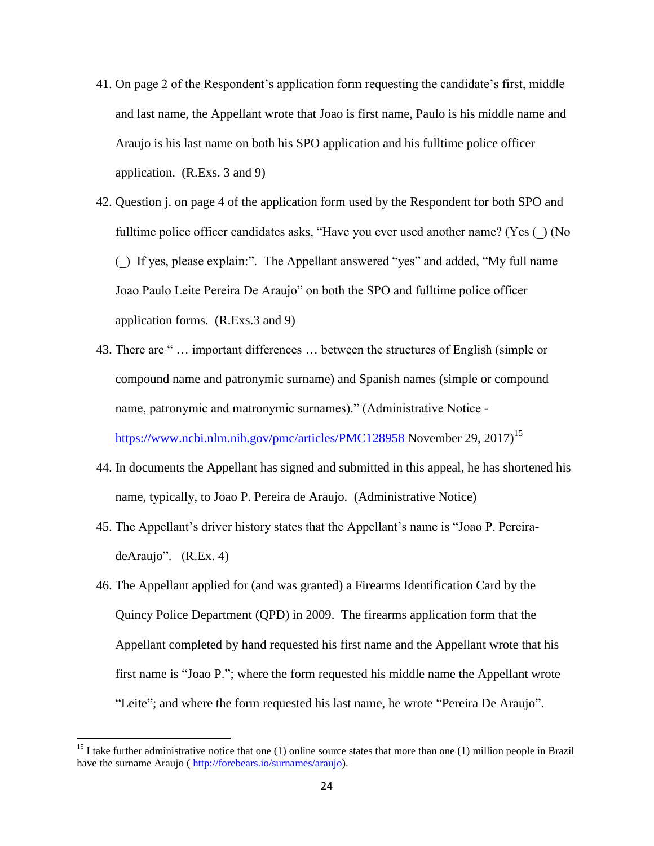- 41. On page 2 of the Respondent's application form requesting the candidate's first, middle and last name, the Appellant wrote that Joao is first name, Paulo is his middle name and Araujo is his last name on both his SPO application and his fulltime police officer application. (R.Exs. 3 and 9)
- 42. Question j. on page 4 of the application form used by the Respondent for both SPO and fulltime police officer candidates asks, "Have you ever used another name? (Yes () (No (\_) If yes, please explain:". The Appellant answered "yes" and added, "My full name Joao Paulo Leite Pereira De Araujo" on both the SPO and fulltime police officer application forms. (R.Exs.3 and 9)
- 43. There are " … important differences … between the structures of English (simple or compound name and patronymic surname) and Spanish names (simple or compound name, patronymic and matronymic surnames)." (Administrative Notice [https://www.ncbi.nlm.nih.gov/pmc/articles/PMC128958 November 29,](https://www.ncbi.nlm.nih.gov/pmc/articles/PMC128958%20November%2029) 2017)<sup>15</sup>
- 44. In documents the Appellant has signed and submitted in this appeal, he has shortened his name, typically, to Joao P. Pereira de Araujo. (Administrative Notice)
- 45. The Appellant's driver history states that the Appellant's name is "Joao P. PereiradeAraujo". (R.Ex. 4)
- 46. The Appellant applied for (and was granted) a Firearms Identification Card by the Quincy Police Department (QPD) in 2009. The firearms application form that the Appellant completed by hand requested his first name and the Appellant wrote that his first name is "Joao P."; where the form requested his middle name the Appellant wrote "Leite"; and where the form requested his last name, he wrote "Pereira De Araujo".

<sup>&</sup>lt;sup>15</sup> I take further administrative notice that one (1) online source states that more than one (1) million people in Brazil have the surname Araujo [\( http://forebears.io/surnames/araujo\)](http://forebears.io/surnames/araujo).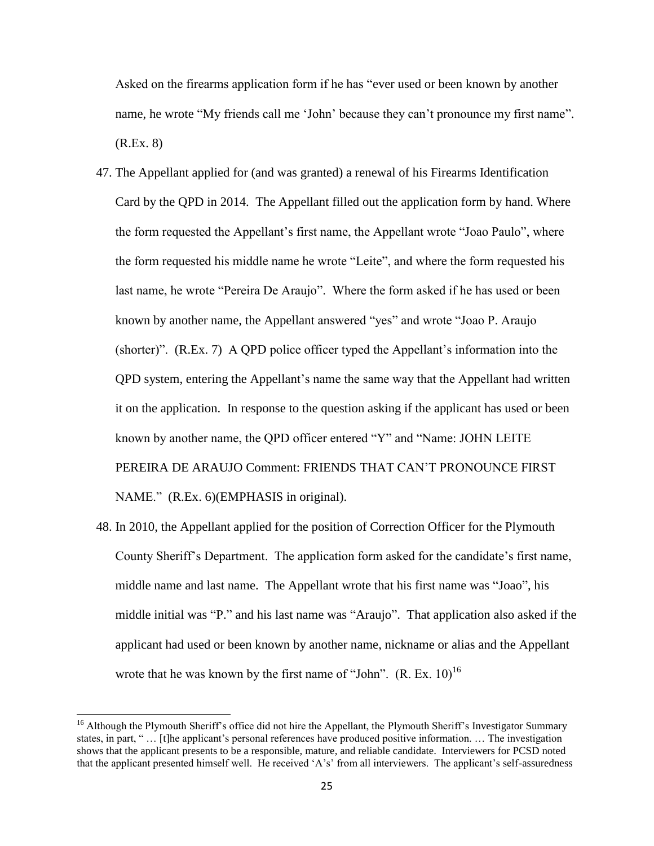Asked on the firearms application form if he has "ever used or been known by another name, he wrote "My friends call me 'John' because they can't pronounce my first name". (R.Ex. 8)

- 47. The Appellant applied for (and was granted) a renewal of his Firearms Identification Card by the QPD in 2014. The Appellant filled out the application form by hand. Where the form requested the Appellant's first name, the Appellant wrote "Joao Paulo", where the form requested his middle name he wrote "Leite", and where the form requested his last name, he wrote "Pereira De Araujo". Where the form asked if he has used or been known by another name, the Appellant answered "yes" and wrote "Joao P. Araujo (shorter)". (R.Ex. 7) A QPD police officer typed the Appellant's information into the QPD system, entering the Appellant's name the same way that the Appellant had written it on the application. In response to the question asking if the applicant has used or been known by another name, the QPD officer entered "Y" and "Name: JOHN LEITE PEREIRA DE ARAUJO Comment: FRIENDS THAT CAN'T PRONOUNCE FIRST NAME." (R.Ex. 6)(EMPHASIS in original).
- 48. In 2010, the Appellant applied for the position of Correction Officer for the Plymouth County Sheriff's Department. The application form asked for the candidate's first name, middle name and last name. The Appellant wrote that his first name was "Joao", his middle initial was "P." and his last name was "Araujo". That application also asked if the applicant had used or been known by another name, nickname or alias and the Appellant wrote that he was known by the first name of "John".  $(R. Ex. 10)^{16}$

<sup>&</sup>lt;sup>16</sup> Although the Plymouth Sheriff's office did not hire the Appellant, the Plymouth Sheriff's Investigator Summary states, in part, " … [t]he applicant's personal references have produced positive information. … The investigation shows that the applicant presents to be a responsible, mature, and reliable candidate. Interviewers for PCSD noted that the applicant presented himself well. He received 'A's' from all interviewers. The applicant's self-assuredness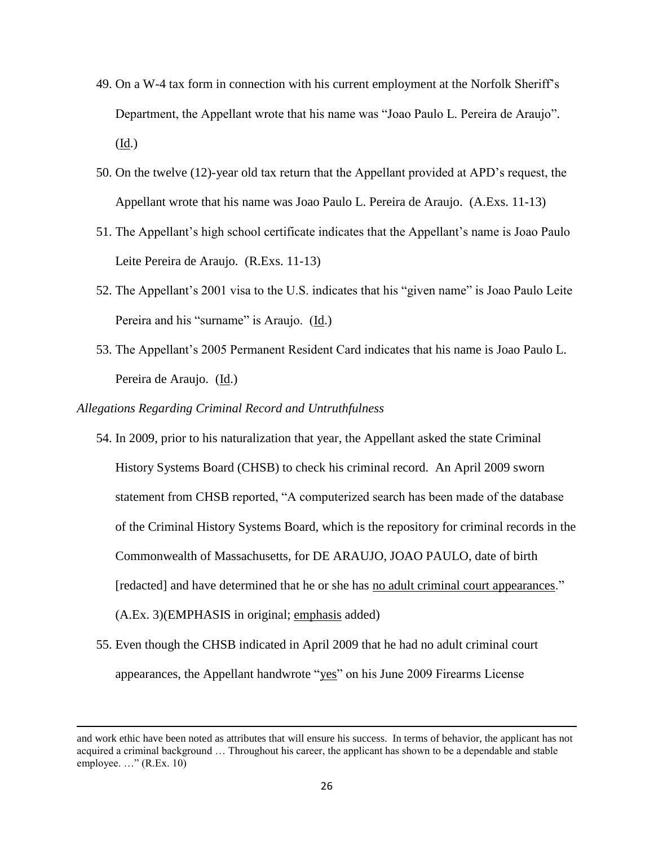- 49. On a W-4 tax form in connection with his current employment at the Norfolk Sheriff's Department, the Appellant wrote that his name was "Joao Paulo L. Pereira de Araujo". (Id.)
- 50. On the twelve (12)-year old tax return that the Appellant provided at APD's request, the Appellant wrote that his name was Joao Paulo L. Pereira de Araujo. (A.Exs. 11-13)
- 51. The Appellant's high school certificate indicates that the Appellant's name is Joao Paulo Leite Pereira de Araujo. (R.Exs. 11-13)
- 52. The Appellant's 2001 visa to the U.S. indicates that his "given name" is Joao Paulo Leite Pereira and his "surname" is Araujo. (Id.)
- 53. The Appellant's 2005 Permanent Resident Card indicates that his name is Joao Paulo L. Pereira de Araujo. (Id.)

#### *Allegations Regarding Criminal Record and Untruthfulness*

- 54. In 2009, prior to his naturalization that year, the Appellant asked the state Criminal History Systems Board (CHSB) to check his criminal record. An April 2009 sworn statement from CHSB reported, "A computerized search has been made of the database of the Criminal History Systems Board, which is the repository for criminal records in the Commonwealth of Massachusetts, for DE ARAUJO, JOAO PAULO, date of birth [redacted] and have determined that he or she has no adult criminal court appearances." (A.Ex. 3)(EMPHASIS in original; emphasis added)
- 55. Even though the CHSB indicated in April 2009 that he had no adult criminal court appearances, the Appellant handwrote "yes" on his June 2009 Firearms License

and work ethic have been noted as attributes that will ensure his success. In terms of behavior, the applicant has not acquired a criminal background … Throughout his career, the applicant has shown to be a dependable and stable employee. …" (R.Ex. 10)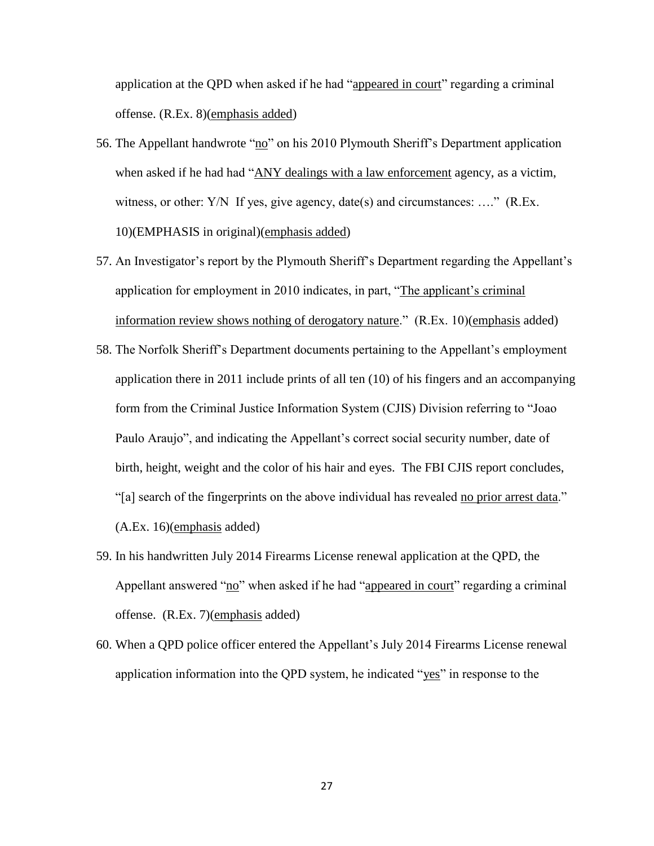application at the QPD when asked if he had "appeared in court" regarding a criminal offense. (R.Ex. 8)(emphasis added)

- 56. The Appellant handwrote "no" on his 2010 Plymouth Sheriff's Department application when asked if he had had "ANY dealings with a law enforcement agency, as a victim, witness, or other: Y/N If yes, give agency, date(s) and circumstances: ...." (R.Ex. 10)(EMPHASIS in original)(emphasis added)
- 57. An Investigator's report by the Plymouth Sheriff's Department regarding the Appellant's application for employment in 2010 indicates, in part, "The applicant's criminal information review shows nothing of derogatory nature." (R.Ex. 10)(emphasis added)
- 58. The Norfolk Sheriff's Department documents pertaining to the Appellant's employment application there in 2011 include prints of all ten (10) of his fingers and an accompanying form from the Criminal Justice Information System (CJIS) Division referring to "Joao Paulo Araujo", and indicating the Appellant's correct social security number, date of birth, height, weight and the color of his hair and eyes. The FBI CJIS report concludes, "[a] search of the fingerprints on the above individual has revealed no prior arrest data." (A.Ex. 16)(emphasis added)
- 59. In his handwritten July 2014 Firearms License renewal application at the QPD, the Appellant answered "no" when asked if he had "appeared in court" regarding a criminal offense. (R.Ex. 7)(emphasis added)
- 60. When a QPD police officer entered the Appellant's July 2014 Firearms License renewal application information into the QPD system, he indicated "yes" in response to the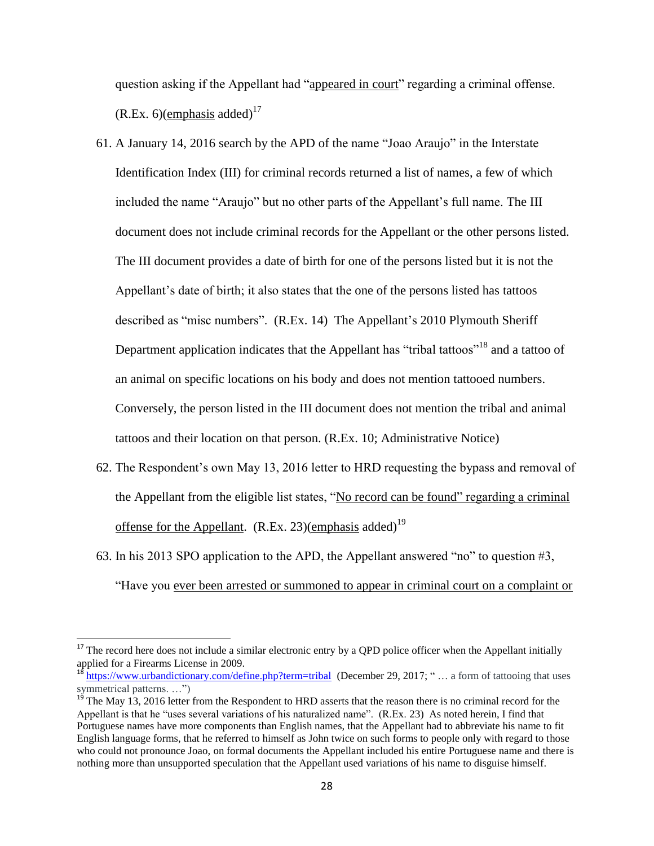question asking if the Appellant had "appeared in court" regarding a criminal offense.  $(R.Ex. 6)$ (*emphasis added*)<sup>17</sup>

- 61. A January 14, 2016 search by the APD of the name "Joao Araujo" in the Interstate Identification Index (III) for criminal records returned a list of names, a few of which included the name "Araujo" but no other parts of the Appellant's full name. The III document does not include criminal records for the Appellant or the other persons listed. The III document provides a date of birth for one of the persons listed but it is not the Appellant's date of birth; it also states that the one of the persons listed has tattoos described as "misc numbers". (R.Ex. 14) The Appellant's 2010 Plymouth Sheriff Department application indicates that the Appellant has "tribal tattoos"<sup>18</sup> and a tattoo of an animal on specific locations on his body and does not mention tattooed numbers. Conversely, the person listed in the III document does not mention the tribal and animal tattoos and their location on that person. (R.Ex. 10; Administrative Notice)
- 62. The Respondent's own May 13, 2016 letter to HRD requesting the bypass and removal of the Appellant from the eligible list states, "No record can be found" regarding a criminal offense for the Appellant.  $(R.Ex. 23)(emphasis added)^{19}$
- 63. In his 2013 SPO application to the APD, the Appellant answered "no" to question #3, "Have you ever been arrested or summoned to appear in criminal court on a complaint or

 $17$  The record here does not include a similar electronic entry by a QPD police officer when the Appellant initially applied for a Firearms License in 2009.

<sup>&</sup>lt;sup>18</sup> https://www.urbandictiona<u>ry.com/define.php?term=tribal</u> (December 29, 2017; " ... a form of tattooing that uses symmetrical patterns. ...")

 $19$ <sup>19</sup> The May 13, 2016 letter from the Respondent to HRD asserts that the reason there is no criminal record for the Appellant is that he "uses several variations of his naturalized name". (R.Ex. 23) As noted herein, I find that Portuguese names have more components than English names, that the Appellant had to abbreviate his name to fit English language forms, that he referred to himself as John twice on such forms to people only with regard to those who could not pronounce Joao, on formal documents the Appellant included his entire Portuguese name and there is nothing more than unsupported speculation that the Appellant used variations of his name to disguise himself.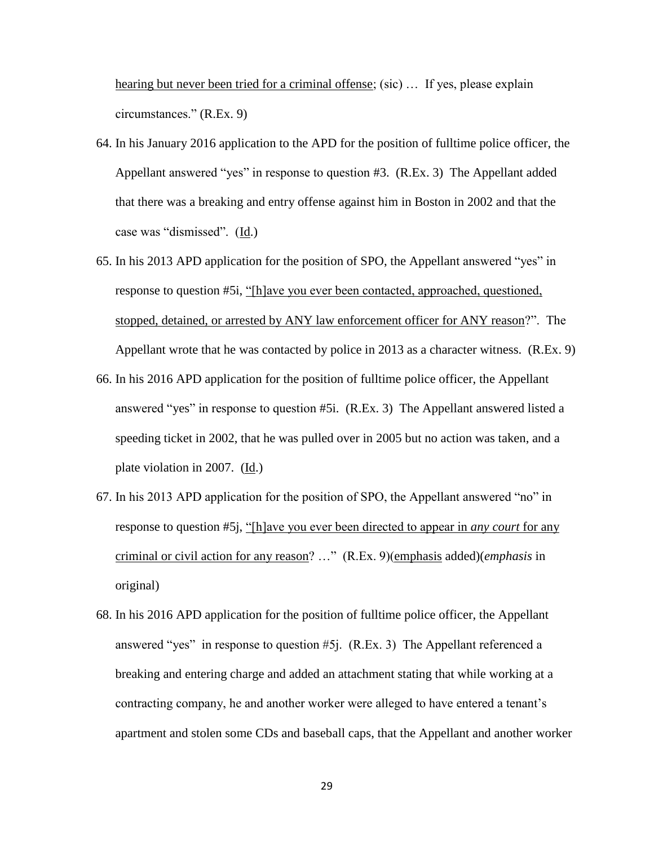hearing but never been tried for a criminal offense; (sic) ... If yes, please explain circumstances." (R.Ex. 9)

- 64. In his January 2016 application to the APD for the position of fulltime police officer, the Appellant answered "yes" in response to question #3. (R.Ex. 3) The Appellant added that there was a breaking and entry offense against him in Boston in 2002 and that the case was "dismissed". (Id.)
- 65. In his 2013 APD application for the position of SPO, the Appellant answered "yes" in response to question #5i, "[h]ave you ever been contacted, approached, questioned, stopped, detained, or arrested by ANY law enforcement officer for ANY reason?". The Appellant wrote that he was contacted by police in 2013 as a character witness. (R.Ex. 9)
- 66. In his 2016 APD application for the position of fulltime police officer, the Appellant answered "yes" in response to question #5i. (R.Ex. 3) The Appellant answered listed a speeding ticket in 2002, that he was pulled over in 2005 but no action was taken, and a plate violation in 2007. (Id.)
- 67. In his 2013 APD application for the position of SPO, the Appellant answered "no" in response to question #5j, "[h]ave you ever been directed to appear in *any court* for any criminal or civil action for any reason? …" (R.Ex. 9)(emphasis added)(*emphasis* in original)
- 68. In his 2016 APD application for the position of fulltime police officer, the Appellant answered "yes" in response to question #5j. (R.Ex. 3) The Appellant referenced a breaking and entering charge and added an attachment stating that while working at a contracting company, he and another worker were alleged to have entered a tenant's apartment and stolen some CDs and baseball caps, that the Appellant and another worker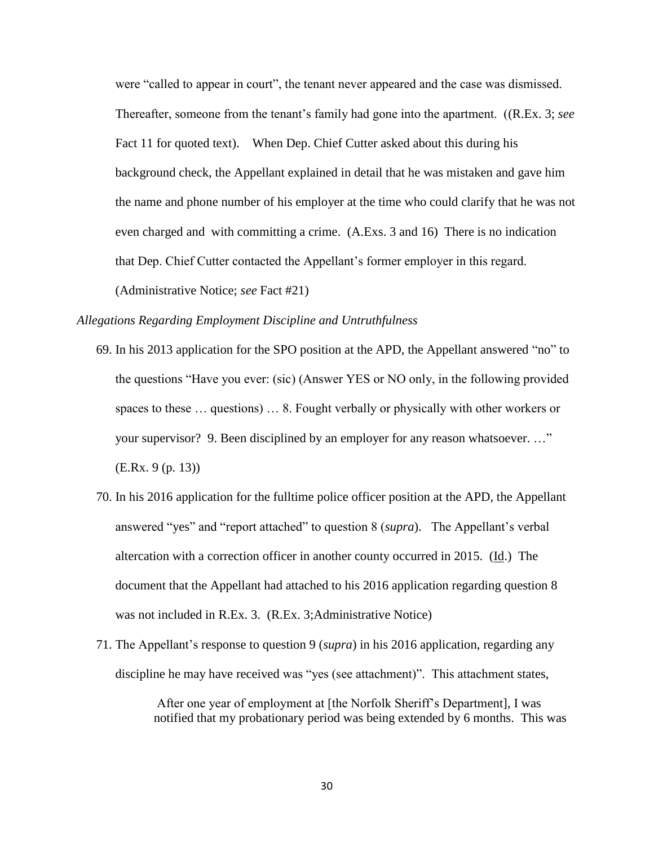were "called to appear in court", the tenant never appeared and the case was dismissed. Thereafter, someone from the tenant's family had gone into the apartment. ((R.Ex. 3; *see* Fact 11 for quoted text). When Dep. Chief Cutter asked about this during his background check, the Appellant explained in detail that he was mistaken and gave him the name and phone number of his employer at the time who could clarify that he was not even charged and with committing a crime. (A.Exs. 3 and 16) There is no indication that Dep. Chief Cutter contacted the Appellant's former employer in this regard. (Administrative Notice; *see* Fact #21)

#### *Allegations Regarding Employment Discipline and Untruthfulness*

- 69. In his 2013 application for the SPO position at the APD, the Appellant answered "no" to the questions "Have you ever: (sic) (Answer YES or NO only, in the following provided spaces to these … questions) … 8. Fought verbally or physically with other workers or your supervisor? 9. Been disciplined by an employer for any reason whatsoever. …" (E.Rx. 9 (p. 13))
- 70. In his 2016 application for the fulltime police officer position at the APD, the Appellant answered "yes" and "report attached" to question 8 (*supra*). The Appellant's verbal altercation with a correction officer in another county occurred in 2015. (Id.) The document that the Appellant had attached to his 2016 application regarding question 8 was not included in R.Ex. 3. (R.Ex. 3;Administrative Notice)
- 71. The Appellant's response to question 9 (*supra*) in his 2016 application, regarding any discipline he may have received was "yes (see attachment)". This attachment states,

After one year of employment at [the Norfolk Sheriff's Department], I was notified that my probationary period was being extended by 6 months. This was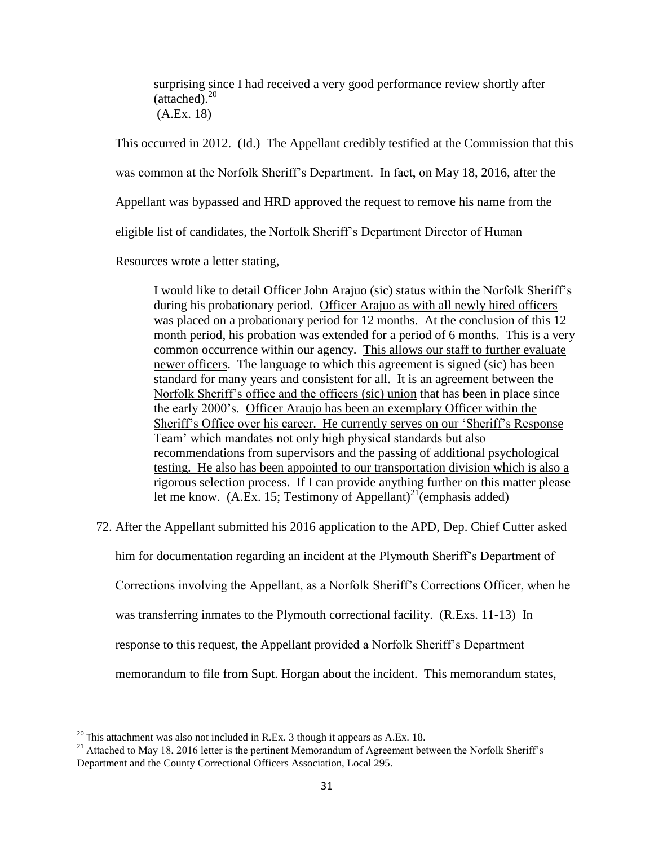surprising since I had received a very good performance review shortly after  $(attached)<sup>20</sup>$ (A.Ex. 18)

This occurred in 2012. (Id.) The Appellant credibly testified at the Commission that this

was common at the Norfolk Sheriff's Department. In fact, on May 18, 2016, after the

Appellant was bypassed and HRD approved the request to remove his name from the

eligible list of candidates, the Norfolk Sheriff's Department Director of Human

Resources wrote a letter stating,

I would like to detail Officer John Arajuo (sic) status within the Norfolk Sheriff's during his probationary period. Officer Arajuo as with all newly hired officers was placed on a probationary period for 12 months. At the conclusion of this 12 month period, his probation was extended for a period of 6 months. This is a very common occurrence within our agency. This allows our staff to further evaluate newer officers. The language to which this agreement is signed (sic) has been standard for many years and consistent for all. It is an agreement between the Norfolk Sheriff's office and the officers (sic) union that has been in place since the early 2000's. Officer Araujo has been an exemplary Officer within the Sheriff's Office over his career. He currently serves on our 'Sheriff's Response Team' which mandates not only high physical standards but also recommendations from supervisors and the passing of additional psychological testing. He also has been appointed to our transportation division which is also a rigorous selection process. If I can provide anything further on this matter please let me know. (A.Ex. 15; Testimony of Appellant)<sup>21</sup> (emphasis added)

72. After the Appellant submitted his 2016 application to the APD, Dep. Chief Cutter asked

him for documentation regarding an incident at the Plymouth Sheriff's Department of

Corrections involving the Appellant, as a Norfolk Sheriff's Corrections Officer, when he

was transferring inmates to the Plymouth correctional facility. (R.Exs. 11-13) In

response to this request, the Appellant provided a Norfolk Sheriff's Department

memorandum to file from Supt. Horgan about the incident. This memorandum states,

 $^{20}$  This attachment was also not included in R.Ex. 3 though it appears as A.Ex. 18.

<sup>&</sup>lt;sup>21</sup> Attached to May 18, 2016 letter is the pertinent Memorandum of Agreement between the Norfolk Sheriff's Department and the County Correctional Officers Association, Local 295.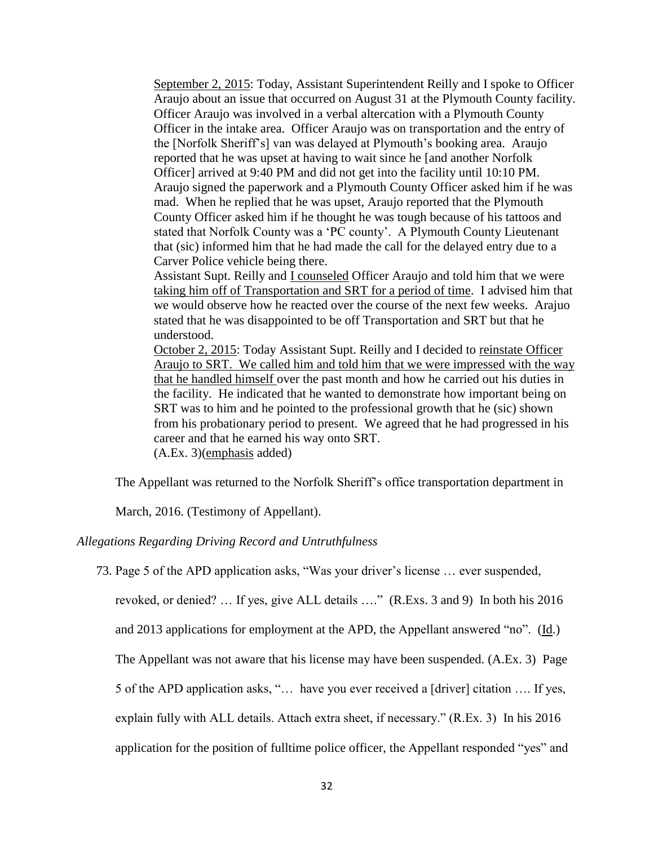September 2, 2015: Today, Assistant Superintendent Reilly and I spoke to Officer Araujo about an issue that occurred on August 31 at the Plymouth County facility. Officer Araujo was involved in a verbal altercation with a Plymouth County Officer in the intake area. Officer Araujo was on transportation and the entry of the [Norfolk Sheriff's] van was delayed at Plymouth's booking area. Araujo reported that he was upset at having to wait since he [and another Norfolk Officer] arrived at 9:40 PM and did not get into the facility until 10:10 PM. Araujo signed the paperwork and a Plymouth County Officer asked him if he was mad. When he replied that he was upset, Araujo reported that the Plymouth County Officer asked him if he thought he was tough because of his tattoos and stated that Norfolk County was a 'PC county'. A Plymouth County Lieutenant that (sic) informed him that he had made the call for the delayed entry due to a Carver Police vehicle being there.

Assistant Supt. Reilly and I counseled Officer Araujo and told him that we were taking him off of Transportation and SRT for a period of time. I advised him that we would observe how he reacted over the course of the next few weeks. Arajuo stated that he was disappointed to be off Transportation and SRT but that he understood.

October 2, 2015: Today Assistant Supt. Reilly and I decided to reinstate Officer Araujo to SRT. We called him and told him that we were impressed with the way that he handled himself over the past month and how he carried out his duties in the facility. He indicated that he wanted to demonstrate how important being on SRT was to him and he pointed to the professional growth that he (sic) shown from his probationary period to present. We agreed that he had progressed in his career and that he earned his way onto SRT. (A.Ex. 3)(emphasis added)

The Appellant was returned to the Norfolk Sheriff's office transportation department in

March, 2016. (Testimony of Appellant).

## *Allegations Regarding Driving Record and Untruthfulness*

73. Page 5 of the APD application asks, "Was your driver's license … ever suspended,

revoked, or denied? … If yes, give ALL details …." (R.Exs. 3 and 9) In both his 2016

and 2013 applications for employment at the APD, the Appellant answered "no". (Id.)

The Appellant was not aware that his license may have been suspended. (A.Ex. 3) Page

5 of the APD application asks, "… have you ever received a [driver] citation …. If yes,

explain fully with ALL details. Attach extra sheet, if necessary." (R.Ex. 3) In his 2016

application for the position of fulltime police officer, the Appellant responded "yes" and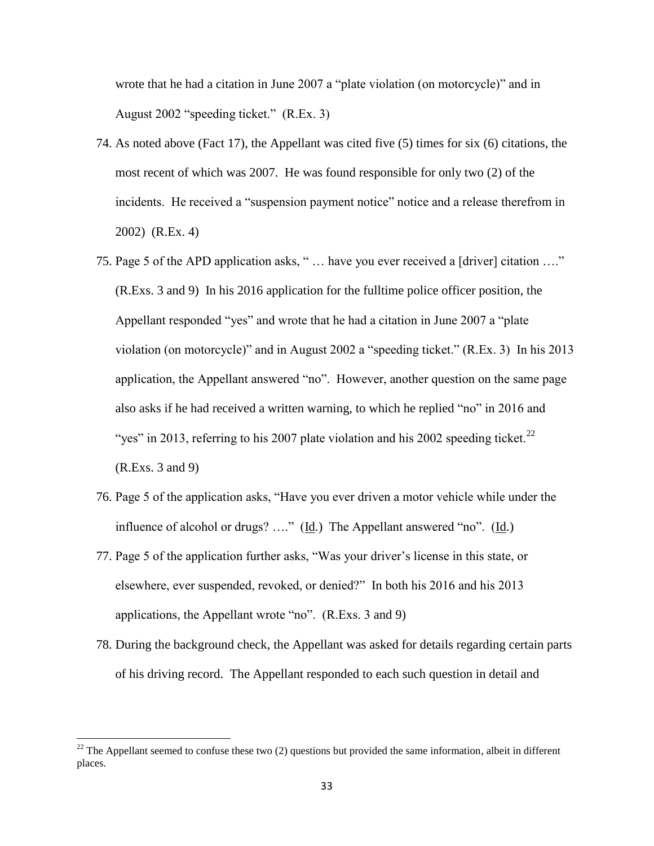wrote that he had a citation in June 2007 a "plate violation (on motorcycle)" and in August 2002 "speeding ticket." (R.Ex. 3)

- 74. As noted above (Fact 17), the Appellant was cited five (5) times for six (6) citations, the most recent of which was 2007. He was found responsible for only two (2) of the incidents. He received a "suspension payment notice" notice and a release therefrom in 2002) (R.Ex. 4)
- 75. Page 5 of the APD application asks, " … have you ever received a [driver] citation …." (R.Exs. 3 and 9) In his 2016 application for the fulltime police officer position, the Appellant responded "yes" and wrote that he had a citation in June 2007 a "plate violation (on motorcycle)" and in August 2002 a "speeding ticket." (R.Ex. 3) In his 2013 application, the Appellant answered "no". However, another question on the same page also asks if he had received a written warning, to which he replied "no" in 2016 and "yes" in 2013, referring to his 2007 plate violation and his 2002 speeding ticket.<sup>22</sup> (R.Exs. 3 and 9)
- 76. Page 5 of the application asks, "Have you ever driven a motor vehicle while under the influence of alcohol or drugs? …." (Id.) The Appellant answered "no". (Id.)
- 77. Page 5 of the application further asks, "Was your driver's license in this state, or elsewhere, ever suspended, revoked, or denied?" In both his 2016 and his 2013 applications, the Appellant wrote "no". (R.Exs. 3 and 9)
- 78. During the background check, the Appellant was asked for details regarding certain parts of his driving record. The Appellant responded to each such question in detail and

<sup>&</sup>lt;sup>22</sup> The Appellant seemed to confuse these two (2) questions but provided the same information, albeit in different places.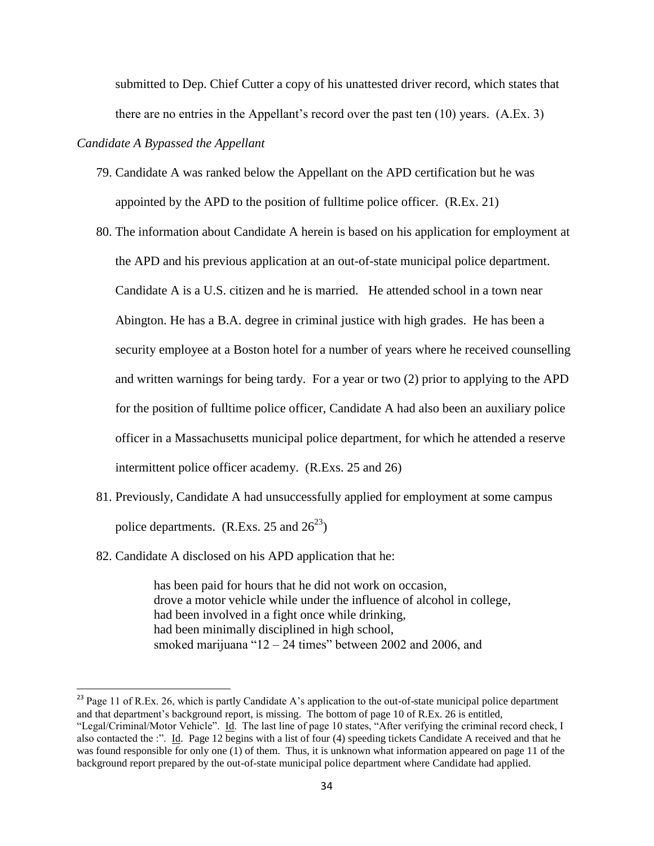submitted to Dep. Chief Cutter a copy of his unattested driver record, which states that there are no entries in the Appellant's record over the past ten (10) years. (A.Ex. 3)

#### *Candidate A Bypassed the Appellant*

- 79. Candidate A was ranked below the Appellant on the APD certification but he was appointed by the APD to the position of fulltime police officer. (R.Ex. 21)
- 80. The information about Candidate A herein is based on his application for employment at the APD and his previous application at an out-of-state municipal police department. Candidate A is a U.S. citizen and he is married. He attended school in a town near Abington. He has a B.A. degree in criminal justice with high grades. He has been a security employee at a Boston hotel for a number of years where he received counselling and written warnings for being tardy. For a year or two (2) prior to applying to the APD for the position of fulltime police officer, Candidate A had also been an auxiliary police officer in a Massachusetts municipal police department, for which he attended a reserve intermittent police officer academy. (R.Exs. 25 and 26)
- 81. Previously, Candidate A had unsuccessfully applied for employment at some campus police departments. (R.Exs. 25 and  $26^{23}$ )
- 82. Candidate A disclosed on his APD application that he:

l

has been paid for hours that he did not work on occasion, drove a motor vehicle while under the influence of alcohol in college, had been involved in a fight once while drinking, had been minimally disciplined in high school, smoked marijuana "12 – 24 times" between 2002 and 2006, and

<sup>&</sup>lt;sup>23</sup> Page 11 of R.Ex. 26, which is partly Candidate A's application to the out-of-state municipal police department and that department's background report, is missing. The bottom of page 10 of R.Ex. 26 is entitled,

<sup>&</sup>quot;Legal/Criminal/Motor Vehicle". Id. The last line of page 10 states, "After verifying the criminal record check, I also contacted the :". Id. Page 12 begins with a list of four (4) speeding tickets Candidate A received and that he was found responsible for only one (1) of them. Thus, it is unknown what information appeared on page 11 of the background report prepared by the out-of-state municipal police department where Candidate had applied.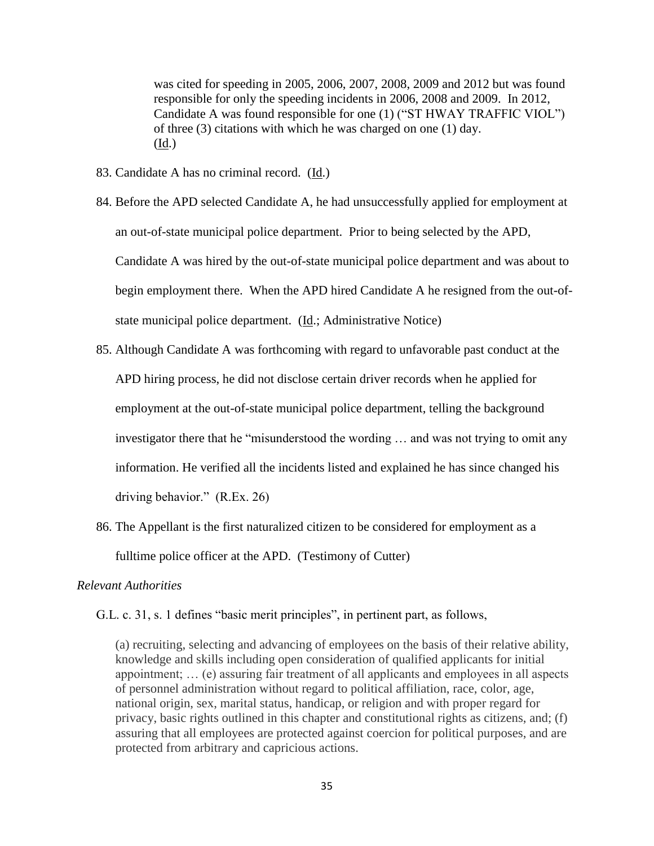was cited for speeding in 2005, 2006, 2007, 2008, 2009 and 2012 but was found responsible for only the speeding incidents in 2006, 2008 and 2009. In 2012, Candidate A was found responsible for one (1) ("ST HWAY TRAFFIC VIOL") of three (3) citations with which he was charged on one (1) day. (Id.)

- 83. Candidate A has no criminal record. (Id.)
- 84. Before the APD selected Candidate A, he had unsuccessfully applied for employment at an out-of-state municipal police department. Prior to being selected by the APD, Candidate A was hired by the out-of-state municipal police department and was about to begin employment there. When the APD hired Candidate A he resigned from the out-ofstate municipal police department. (Id.; Administrative Notice)
- 85. Although Candidate A was forthcoming with regard to unfavorable past conduct at the APD hiring process, he did not disclose certain driver records when he applied for employment at the out-of-state municipal police department, telling the background investigator there that he "misunderstood the wording … and was not trying to omit any information. He verified all the incidents listed and explained he has since changed his driving behavior." (R.Ex. 26)
- 86. The Appellant is the first naturalized citizen to be considered for employment as a fulltime police officer at the APD. (Testimony of Cutter)

#### *Relevant Authorities*

G.L. c. 31, s. 1 defines "basic merit principles", in pertinent part, as follows,

(a) recruiting, selecting and advancing of employees on the basis of their relative ability, knowledge and skills including open consideration of qualified applicants for initial appointment; … (e) assuring fair treatment of all applicants and employees in all aspects of personnel administration without regard to political affiliation, race, color, age, national origin, sex, marital status, handicap, or religion and with proper regard for privacy, basic rights outlined in this chapter and constitutional rights as citizens, and; (f) assuring that all employees are protected against coercion for political purposes, and are protected from arbitrary and capricious actions.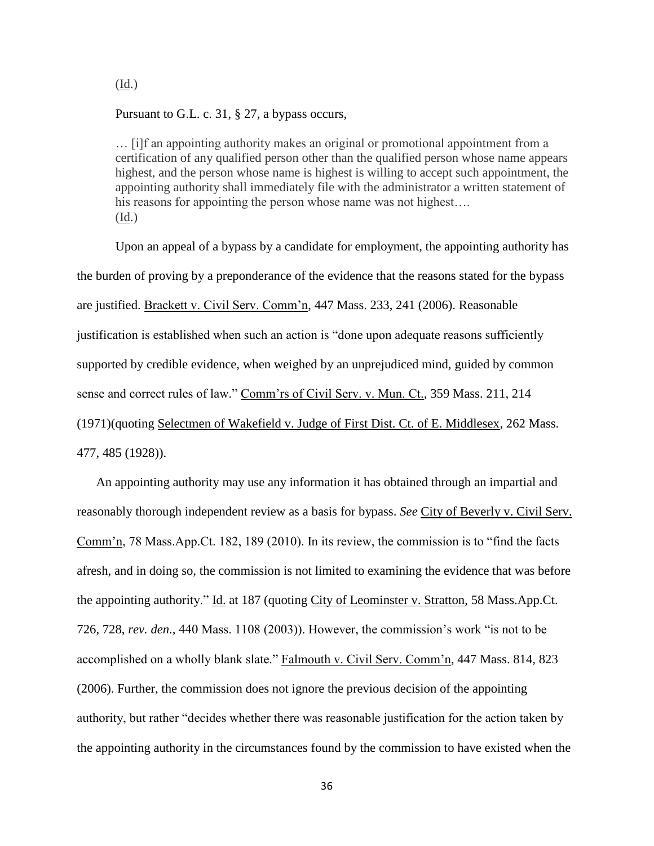Pursuant to G.L. c. 31, § 27, a bypass occurs,

… [i]f an appointing authority makes an original or promotional appointment from a certification of any qualified person other than the qualified person whose name appears highest, and the person whose name is highest is willing to accept such appointment, the appointing authority shall immediately file with the administrator a written statement of his reasons for appointing the person whose name was not highest.... (Id.)

Upon an appeal of a bypass by a candidate for employment, the appointing authority has the burden of proving by a preponderance of the evidence that the reasons stated for the bypass are justified. Brackett v. Civil Serv. Comm'n, 447 Mass. 233, 241 (2006). Reasonable justification is established when such an action is "done upon adequate reasons sufficiently supported by credible evidence, when weighed by an unprejudiced mind, guided by common sense and correct rules of law." Comm'rs of Civil Serv. v. Mun. Ct., 359 Mass. 211, 214 (1971)(quoting Selectmen of Wakefield v. Judge of First Dist. Ct. of E. Middlesex, 262 Mass. 477, 485 (1928)).

An appointing authority may use any information it has obtained through an impartial and reasonably thorough independent review as a basis for bypass. *See* City of Beverly v. Civil Serv. Comm'n, 78 Mass.App.Ct. 182, 189 (2010). In its review, the commission is to "find the facts afresh, and in doing so, the commission is not limited to examining the evidence that was before the appointing authority." Id. at 187 (quoting City of Leominster v. Stratton, 58 Mass.App.Ct. 726, 728, *rev. den.,* 440 Mass. 1108 (2003)). However, the commission's work "is not to be accomplished on a wholly blank slate." Falmouth v. Civil Serv. Comm'n, 447 Mass. 814, 823 (2006). Further, the commission does not ignore the previous decision of the appointing authority, but rather "decides whether there was reasonable justification for the action taken by the appointing authority in the circumstances found by the commission to have existed when the

(Id.)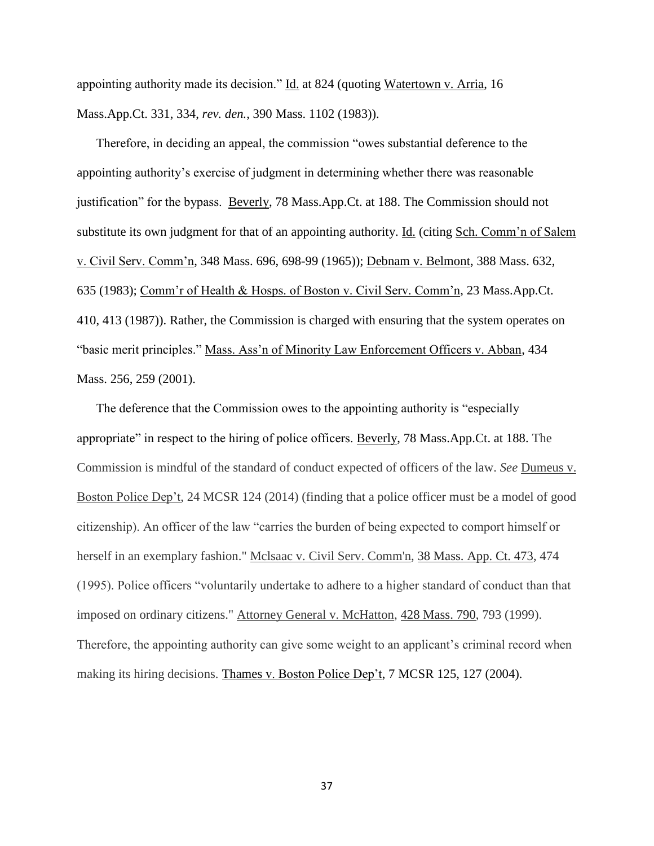appointing authority made its decision." Id. at 824 (quoting Watertown v. Arria, 16 Mass.App.Ct. 331, 334, *rev. den.*, 390 Mass. 1102 (1983)).

Therefore, in deciding an appeal, the commission "owes substantial deference to the appointing authority's exercise of judgment in determining whether there was reasonable justification" for the bypass. Beverly, 78 Mass.App.Ct. at 188. The Commission should not substitute its own judgment for that of an appointing authority. Id. (citing Sch. Comm'n of Salem v. Civil Serv. Comm'n, 348 Mass. 696, 698-99 (1965)); Debnam v. Belmont, 388 Mass. 632, 635 (1983); Comm'r of Health & Hosps. of Boston v. Civil Serv. Comm'n, 23 Mass.App.Ct. 410, 413 (1987)). Rather, the Commission is charged with ensuring that the system operates on "basic merit principles." Mass. Ass'n of Minority Law Enforcement Officers v. Abban, 434 Mass. 256, 259 (2001).

The deference that the Commission owes to the appointing authority is "especially appropriate" in respect to the hiring of police officers. Beverly, 78 Mass.App.Ct. at 188. The Commission is mindful of the standard of conduct expected of officers of the law. *See* Dumeus v. Boston Police Dep't, 24 MCSR 124 (2014) (finding that a police officer must be a model of good citizenship). An officer of the law "carries the burden of being expected to comport himself or herself in an exemplary fashion." Mclsaac v. Civil Serv. Comm'n, [38 Mass. App. Ct. 473,](http://sll.gvpi.net/document.php?id=sjcapp:38_mass_app_ct_473) 474 (1995). Police officers "voluntarily undertake to adhere to a higher standard of conduct than that imposed on ordinary citizens." Attorney General v. McHatton, [428 Mass. 790,](http://sll.gvpi.net/document.php?id=sjcapp:428_mass_790) 793 (1999). Therefore, the appointing authority can give some weight to an applicant's criminal record when making its hiring decisions. Thames v. Boston Police Dep't, 7 MCSR 125, 127 (2004).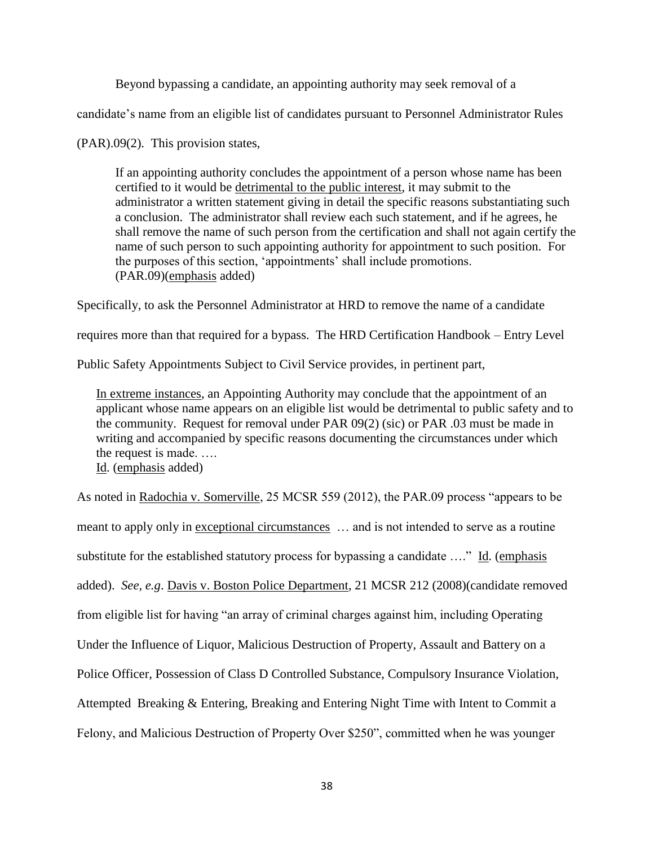Beyond bypassing a candidate, an appointing authority may seek removal of a

candidate's name from an eligible list of candidates pursuant to Personnel Administrator Rules

(PAR).09(2). This provision states,

If an appointing authority concludes the appointment of a person whose name has been certified to it would be detrimental to the public interest, it may submit to the administrator a written statement giving in detail the specific reasons substantiating such a conclusion. The administrator shall review each such statement, and if he agrees, he shall remove the name of such person from the certification and shall not again certify the name of such person to such appointing authority for appointment to such position. For the purposes of this section, 'appointments' shall include promotions. (PAR.09)(emphasis added)

Specifically, to ask the Personnel Administrator at HRD to remove the name of a candidate

requires more than that required for a bypass. The HRD Certification Handbook – Entry Level

Public Safety Appointments Subject to Civil Service provides, in pertinent part,

In extreme instances, an Appointing Authority may conclude that the appointment of an applicant whose name appears on an eligible list would be detrimental to public safety and to the community. Request for removal under PAR 09(2) (sic) or PAR .03 must be made in writing and accompanied by specific reasons documenting the circumstances under which the request is made. ….

Id. (emphasis added)

As noted in Radochia v. Somerville, 25 MCSR 559 (2012), the PAR.09 process "appears to be meant to apply only in <u>exceptional circumstances</u> ... and is not intended to serve as a routine substitute for the established statutory process for bypassing a candidate …." Id. (emphasis added). *See, e.g*. Davis v. Boston Police Department, 21 MCSR 212 (2008)(candidate removed from eligible list for having "an array of criminal charges against him, including Operating Under the Influence of Liquor, Malicious Destruction of Property, Assault and Battery on a Police Officer, Possession of Class D Controlled Substance, Compulsory Insurance Violation, Attempted Breaking & Entering, Breaking and Entering Night Time with Intent to Commit a Felony, and Malicious Destruction of Property Over \$250", committed when he was younger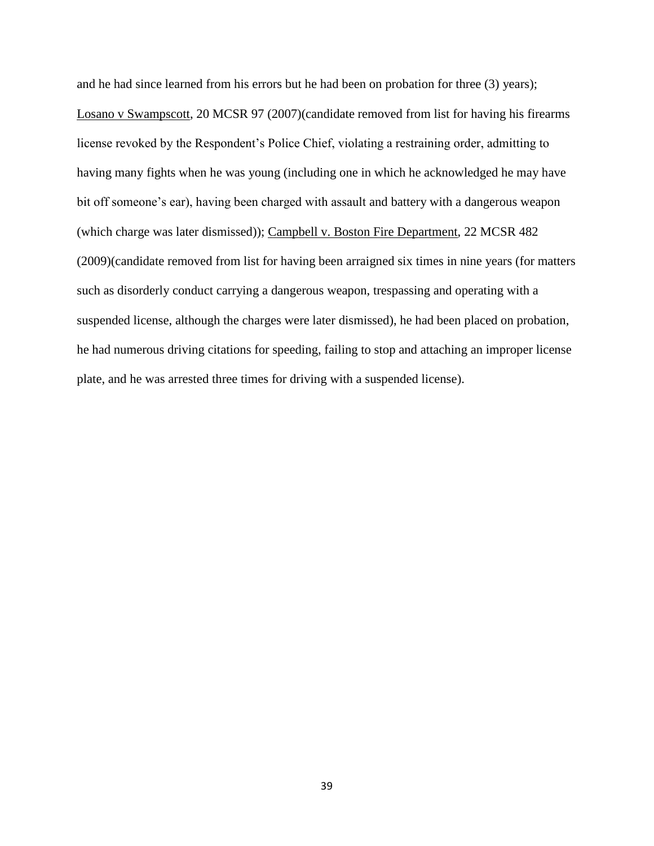and he had since learned from his errors but he had been on probation for three (3) years); Losano v Swampscott, 20 MCSR 97 (2007)(candidate removed from list for having his firearms license revoked by the Respondent's Police Chief, violating a restraining order, admitting to having many fights when he was young (including one in which he acknowledged he may have bit off someone's ear), having been charged with assault and battery with a dangerous weapon (which charge was later dismissed)); Campbell v. Boston Fire Department, 22 MCSR 482 (2009)(candidate removed from list for having been arraigned six times in nine years (for matters such as disorderly conduct carrying a dangerous weapon, trespassing and operating with a suspended license, although the charges were later dismissed), he had been placed on probation, he had numerous driving citations for speeding, failing to stop and attaching an improper license plate, and he was arrested three times for driving with a suspended license).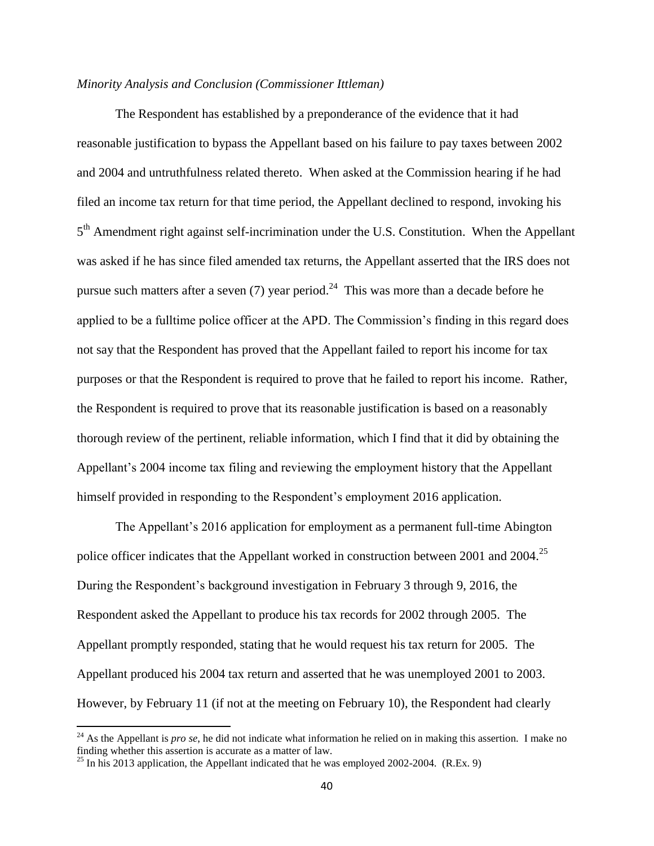#### *Minority Analysis and Conclusion (Commissioner Ittleman)*

The Respondent has established by a preponderance of the evidence that it had reasonable justification to bypass the Appellant based on his failure to pay taxes between 2002 and 2004 and untruthfulness related thereto. When asked at the Commission hearing if he had filed an income tax return for that time period, the Appellant declined to respond, invoking his 5<sup>th</sup> Amendment right against self-incrimination under the U.S. Constitution. When the Appellant was asked if he has since filed amended tax returns, the Appellant asserted that the IRS does not pursue such matters after a seven (7) year period.<sup>24</sup> This was more than a decade before he applied to be a fulltime police officer at the APD. The Commission's finding in this regard does not say that the Respondent has proved that the Appellant failed to report his income for tax purposes or that the Respondent is required to prove that he failed to report his income. Rather, the Respondent is required to prove that its reasonable justification is based on a reasonably thorough review of the pertinent, reliable information, which I find that it did by obtaining the Appellant's 2004 income tax filing and reviewing the employment history that the Appellant himself provided in responding to the Respondent's employment 2016 application.

The Appellant's 2016 application for employment as a permanent full-time Abington police officer indicates that the Appellant worked in construction between 2001 and 2004.<sup>25</sup> During the Respondent's background investigation in February 3 through 9, 2016, the Respondent asked the Appellant to produce his tax records for 2002 through 2005. The Appellant promptly responded, stating that he would request his tax return for 2005. The Appellant produced his 2004 tax return and asserted that he was unemployed 2001 to 2003. However, by February 11 (if not at the meeting on February 10), the Respondent had clearly

<sup>&</sup>lt;sup>24</sup> As the Appellant is *pro se*, he did not indicate what information he relied on in making this assertion. I make no finding whether this assertion is accurate as a matter of law.

<sup>&</sup>lt;sup>25</sup> In his 2013 application, the Appellant indicated that he was employed 2002-2004. (R.Ex. 9)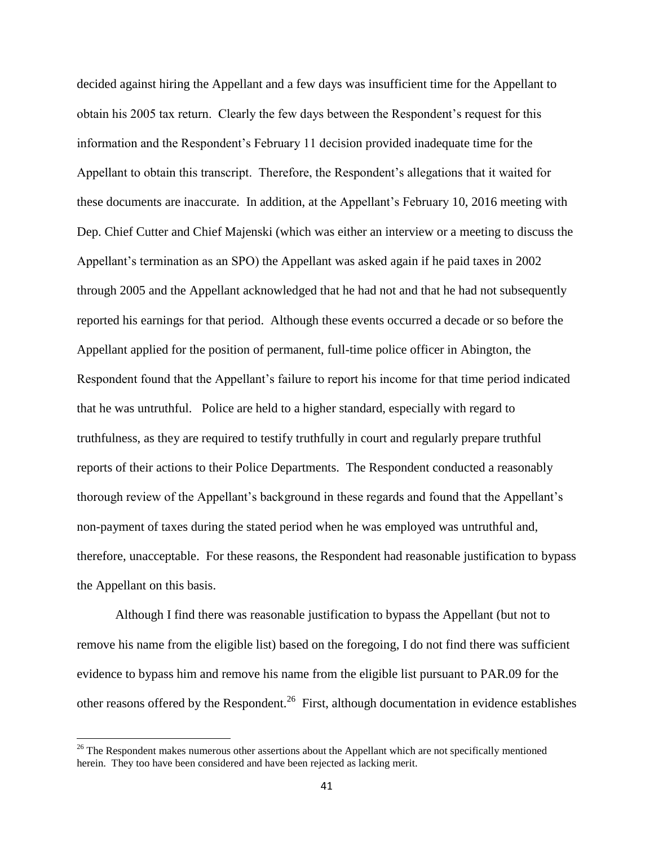decided against hiring the Appellant and a few days was insufficient time for the Appellant to obtain his 2005 tax return. Clearly the few days between the Respondent's request for this information and the Respondent's February 11 decision provided inadequate time for the Appellant to obtain this transcript. Therefore, the Respondent's allegations that it waited for these documents are inaccurate. In addition, at the Appellant's February 10, 2016 meeting with Dep. Chief Cutter and Chief Majenski (which was either an interview or a meeting to discuss the Appellant's termination as an SPO) the Appellant was asked again if he paid taxes in 2002 through 2005 and the Appellant acknowledged that he had not and that he had not subsequently reported his earnings for that period. Although these events occurred a decade or so before the Appellant applied for the position of permanent, full-time police officer in Abington, the Respondent found that the Appellant's failure to report his income for that time period indicated that he was untruthful. Police are held to a higher standard, especially with regard to truthfulness, as they are required to testify truthfully in court and regularly prepare truthful reports of their actions to their Police Departments. The Respondent conducted a reasonably thorough review of the Appellant's background in these regards and found that the Appellant's non-payment of taxes during the stated period when he was employed was untruthful and, therefore, unacceptable. For these reasons, the Respondent had reasonable justification to bypass the Appellant on this basis.

Although I find there was reasonable justification to bypass the Appellant (but not to remove his name from the eligible list) based on the foregoing, I do not find there was sufficient evidence to bypass him and remove his name from the eligible list pursuant to PAR.09 for the other reasons offered by the Respondent.<sup>26</sup> First, although documentation in evidence establishes

 $26$  The Respondent makes numerous other assertions about the Appellant which are not specifically mentioned herein. They too have been considered and have been rejected as lacking merit.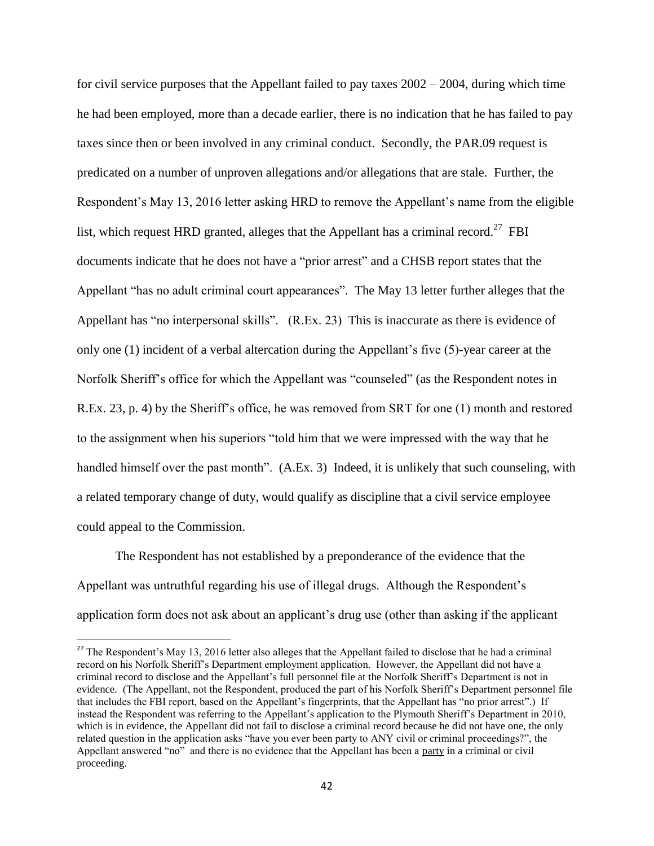for civil service purposes that the Appellant failed to pay taxes  $2002 - 2004$ , during which time he had been employed, more than a decade earlier, there is no indication that he has failed to pay taxes since then or been involved in any criminal conduct. Secondly, the PAR.09 request is predicated on a number of unproven allegations and/or allegations that are stale. Further, the Respondent's May 13, 2016 letter asking HRD to remove the Appellant's name from the eligible list, which request HRD granted, alleges that the Appellant has a criminal record.<sup>27</sup> FBI documents indicate that he does not have a "prior arrest" and a CHSB report states that the Appellant "has no adult criminal court appearances". The May 13 letter further alleges that the Appellant has "no interpersonal skills". (R.Ex. 23) This is inaccurate as there is evidence of only one (1) incident of a verbal altercation during the Appellant's five (5)-year career at the Norfolk Sheriff's office for which the Appellant was "counseled" (as the Respondent notes in R.Ex. 23, p. 4) by the Sheriff's office, he was removed from SRT for one (1) month and restored to the assignment when his superiors "told him that we were impressed with the way that he handled himself over the past month". (A.Ex. 3) Indeed, it is unlikely that such counseling, with a related temporary change of duty, would qualify as discipline that a civil service employee could appeal to the Commission.

The Respondent has not established by a preponderance of the evidence that the Appellant was untruthful regarding his use of illegal drugs. Although the Respondent's application form does not ask about an applicant's drug use (other than asking if the applicant

<sup>&</sup>lt;sup>27</sup> The Respondent's May 13, 2016 letter also alleges that the Appellant failed to disclose that he had a criminal record on his Norfolk Sheriff's Department employment application. However, the Appellant did not have a criminal record to disclose and the Appellant's full personnel file at the Norfolk Sheriff's Department is not in evidence. (The Appellant, not the Respondent, produced the part of his Norfolk Sheriff's Department personnel file that includes the FBI report, based on the Appellant's fingerprints, that the Appellant has "no prior arrest".) If instead the Respondent was referring to the Appellant's application to the Plymouth Sheriff's Department in 2010, which is in evidence, the Appellant did not fail to disclose a criminal record because he did not have one, the only related question in the application asks "have you ever been party to ANY civil or criminal proceedings?", the Appellant answered "no" and there is no evidence that the Appellant has been a party in a criminal or civil proceeding.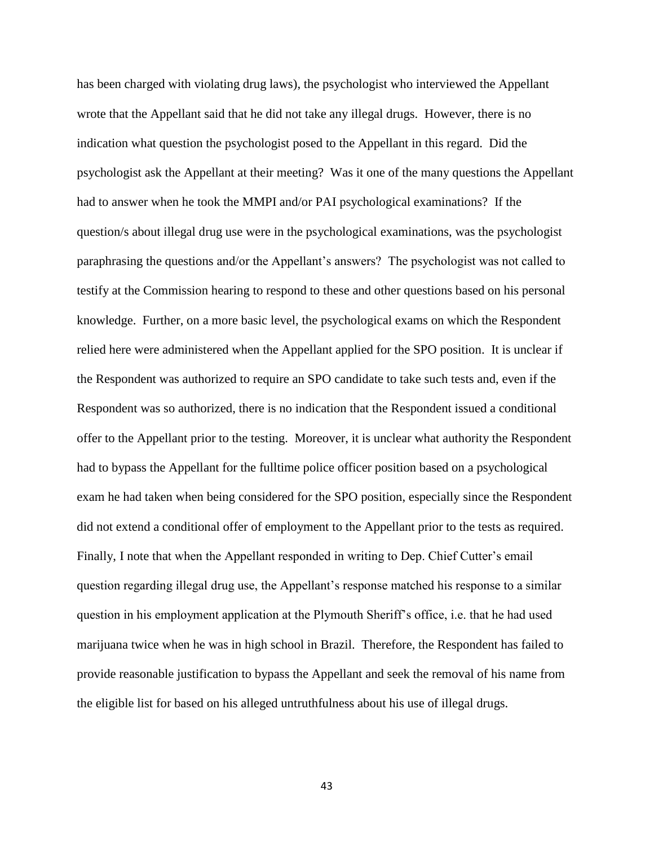has been charged with violating drug laws), the psychologist who interviewed the Appellant wrote that the Appellant said that he did not take any illegal drugs. However, there is no indication what question the psychologist posed to the Appellant in this regard. Did the psychologist ask the Appellant at their meeting? Was it one of the many questions the Appellant had to answer when he took the MMPI and/or PAI psychological examinations? If the question/s about illegal drug use were in the psychological examinations, was the psychologist paraphrasing the questions and/or the Appellant's answers? The psychologist was not called to testify at the Commission hearing to respond to these and other questions based on his personal knowledge. Further, on a more basic level, the psychological exams on which the Respondent relied here were administered when the Appellant applied for the SPO position. It is unclear if the Respondent was authorized to require an SPO candidate to take such tests and, even if the Respondent was so authorized, there is no indication that the Respondent issued a conditional offer to the Appellant prior to the testing. Moreover, it is unclear what authority the Respondent had to bypass the Appellant for the fulltime police officer position based on a psychological exam he had taken when being considered for the SPO position, especially since the Respondent did not extend a conditional offer of employment to the Appellant prior to the tests as required. Finally, I note that when the Appellant responded in writing to Dep. Chief Cutter's email question regarding illegal drug use, the Appellant's response matched his response to a similar question in his employment application at the Plymouth Sheriff's office, i.e. that he had used marijuana twice when he was in high school in Brazil. Therefore, the Respondent has failed to provide reasonable justification to bypass the Appellant and seek the removal of his name from the eligible list for based on his alleged untruthfulness about his use of illegal drugs.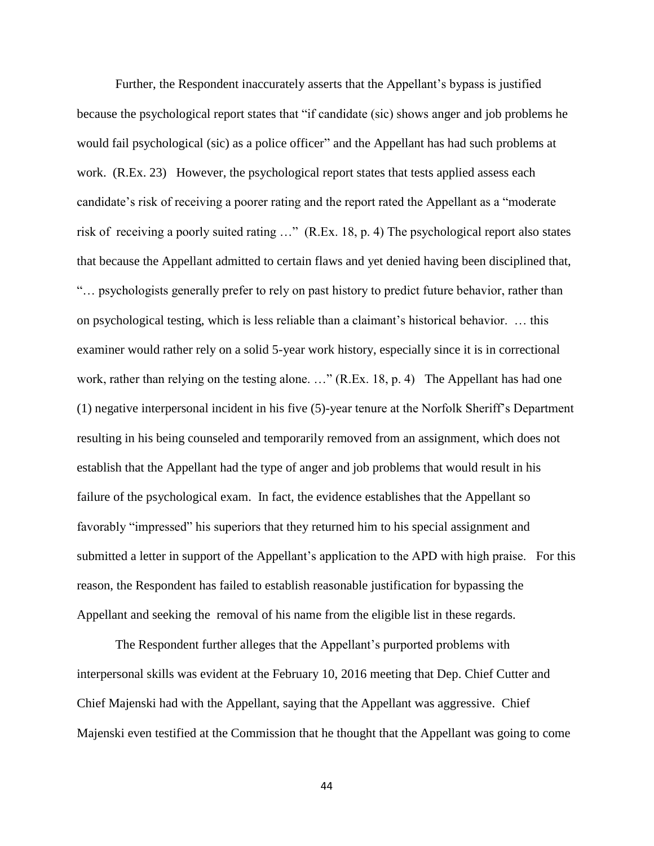Further, the Respondent inaccurately asserts that the Appellant's bypass is justified because the psychological report states that "if candidate (sic) shows anger and job problems he would fail psychological (sic) as a police officer" and the Appellant has had such problems at work. (R.Ex. 23) However, the psychological report states that tests applied assess each candidate's risk of receiving a poorer rating and the report rated the Appellant as a "moderate risk of receiving a poorly suited rating …" (R.Ex. 18, p. 4) The psychological report also states that because the Appellant admitted to certain flaws and yet denied having been disciplined that, "… psychologists generally prefer to rely on past history to predict future behavior, rather than on psychological testing, which is less reliable than a claimant's historical behavior. … this examiner would rather rely on a solid 5-year work history, especially since it is in correctional work, rather than relying on the testing alone. ..." (R.Ex. 18, p. 4) The Appellant has had one (1) negative interpersonal incident in his five (5)-year tenure at the Norfolk Sheriff's Department resulting in his being counseled and temporarily removed from an assignment, which does not establish that the Appellant had the type of anger and job problems that would result in his failure of the psychological exam. In fact, the evidence establishes that the Appellant so favorably "impressed" his superiors that they returned him to his special assignment and submitted a letter in support of the Appellant's application to the APD with high praise. For this reason, the Respondent has failed to establish reasonable justification for bypassing the Appellant and seeking the removal of his name from the eligible list in these regards.

The Respondent further alleges that the Appellant's purported problems with interpersonal skills was evident at the February 10, 2016 meeting that Dep. Chief Cutter and Chief Majenski had with the Appellant, saying that the Appellant was aggressive. Chief Majenski even testified at the Commission that he thought that the Appellant was going to come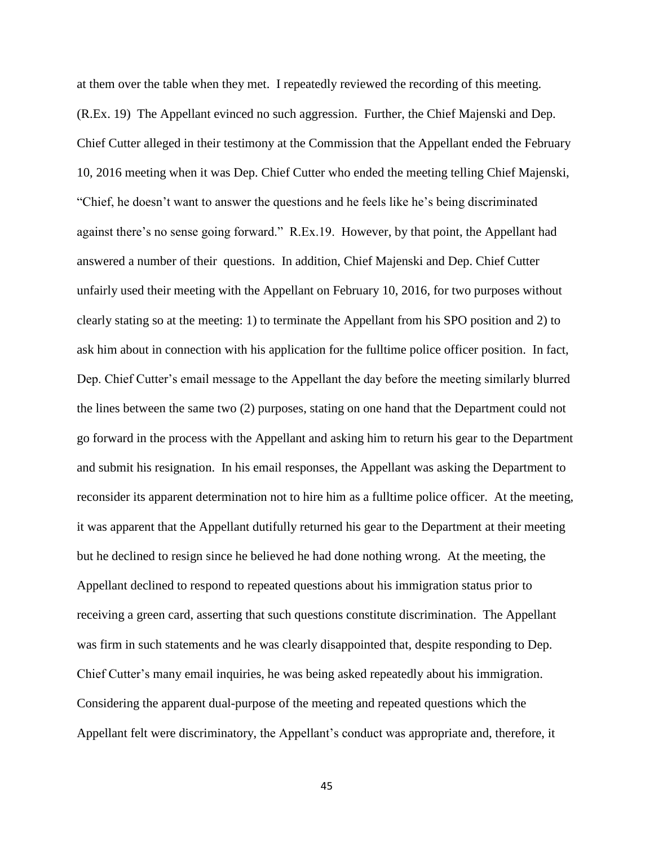at them over the table when they met. I repeatedly reviewed the recording of this meeting. (R.Ex. 19) The Appellant evinced no such aggression. Further, the Chief Majenski and Dep. Chief Cutter alleged in their testimony at the Commission that the Appellant ended the February 10, 2016 meeting when it was Dep. Chief Cutter who ended the meeting telling Chief Majenski, "Chief, he doesn't want to answer the questions and he feels like he's being discriminated against there's no sense going forward." R.Ex.19. However, by that point, the Appellant had answered a number of their questions. In addition, Chief Majenski and Dep. Chief Cutter unfairly used their meeting with the Appellant on February 10, 2016, for two purposes without clearly stating so at the meeting: 1) to terminate the Appellant from his SPO position and 2) to ask him about in connection with his application for the fulltime police officer position. In fact, Dep. Chief Cutter's email message to the Appellant the day before the meeting similarly blurred the lines between the same two (2) purposes, stating on one hand that the Department could not go forward in the process with the Appellant and asking him to return his gear to the Department and submit his resignation. In his email responses, the Appellant was asking the Department to reconsider its apparent determination not to hire him as a fulltime police officer. At the meeting, it was apparent that the Appellant dutifully returned his gear to the Department at their meeting but he declined to resign since he believed he had done nothing wrong. At the meeting, the Appellant declined to respond to repeated questions about his immigration status prior to receiving a green card, asserting that such questions constitute discrimination. The Appellant was firm in such statements and he was clearly disappointed that, despite responding to Dep. Chief Cutter's many email inquiries, he was being asked repeatedly about his immigration. Considering the apparent dual-purpose of the meeting and repeated questions which the Appellant felt were discriminatory, the Appellant's conduct was appropriate and, therefore, it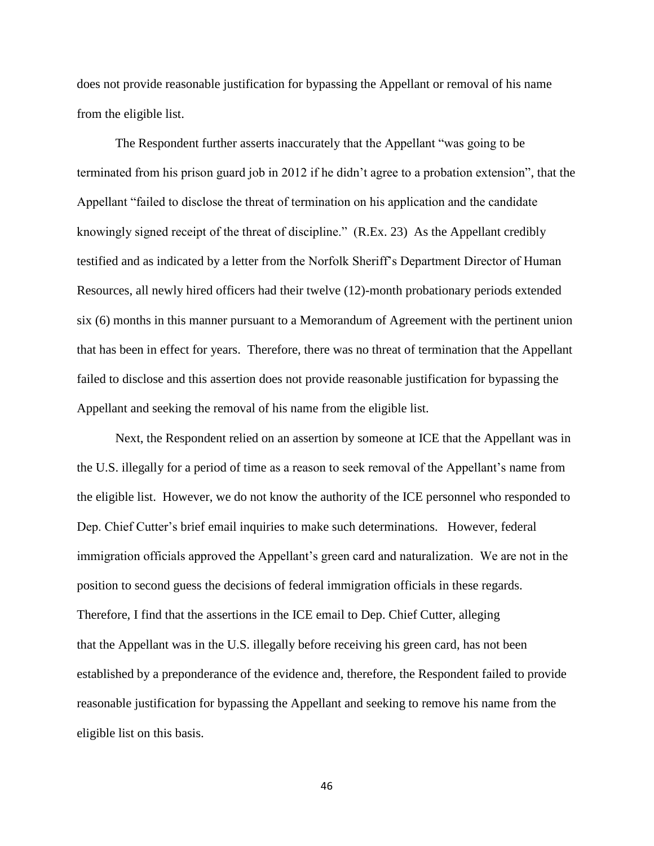does not provide reasonable justification for bypassing the Appellant or removal of his name from the eligible list.

The Respondent further asserts inaccurately that the Appellant "was going to be terminated from his prison guard job in 2012 if he didn't agree to a probation extension", that the Appellant "failed to disclose the threat of termination on his application and the candidate knowingly signed receipt of the threat of discipline." (R.Ex. 23) As the Appellant credibly testified and as indicated by a letter from the Norfolk Sheriff's Department Director of Human Resources, all newly hired officers had their twelve (12)-month probationary periods extended six (6) months in this manner pursuant to a Memorandum of Agreement with the pertinent union that has been in effect for years. Therefore, there was no threat of termination that the Appellant failed to disclose and this assertion does not provide reasonable justification for bypassing the Appellant and seeking the removal of his name from the eligible list.

Next, the Respondent relied on an assertion by someone at ICE that the Appellant was in the U.S. illegally for a period of time as a reason to seek removal of the Appellant's name from the eligible list. However, we do not know the authority of the ICE personnel who responded to Dep. Chief Cutter's brief email inquiries to make such determinations. However, federal immigration officials approved the Appellant's green card and naturalization. We are not in the position to second guess the decisions of federal immigration officials in these regards. Therefore, I find that the assertions in the ICE email to Dep. Chief Cutter, alleging that the Appellant was in the U.S. illegally before receiving his green card, has not been established by a preponderance of the evidence and, therefore, the Respondent failed to provide reasonable justification for bypassing the Appellant and seeking to remove his name from the eligible list on this basis.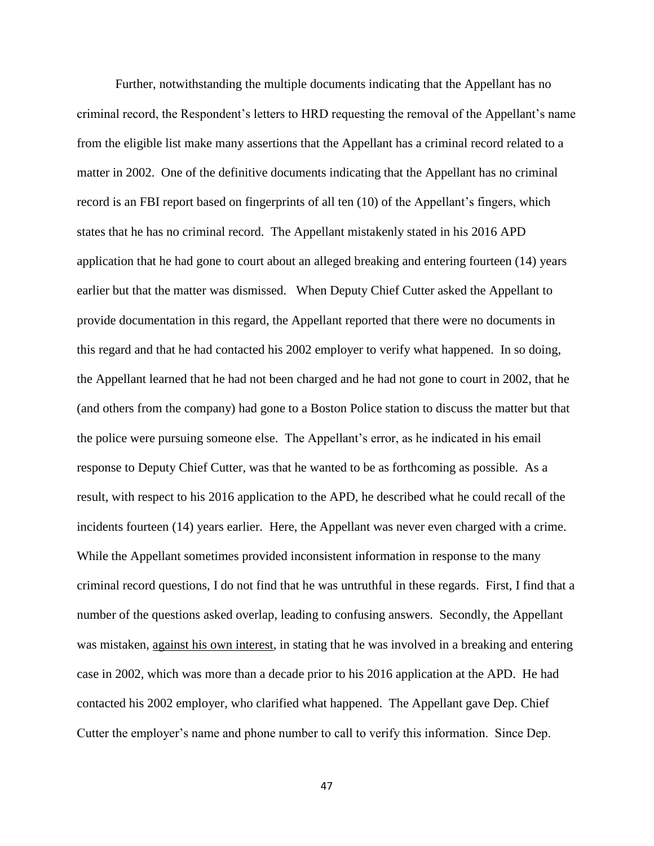Further, notwithstanding the multiple documents indicating that the Appellant has no criminal record, the Respondent's letters to HRD requesting the removal of the Appellant's name from the eligible list make many assertions that the Appellant has a criminal record related to a matter in 2002. One of the definitive documents indicating that the Appellant has no criminal record is an FBI report based on fingerprints of all ten (10) of the Appellant's fingers, which states that he has no criminal record. The Appellant mistakenly stated in his 2016 APD application that he had gone to court about an alleged breaking and entering fourteen (14) years earlier but that the matter was dismissed. When Deputy Chief Cutter asked the Appellant to provide documentation in this regard, the Appellant reported that there were no documents in this regard and that he had contacted his 2002 employer to verify what happened. In so doing, the Appellant learned that he had not been charged and he had not gone to court in 2002, that he (and others from the company) had gone to a Boston Police station to discuss the matter but that the police were pursuing someone else. The Appellant's error, as he indicated in his email response to Deputy Chief Cutter, was that he wanted to be as forthcoming as possible. As a result, with respect to his 2016 application to the APD, he described what he could recall of the incidents fourteen (14) years earlier. Here, the Appellant was never even charged with a crime. While the Appellant sometimes provided inconsistent information in response to the many criminal record questions, I do not find that he was untruthful in these regards. First, I find that a number of the questions asked overlap, leading to confusing answers. Secondly, the Appellant was mistaken, against his own interest, in stating that he was involved in a breaking and entering case in 2002, which was more than a decade prior to his 2016 application at the APD. He had contacted his 2002 employer, who clarified what happened. The Appellant gave Dep. Chief Cutter the employer's name and phone number to call to verify this information. Since Dep.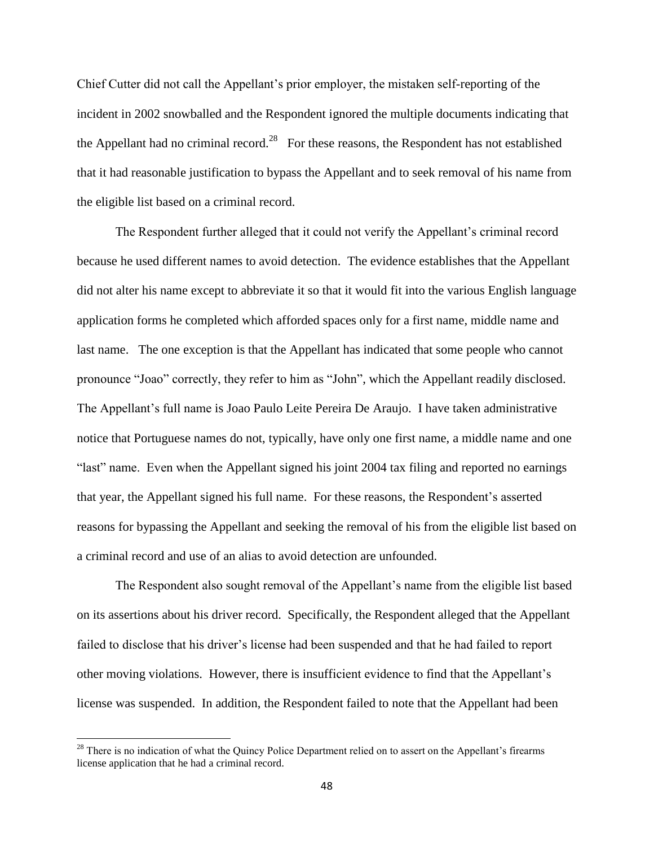Chief Cutter did not call the Appellant's prior employer, the mistaken self-reporting of the incident in 2002 snowballed and the Respondent ignored the multiple documents indicating that the Appellant had no criminal record.<sup>28</sup> For these reasons, the Respondent has not established that it had reasonable justification to bypass the Appellant and to seek removal of his name from the eligible list based on a criminal record.

The Respondent further alleged that it could not verify the Appellant's criminal record because he used different names to avoid detection. The evidence establishes that the Appellant did not alter his name except to abbreviate it so that it would fit into the various English language application forms he completed which afforded spaces only for a first name, middle name and last name. The one exception is that the Appellant has indicated that some people who cannot pronounce "Joao" correctly, they refer to him as "John", which the Appellant readily disclosed. The Appellant's full name is Joao Paulo Leite Pereira De Araujo. I have taken administrative notice that Portuguese names do not, typically, have only one first name, a middle name and one "last" name. Even when the Appellant signed his joint 2004 tax filing and reported no earnings that year, the Appellant signed his full name. For these reasons, the Respondent's asserted reasons for bypassing the Appellant and seeking the removal of his from the eligible list based on a criminal record and use of an alias to avoid detection are unfounded.

The Respondent also sought removal of the Appellant's name from the eligible list based on its assertions about his driver record. Specifically, the Respondent alleged that the Appellant failed to disclose that his driver's license had been suspended and that he had failed to report other moving violations. However, there is insufficient evidence to find that the Appellant's license was suspended. In addition, the Respondent failed to note that the Appellant had been

 $^{28}$  There is no indication of what the Quincy Police Department relied on to assert on the Appellant's firearms license application that he had a criminal record.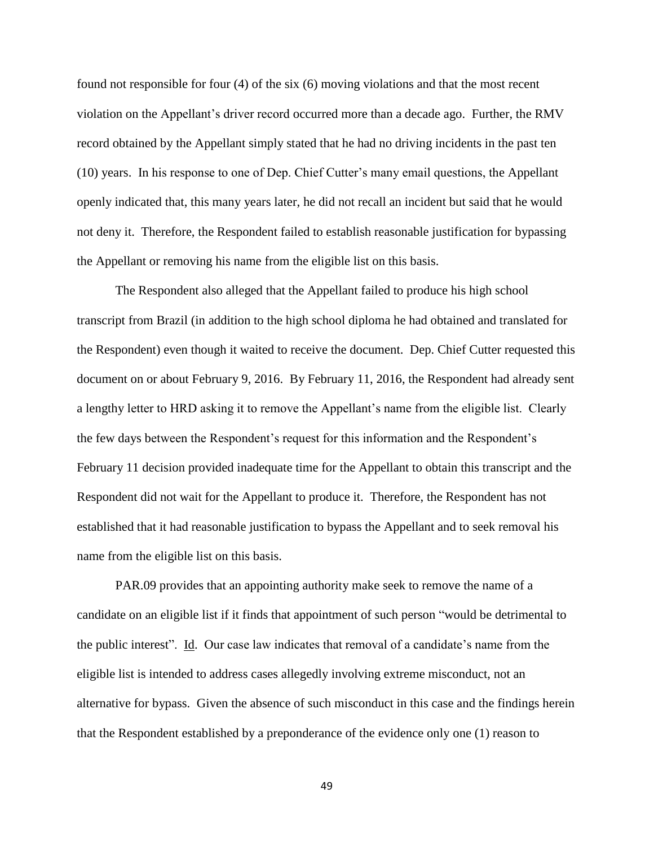found not responsible for four (4) of the six (6) moving violations and that the most recent violation on the Appellant's driver record occurred more than a decade ago. Further, the RMV record obtained by the Appellant simply stated that he had no driving incidents in the past ten (10) years. In his response to one of Dep. Chief Cutter's many email questions, the Appellant openly indicated that, this many years later, he did not recall an incident but said that he would not deny it. Therefore, the Respondent failed to establish reasonable justification for bypassing the Appellant or removing his name from the eligible list on this basis.

The Respondent also alleged that the Appellant failed to produce his high school transcript from Brazil (in addition to the high school diploma he had obtained and translated for the Respondent) even though it waited to receive the document. Dep. Chief Cutter requested this document on or about February 9, 2016. By February 11, 2016, the Respondent had already sent a lengthy letter to HRD asking it to remove the Appellant's name from the eligible list. Clearly the few days between the Respondent's request for this information and the Respondent's February 11 decision provided inadequate time for the Appellant to obtain this transcript and the Respondent did not wait for the Appellant to produce it. Therefore, the Respondent has not established that it had reasonable justification to bypass the Appellant and to seek removal his name from the eligible list on this basis.

PAR.09 provides that an appointing authority make seek to remove the name of a candidate on an eligible list if it finds that appointment of such person "would be detrimental to the public interest". Id. Our case law indicates that removal of a candidate's name from the eligible list is intended to address cases allegedly involving extreme misconduct, not an alternative for bypass. Given the absence of such misconduct in this case and the findings herein that the Respondent established by a preponderance of the evidence only one (1) reason to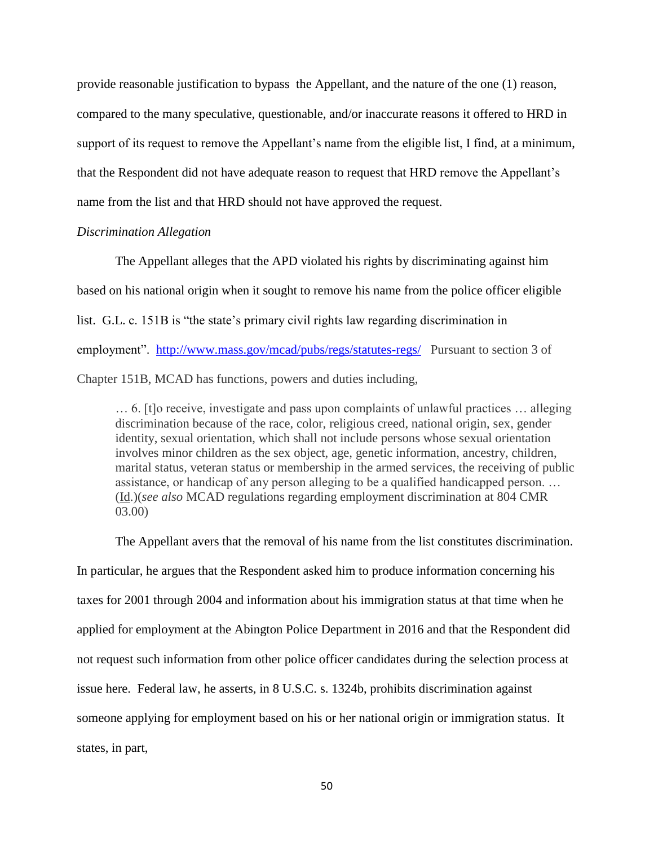provide reasonable justification to bypass the Appellant, and the nature of the one (1) reason, compared to the many speculative, questionable, and/or inaccurate reasons it offered to HRD in support of its request to remove the Appellant's name from the eligible list, I find, at a minimum, that the Respondent did not have adequate reason to request that HRD remove the Appellant's name from the list and that HRD should not have approved the request.

#### *Discrimination Allegation*

The Appellant alleges that the APD violated his rights by discriminating against him based on his national origin when it sought to remove his name from the police officer eligible list. G.L. c. 151B is "the state's primary civil rights law regarding discrimination in employment". <http://www.mass.gov/mcad/pubs/regs/statutes-regs/>Pursuant to section 3 of Chapter 151B, MCAD has functions, powers and duties including,

… 6. [t]o receive, investigate and pass upon complaints of unlawful practices … alleging discrimination because of the race, color, religious creed, national origin, sex, gender identity, sexual orientation, which shall not include persons whose sexual orientation involves minor children as the sex object, age, genetic information, ancestry, children, marital status, veteran status or membership in the armed services, the receiving of public assistance, or handicap of any person alleging to be a qualified handicapped person. … (Id.)(*see also* MCAD regulations regarding employment discrimination at 804 CMR 03.00)

The Appellant avers that the removal of his name from the list constitutes discrimination. In particular, he argues that the Respondent asked him to produce information concerning his taxes for 2001 through 2004 and information about his immigration status at that time when he applied for employment at the Abington Police Department in 2016 and that the Respondent did not request such information from other police officer candidates during the selection process at issue here. Federal law, he asserts, in 8 U.S.C. s. 1324b, prohibits discrimination against someone applying for employment based on his or her national origin or immigration status. It states, in part,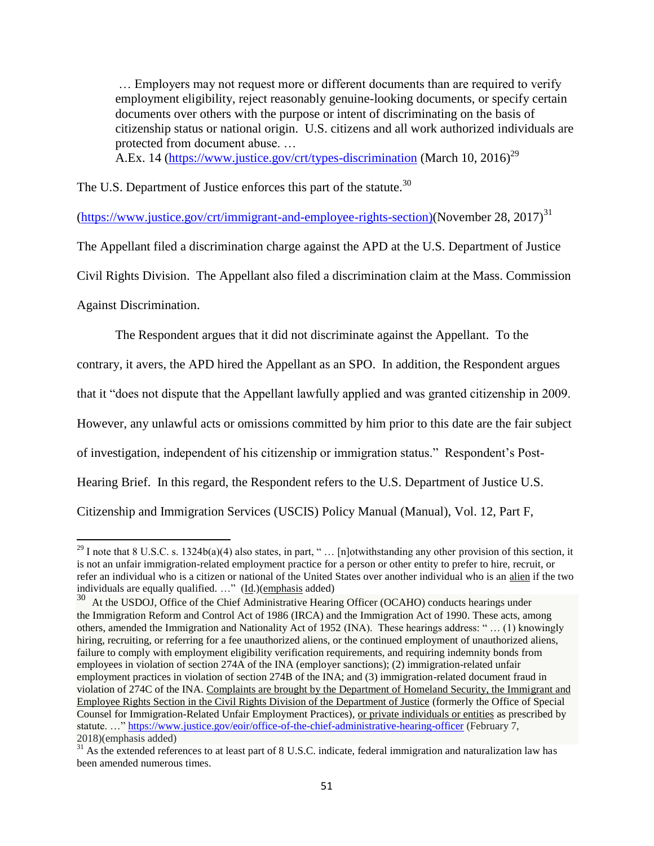… Employers may not request more or different documents than are required to verify employment eligibility, reject reasonably genuine-looking documents, or specify certain documents over others with the purpose or intent of discriminating on the basis of citizenship status or national origin. U.S. citizens and all work authorized individuals are protected from document abuse. …

A.Ex. 14 [\(https://www.justice.gov/crt/types-discrimination](https://www.justice.gov/crt/types-discrimination) (March 10, 2016)<sup>29</sup>

The U.S. Department of Justice enforces this part of the statute.<sup>30</sup>

[\(https://www.justice.gov/crt/immigrant-and-employee-rights-section\)\(November](https://www.justice.gov/crt/immigrant-and-employee-rights-section)(November) 28, 2017)<sup>31</sup>

The Appellant filed a discrimination charge against the APD at the U.S. Department of Justice

Civil Rights Division. The Appellant also filed a discrimination claim at the Mass. Commission

Against Discrimination.

 $\overline{a}$ 

The Respondent argues that it did not discriminate against the Appellant. To the

contrary, it avers, the APD hired the Appellant as an SPO. In addition, the Respondent argues

that it "does not dispute that the Appellant lawfully applied and was granted citizenship in 2009.

However, any unlawful acts or omissions committed by him prior to this date are the fair subject

of investigation, independent of his citizenship or immigration status." Respondent's Post-

Hearing Brief. In this regard, the Respondent refers to the U.S. Department of Justice U.S.

Citizenship and Immigration Services (USCIS) Policy Manual (Manual), Vol. 12, Part F,

 $29$  I note that 8 U.S.C. s. 1324b(a)(4) also states, in part, " ... [n]otwithstanding any other provision of this section, it is not an unfair immigration-related employment practice for a person or other entity to prefer to hire, recruit, or refer an individual who is a citizen or national of the United States over another individual who is an alien if the two individuals are equally qualified. …" (Id.)(emphasis added)

<sup>&</sup>lt;sup>30</sup> At the USDOJ, Office of the Chief Administrative Hearing Officer (OCAHO) conducts hearings under the Immigration [Reform and Control Act of 1986](https://www.justice.gov/eoir/IRCA.pdf) (IRCA) and the [Immigration Act of 1990.](https://www.justice.gov/eoir/IMMACT1990.pdf) These acts, among others, amended the [Immigration and Nationality Act of 1952](http://www.uscis.gov/portal/site/uscis/menuitem.eb1d4c2a3e5b9ac89243c6a7543f6d1a/?vgnextoid=f3829c7755cb9010VgnVCM10000045f3d6a1RCRD&vgnextchannel=f3829c7755cb9010VgnVCM10000045f3d6a1RCRD) (INA). These hearings address: " … (1) knowingly hiring, recruiting, or referring for a fee unauthorized aliens, or the continued employment of unauthorized aliens, failure to comply with employment eligibility verification requirements, and requiring indemnity bonds from employees in violation of section 274A of the INA (employer sanctions); (2) immigration-related unfair employment practices in violation of section 274B of the INA; and (3) immigration-related document fraud in violation of 274C of the INA. Complaints are brought by the Department of Homeland Security, the Immigrant and Employee Rights Section in the Civil Rights Division of the Department of Justice (formerly the Office of Special Counsel for Immigration-Related Unfair Employment Practices), or private individuals or entities as prescribed by statute. …"<https://www.justice.gov/eoir/office-of-the-chief-administrative-hearing-officer> (February 7, 2018)(emphasis added)

<sup>&</sup>lt;sup>31</sup> As the extended references to at least part of 8 U.S.C. indicate, federal immigration and naturalization law has been amended numerous times.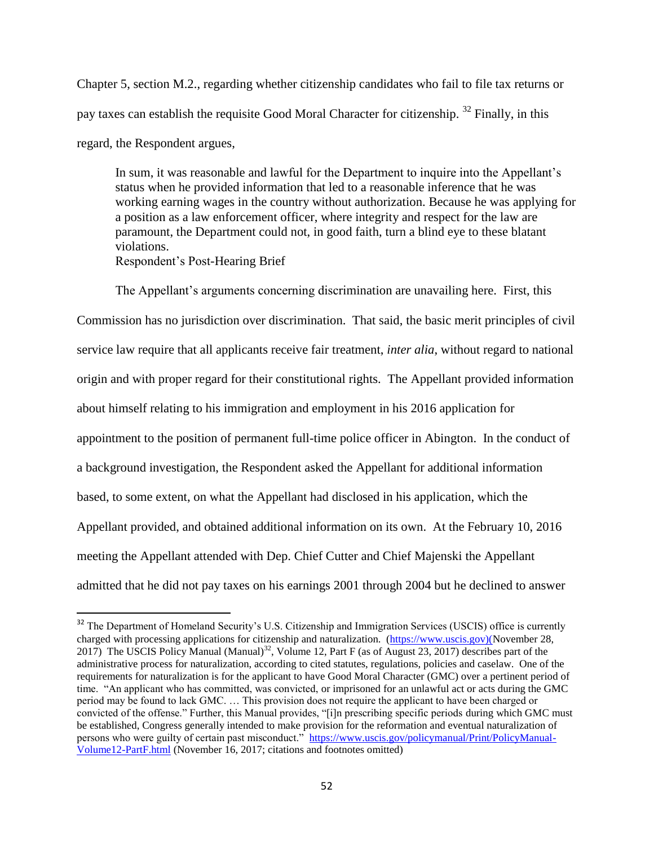Chapter 5, section M.2., regarding whether citizenship candidates who fail to file tax returns or pay taxes can establish the requisite Good Moral Character for citizenship. <sup>32</sup> Finally, in this regard, the Respondent argues,

In sum, it was reasonable and lawful for the Department to inquire into the Appellant's status when he provided information that led to a reasonable inference that he was working earning wages in the country without authorization. Because he was applying for a position as a law enforcement officer, where integrity and respect for the law are paramount, the Department could not, in good faith, turn a blind eye to these blatant violations. Respondent's Post-Hearing Brief

The Appellant's arguments concerning discrimination are unavailing here. First, this Commission has no jurisdiction over discrimination. That said, the basic merit principles of civil service law require that all applicants receive fair treatment, *inter alia*, without regard to national origin and with proper regard for their constitutional rights. The Appellant provided information about himself relating to his immigration and employment in his 2016 application for appointment to the position of permanent full-time police officer in Abington. In the conduct of a background investigation, the Respondent asked the Appellant for additional information based, to some extent, on what the Appellant had disclosed in his application, which the Appellant provided, and obtained additional information on its own. At the February 10, 2016 meeting the Appellant attended with Dep. Chief Cutter and Chief Majenski the Appellant admitted that he did not pay taxes on his earnings 2001 through 2004 but he declined to answer

 $\overline{a}$ 

<sup>&</sup>lt;sup>32</sup> The Department of Homeland Security's U.S. Citizenship and Immigration Services (USCIS) office is currently charged with processing applications for citizenship and naturalization. [\(https://www.uscis.gov\)\(November](https://www.uscis.gov)(november/) 28, 2017) The USCIS Policy Manual (Manual)<sup>32</sup>, Volume 12, Part F (as of August 23, 2017) describes part of the administrative process for naturalization, according to cited statutes, regulations, policies and caselaw. One of the requirements for naturalization is for the applicant to have Good Moral Character (GMC) over a pertinent period of time. "An applicant who has committed, was convicted, or imprisoned for an unlawful act or acts during the GMC period may be found to lack GMC. … This provision does not require the applicant to have been charged or convicted of the offense." Further, this Manual provides, "[i]n prescribing specific periods during which GMC must be established, Congress generally intended to make provision for the reformation and eventual naturalization of persons who were guilty of certain past misconduct." [https://www.uscis.gov/policymanual/Print/PolicyManual-](https://www.uscis.gov/policymanual/Print/PolicyManual-Volume12-PartF.html)[Volume12-PartF.html](https://www.uscis.gov/policymanual/Print/PolicyManual-Volume12-PartF.html) (November 16, 2017; citations and footnotes omitted)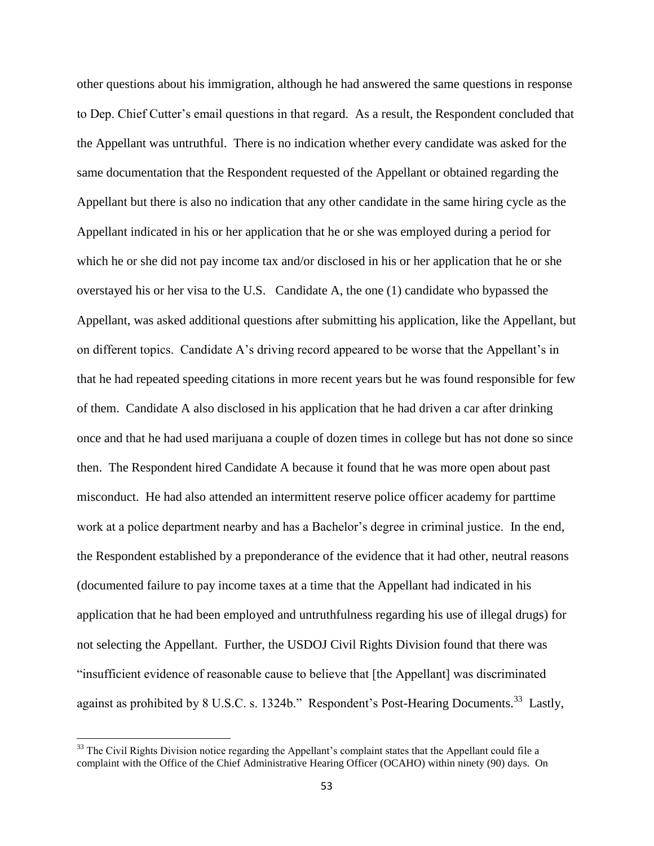other questions about his immigration, although he had answered the same questions in response to Dep. Chief Cutter's email questions in that regard. As a result, the Respondent concluded that the Appellant was untruthful. There is no indication whether every candidate was asked for the same documentation that the Respondent requested of the Appellant or obtained regarding the Appellant but there is also no indication that any other candidate in the same hiring cycle as the Appellant indicated in his or her application that he or she was employed during a period for which he or she did not pay income tax and/or disclosed in his or her application that he or she overstayed his or her visa to the U.S. Candidate A, the one (1) candidate who bypassed the Appellant, was asked additional questions after submitting his application, like the Appellant, but on different topics. Candidate A's driving record appeared to be worse that the Appellant's in that he had repeated speeding citations in more recent years but he was found responsible for few of them. Candidate A also disclosed in his application that he had driven a car after drinking once and that he had used marijuana a couple of dozen times in college but has not done so since then. The Respondent hired Candidate A because it found that he was more open about past misconduct. He had also attended an intermittent reserve police officer academy for parttime work at a police department nearby and has a Bachelor's degree in criminal justice. In the end, the Respondent established by a preponderance of the evidence that it had other, neutral reasons (documented failure to pay income taxes at a time that the Appellant had indicated in his application that he had been employed and untruthfulness regarding his use of illegal drugs) for not selecting the Appellant. Further, the USDOJ Civil Rights Division found that there was "insufficient evidence of reasonable cause to believe that [the Appellant] was discriminated against as prohibited by 8 U.S.C. s. 1324b." Respondent's Post-Hearing Documents.<sup>33</sup> Lastly,

 $33$  The Civil Rights Division notice regarding the Appellant's complaint states that the Appellant could file a complaint with the Office of the Chief Administrative Hearing Officer (OCAHO) within ninety (90) days. On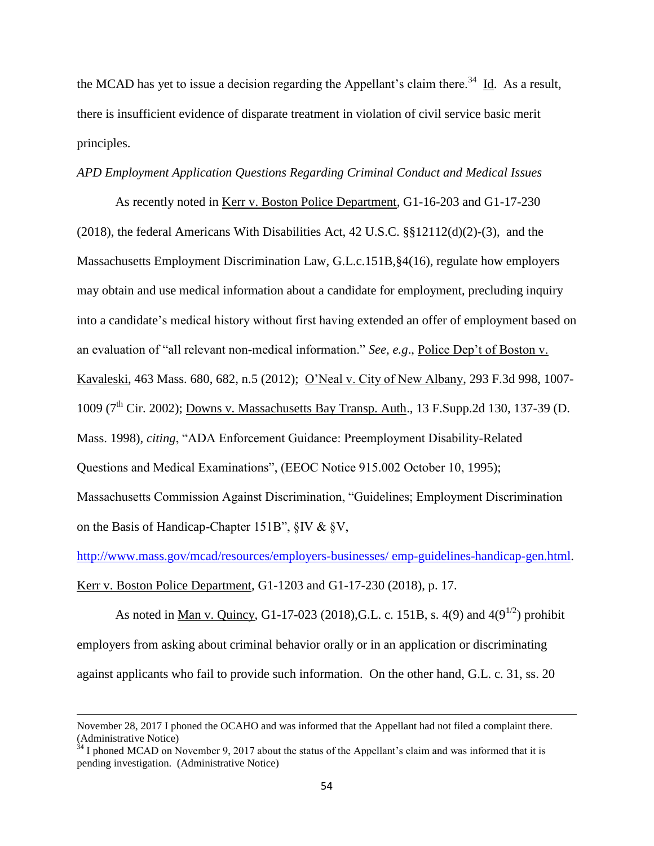the MCAD has yet to issue a decision regarding the Appellant's claim there.<sup>34</sup> Id. As a result, there is insufficient evidence of disparate treatment in violation of civil service basic merit principles.

#### *APD Employment Application Questions Regarding Criminal Conduct and Medical Issues*

As recently noted in Kerr v. Boston Police Department, G1-16-203 and G1-17-230 (2018), the federal Americans With Disabilities Act, 42 U.S.C. §§12112(d)(2)-(3), and the Massachusetts Employment Discrimination Law, G.L.c.151B,§4(16), regulate how employers may obtain and use medical information about a candidate for employment, precluding inquiry into a candidate's medical history without first having extended an offer of employment based on an evaluation of "all relevant non-medical information." *See, e.g*., Police Dep't of Boston v. Kavaleski, 463 Mass. 680, 682, n.5 (2012); O'Neal v. City of New Albany, 293 F.3d 998, 1007- 1009 ( $7<sup>th</sup>$  Cir. 2002); Downs v. Massachusetts Bay Transp. Auth., 13 F. Supp. 2d 130, 137-39 (D. Mass. 1998), *citing*, "ADA Enforcement Guidance: Preemployment Disability-Related Questions and Medical Examinations", (EEOC Notice 915.002 October 10, 1995); Massachusetts Commission Against Discrimination, "Guidelines; Employment Discrimination on the Basis of Handicap-Chapter 151B", §IV & §V,

[http://www.mass.gov/mcad/resources/employers-businesses/ emp-guidelines-handicap-gen.html.](http://www.mass.gov/mcad/resources/employers-businesses/%20emp-guidelines-handicap-gen.html) Kerr v. Boston Police Department, G1-1203 and G1-17-230 (2018), p. 17.

As noted in <u>Man v. Quincy</u>, G1-17-023 (2018), G.L. c. 151B, s. 4(9) and 4(9<sup>1/2</sup>) prohibit employers from asking about criminal behavior orally or in an application or discriminating against applicants who fail to provide such information. On the other hand, G.L. c. 31, ss. 20

November 28, 2017 I phoned the OCAHO and was informed that the Appellant had not filed a complaint there. (Administrative Notice)

 $34$  I phoned MCAD on November 9, 2017 about the status of the Appellant's claim and was informed that it is pending investigation. (Administrative Notice)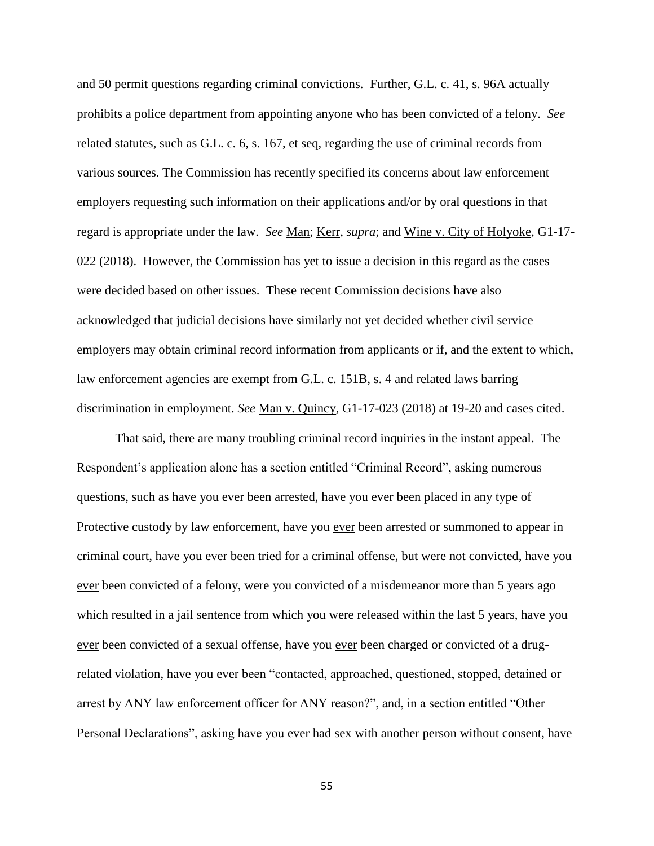and 50 permit questions regarding criminal convictions. Further, G.L. c. 41, s. 96A actually prohibits a police department from appointing anyone who has been convicted of a felony. *See* related statutes, such as G.L. c. 6, s. 167, et seq, regarding the use of criminal records from various sources. The Commission has recently specified its concerns about law enforcement employers requesting such information on their applications and/or by oral questions in that regard is appropriate under the law. *See* Man; Kerr, *supra*; and Wine v. City of Holyoke, G1-17- 022 (2018). However, the Commission has yet to issue a decision in this regard as the cases were decided based on other issues. These recent Commission decisions have also acknowledged that judicial decisions have similarly not yet decided whether civil service employers may obtain criminal record information from applicants or if, and the extent to which, law enforcement agencies are exempt from G.L. c. 151B, s. 4 and related laws barring discrimination in employment. *See* Man v. Quincy, G1-17-023 (2018) at 19-20 and cases cited.

That said, there are many troubling criminal record inquiries in the instant appeal. The Respondent's application alone has a section entitled "Criminal Record", asking numerous questions, such as have you ever been arrested, have you ever been placed in any type of Protective custody by law enforcement, have you ever been arrested or summoned to appear in criminal court, have you ever been tried for a criminal offense, but were not convicted, have you ever been convicted of a felony, were you convicted of a misdemeanor more than 5 years ago which resulted in a jail sentence from which you were released within the last 5 years, have you ever been convicted of a sexual offense, have you ever been charged or convicted of a drugrelated violation, have you ever been "contacted, approached, questioned, stopped, detained or arrest by ANY law enforcement officer for ANY reason?", and, in a section entitled "Other Personal Declarations", asking have you ever had sex with another person without consent, have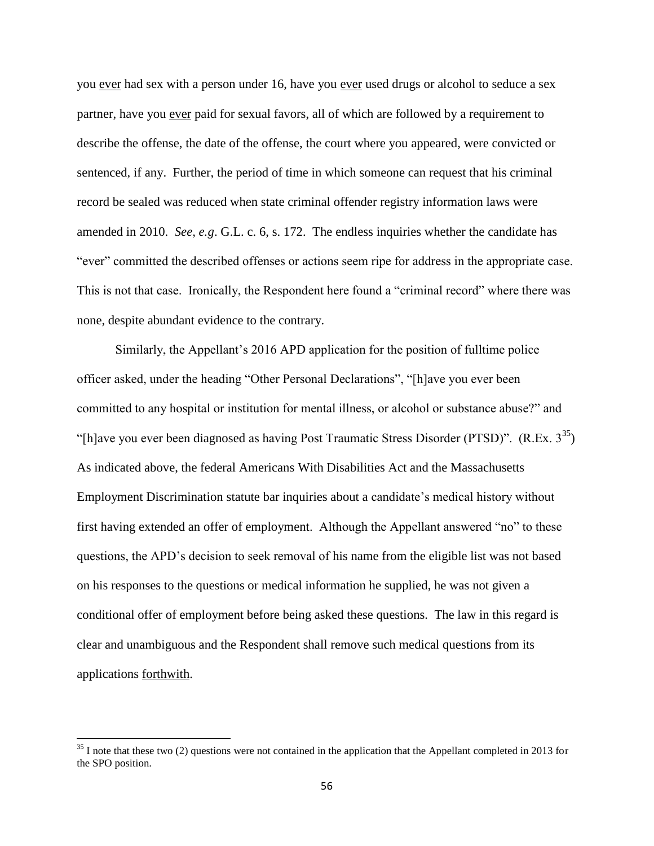you ever had sex with a person under 16, have you ever used drugs or alcohol to seduce a sex partner, have you ever paid for sexual favors, all of which are followed by a requirement to describe the offense, the date of the offense, the court where you appeared, were convicted or sentenced, if any. Further, the period of time in which someone can request that his criminal record be sealed was reduced when state criminal offender registry information laws were amended in 2010. *See, e.g*. G.L. c. 6, s. 172. The endless inquiries whether the candidate has "ever" committed the described offenses or actions seem ripe for address in the appropriate case. This is not that case. Ironically, the Respondent here found a "criminal record" where there was none, despite abundant evidence to the contrary.

Similarly, the Appellant's 2016 APD application for the position of fulltime police officer asked, under the heading "Other Personal Declarations", "[h]ave you ever been committed to any hospital or institution for mental illness, or alcohol or substance abuse?" and "[h]ave you ever been diagnosed as having Post Traumatic Stress Disorder (PTSD)".  $(R.Ex. 3^{35})$ As indicated above, the federal Americans With Disabilities Act and the Massachusetts Employment Discrimination statute bar inquiries about a candidate's medical history without first having extended an offer of employment. Although the Appellant answered "no" to these questions, the APD's decision to seek removal of his name from the eligible list was not based on his responses to the questions or medical information he supplied, he was not given a conditional offer of employment before being asked these questions. The law in this regard is clear and unambiguous and the Respondent shall remove such medical questions from its applications forthwith.

 $35$  I note that these two (2) questions were not contained in the application that the Appellant completed in 2013 for the SPO position.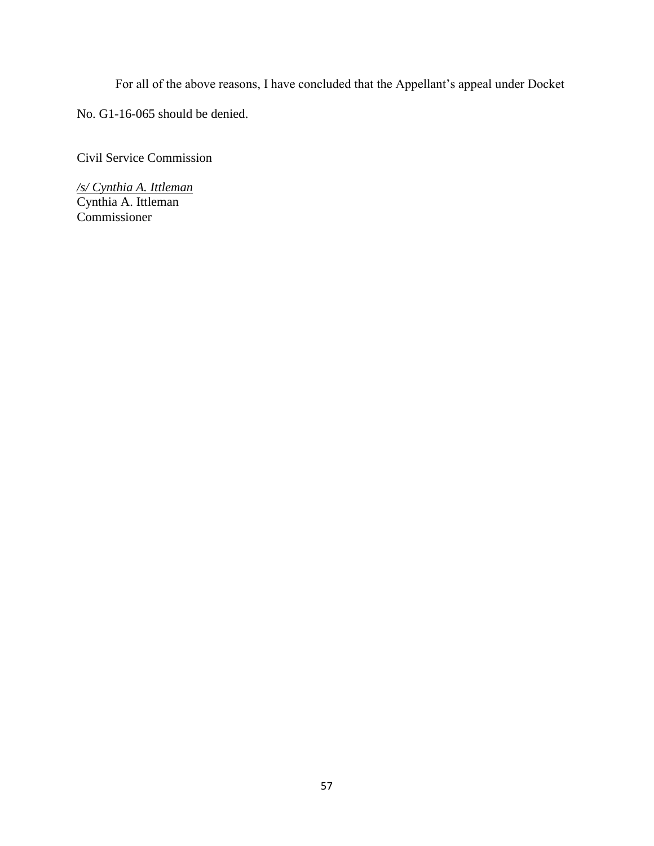For all of the above reasons, I have concluded that the Appellant's appeal under Docket

No. G1-16-065 should be denied.

Civil Service Commission

*/s/ Cynthia A. Ittleman* Cynthia A. Ittleman Commissioner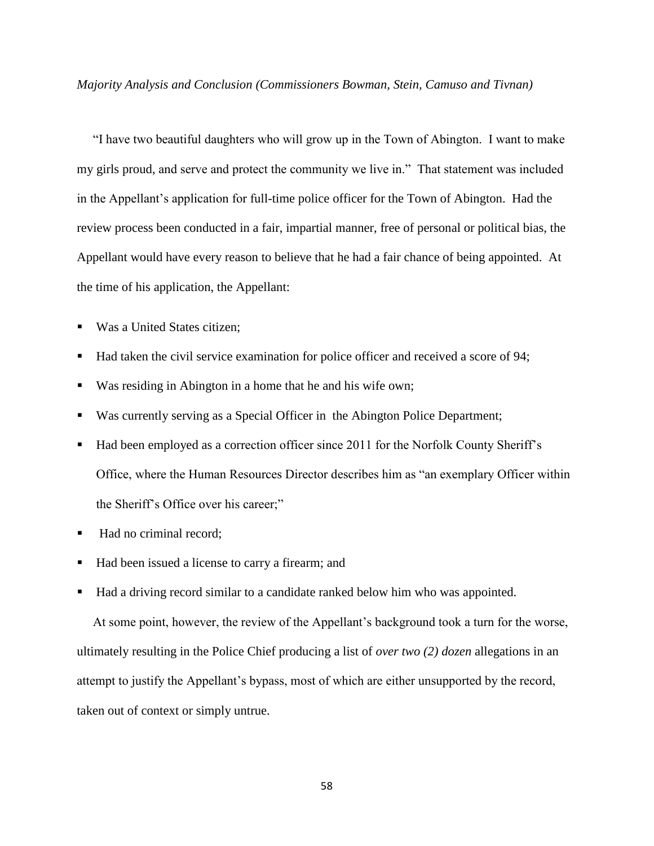*Majority Analysis and Conclusion (Commissioners Bowman, Stein, Camuso and Tivnan)*

 "I have two beautiful daughters who will grow up in the Town of Abington. I want to make my girls proud, and serve and protect the community we live in." That statement was included in the Appellant's application for full-time police officer for the Town of Abington. Had the review process been conducted in a fair, impartial manner, free of personal or political bias, the Appellant would have every reason to believe that he had a fair chance of being appointed. At the time of his application, the Appellant:

- Was a United States citizen;
- Had taken the civil service examination for police officer and received a score of 94;
- Was residing in Abington in a home that he and his wife own;
- Was currently serving as a Special Officer in the Abington Police Department;
- Had been employed as a correction officer since 2011 for the Norfolk County Sheriff's Office, where the Human Resources Director describes him as "an exemplary Officer within the Sheriff's Office over his career;"
- Had no criminal record;
- Had been issued a license to carry a firearm; and
- Had a driving record similar to a candidate ranked below him who was appointed.

 At some point, however, the review of the Appellant's background took a turn for the worse, ultimately resulting in the Police Chief producing a list of *over two (2) dozen* allegations in an attempt to justify the Appellant's bypass, most of which are either unsupported by the record, taken out of context or simply untrue.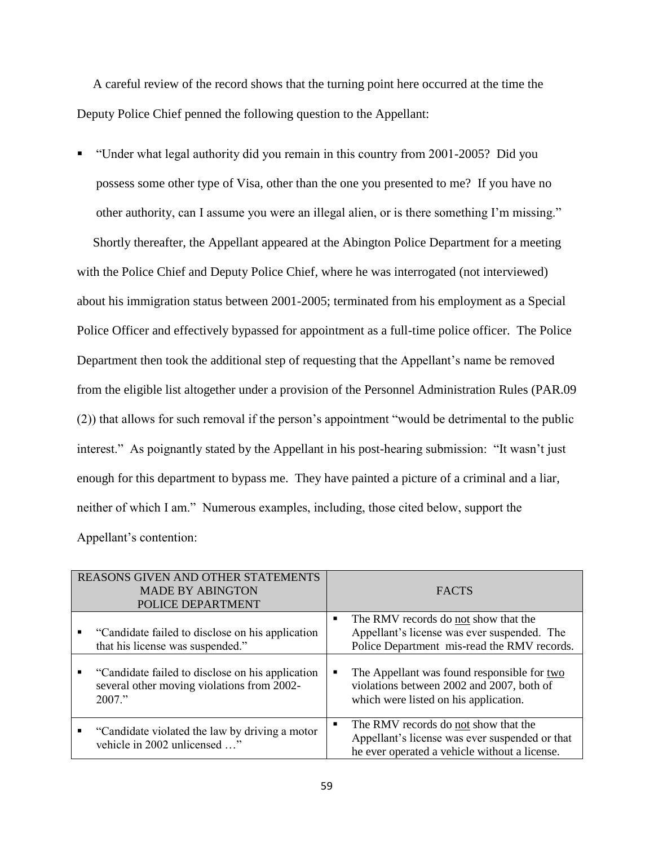A careful review of the record shows that the turning point here occurred at the time the Deputy Police Chief penned the following question to the Appellant:

 "Under what legal authority did you remain in this country from 2001-2005? Did you possess some other type of Visa, other than the one you presented to me? If you have no other authority, can I assume you were an illegal alien, or is there something I'm missing."

 Shortly thereafter, the Appellant appeared at the Abington Police Department for a meeting with the Police Chief and Deputy Police Chief, where he was interrogated (not interviewed) about his immigration status between 2001-2005; terminated from his employment as a Special Police Officer and effectively bypassed for appointment as a full-time police officer. The Police Department then took the additional step of requesting that the Appellant's name be removed from the eligible list altogether under a provision of the Personnel Administration Rules (PAR.09 (2)) that allows for such removal if the person's appointment "would be detrimental to the public interest." As poignantly stated by the Appellant in his post-hearing submission: "It wasn't just enough for this department to bypass me. They have painted a picture of a criminal and a liar, neither of which I am." Numerous examples, including, those cited below, support the Appellant's contention:

| <b>REASONS GIVEN AND OTHER STATEMENTS</b><br><b>MADE BY ABINGTON</b><br>POLICE DEPARTMENT |                                                                                                             |                | <b>FACTS</b>                                                                                                                            |
|-------------------------------------------------------------------------------------------|-------------------------------------------------------------------------------------------------------------|----------------|-----------------------------------------------------------------------------------------------------------------------------------------|
| ٠                                                                                         | "Candidate failed to disclose on his application"<br>that his license was suspended."                       | п              | The RMV records do not show that the<br>Appellant's license was ever suspended. The<br>Police Department mis-read the RMV records.      |
| ٠                                                                                         | "Candidate failed to disclose on his application"<br>several other moving violations from 2002-<br>$2007$ " | Е              | The Appellant was found responsible for two<br>violations between 2002 and 2007, both of<br>which were listed on his application.       |
| п                                                                                         | "Candidate violated the law by driving a motor"<br>vehicle in 2002 unlicensed "                             | $\blacksquare$ | The RMV records do not show that the<br>Appellant's license was ever suspended or that<br>he ever operated a vehicle without a license. |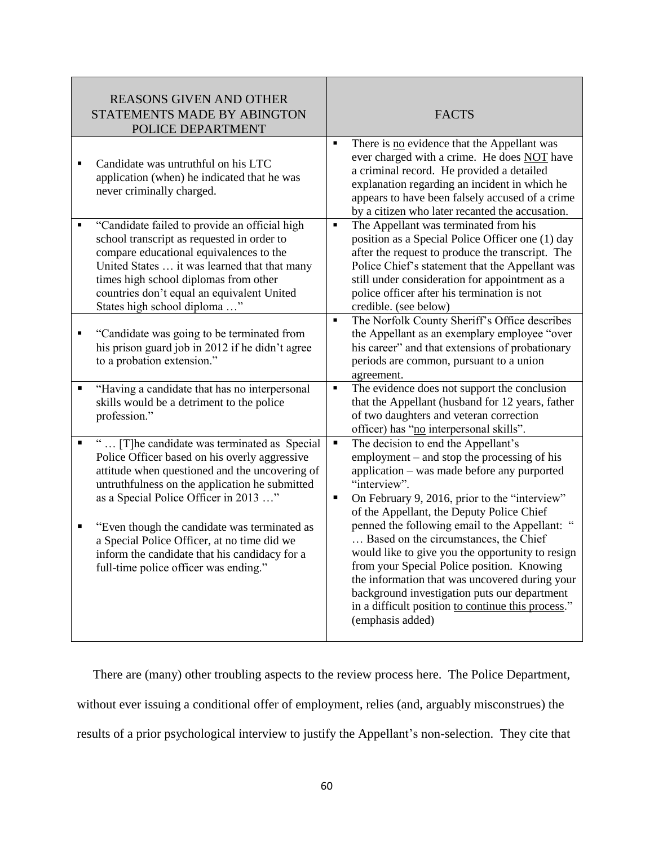| <b>REASONS GIVEN AND OTHER</b><br>STATEMENTS MADE BY ABINGTON<br>POLICE DEPARTMENT                                                                                                                                                                                                                                                                                                                                                                      | <b>FACTS</b>                                                                                                                                                                                                                                                                                                                                                                                                                                                                                                                                                                                                                     |
|---------------------------------------------------------------------------------------------------------------------------------------------------------------------------------------------------------------------------------------------------------------------------------------------------------------------------------------------------------------------------------------------------------------------------------------------------------|----------------------------------------------------------------------------------------------------------------------------------------------------------------------------------------------------------------------------------------------------------------------------------------------------------------------------------------------------------------------------------------------------------------------------------------------------------------------------------------------------------------------------------------------------------------------------------------------------------------------------------|
| Candidate was untruthful on his LTC<br>application (when) he indicated that he was<br>never criminally charged.                                                                                                                                                                                                                                                                                                                                         | There is no evidence that the Appellant was<br>٠<br>ever charged with a crime. He does NOT have<br>a criminal record. He provided a detailed<br>explanation regarding an incident in which he<br>appears to have been falsely accused of a crime<br>by a citizen who later recanted the accusation.                                                                                                                                                                                                                                                                                                                              |
| "Candidate failed to provide an official high<br>٠<br>school transcript as requested in order to<br>compare educational equivalences to the<br>United States  it was learned that that many<br>times high school diplomas from other<br>countries don't equal an equivalent United<br>States high school diploma "                                                                                                                                      | The Appellant was terminated from his<br>٠<br>position as a Special Police Officer one (1) day<br>after the request to produce the transcript. The<br>Police Chief's statement that the Appellant was<br>still under consideration for appointment as a<br>police officer after his termination is not<br>credible. (see below)                                                                                                                                                                                                                                                                                                  |
| "Candidate was going to be terminated from<br>٠<br>his prison guard job in 2012 if he didn't agree<br>to a probation extension."                                                                                                                                                                                                                                                                                                                        | The Norfolk County Sheriff's Office describes<br>×,<br>the Appellant as an exemplary employee "over<br>his career" and that extensions of probationary<br>periods are common, pursuant to a union<br>agreement.                                                                                                                                                                                                                                                                                                                                                                                                                  |
| "Having a candidate that has no interpersonal<br>п<br>skills would be a detriment to the police<br>profession."                                                                                                                                                                                                                                                                                                                                         | The evidence does not support the conclusion<br>٠<br>that the Appellant (husband for 12 years, father<br>of two daughters and veteran correction<br>officer) has "no interpersonal skills".                                                                                                                                                                                                                                                                                                                                                                                                                                      |
| [T]he candidate was terminated as Special<br>$\blacksquare$<br>Police Officer based on his overly aggressive<br>attitude when questioned and the uncovering of<br>untruthfulness on the application he submitted<br>as a Special Police Officer in 2013 "<br>П<br>"Even though the candidate was terminated as<br>a Special Police Officer, at no time did we<br>inform the candidate that his candidacy for a<br>full-time police officer was ending." | Ξ<br>The decision to end the Appellant's<br>employment – and stop the processing of his<br>application – was made before any purported<br>"interview".<br>On February 9, 2016, prior to the "interview"<br>٠<br>of the Appellant, the Deputy Police Chief<br>penned the following email to the Appellant:<br>Based on the circumstances, the Chief<br>would like to give you the opportunity to resign<br>from your Special Police position. Knowing<br>the information that was uncovered during your<br>background investigation puts our department<br>in a difficult position to continue this process."<br>(emphasis added) |

 There are (many) other troubling aspects to the review process here. The Police Department, without ever issuing a conditional offer of employment, relies (and, arguably misconstrues) the results of a prior psychological interview to justify the Appellant's non-selection. They cite that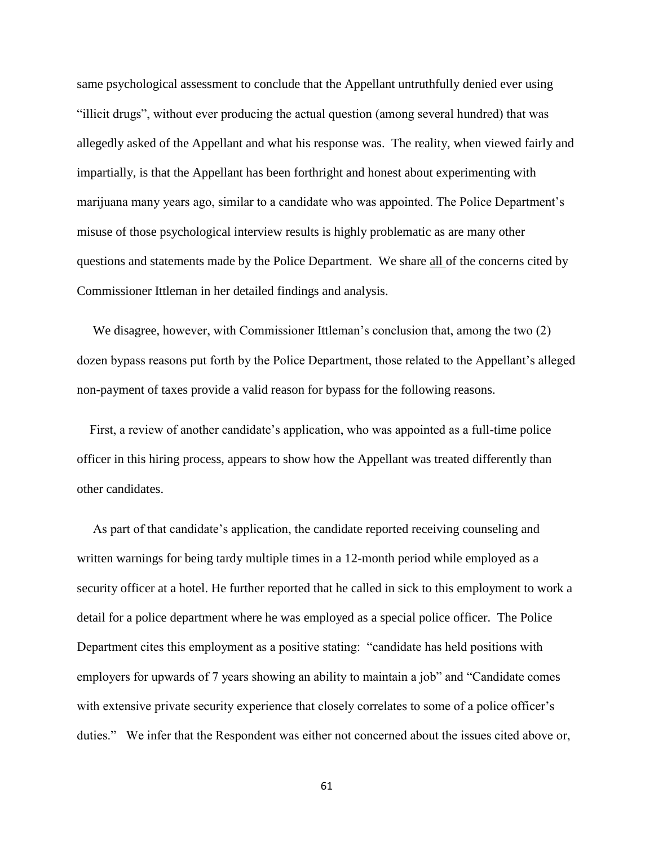same psychological assessment to conclude that the Appellant untruthfully denied ever using "illicit drugs", without ever producing the actual question (among several hundred) that was allegedly asked of the Appellant and what his response was. The reality, when viewed fairly and impartially, is that the Appellant has been forthright and honest about experimenting with marijuana many years ago, similar to a candidate who was appointed. The Police Department's misuse of those psychological interview results is highly problematic as are many other questions and statements made by the Police Department. We share all of the concerns cited by Commissioner Ittleman in her detailed findings and analysis.

 We disagree, however, with Commissioner Ittleman's conclusion that, among the two (2) dozen bypass reasons put forth by the Police Department, those related to the Appellant's alleged non-payment of taxes provide a valid reason for bypass for the following reasons.

 First, a review of another candidate's application, who was appointed as a full-time police officer in this hiring process, appears to show how the Appellant was treated differently than other candidates.

 As part of that candidate's application, the candidate reported receiving counseling and written warnings for being tardy multiple times in a 12-month period while employed as a security officer at a hotel. He further reported that he called in sick to this employment to work a detail for a police department where he was employed as a special police officer. The Police Department cites this employment as a positive stating: "candidate has held positions with employers for upwards of 7 years showing an ability to maintain a job" and "Candidate comes with extensive private security experience that closely correlates to some of a police officer's duties." We infer that the Respondent was either not concerned about the issues cited above or,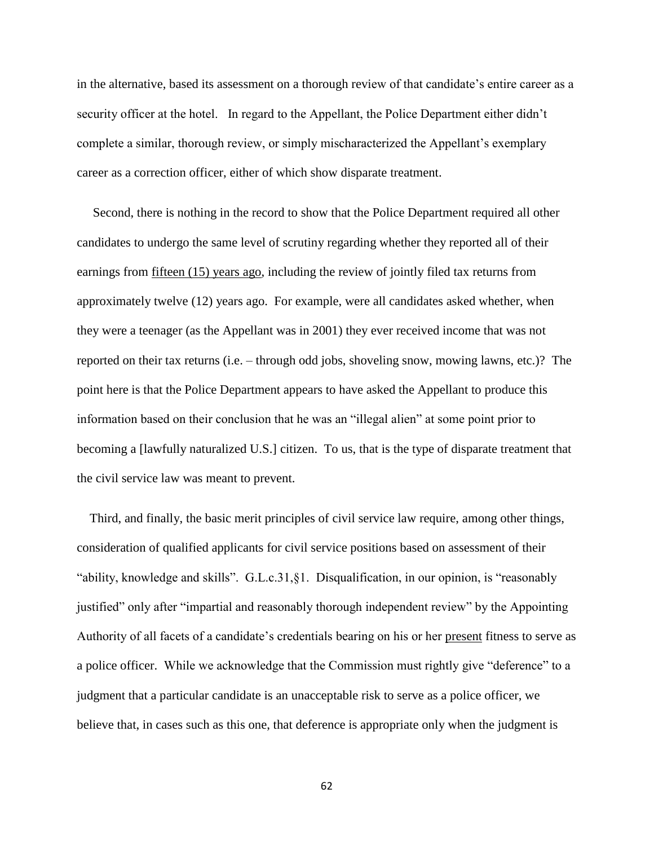in the alternative, based its assessment on a thorough review of that candidate's entire career as a security officer at the hotel. In regard to the Appellant, the Police Department either didn't complete a similar, thorough review, or simply mischaracterized the Appellant's exemplary career as a correction officer, either of which show disparate treatment.

 Second, there is nothing in the record to show that the Police Department required all other candidates to undergo the same level of scrutiny regarding whether they reported all of their earnings from fifteen (15) years ago, including the review of jointly filed tax returns from approximately twelve (12) years ago. For example, were all candidates asked whether, when they were a teenager (as the Appellant was in 2001) they ever received income that was not reported on their tax returns (i.e. – through odd jobs, shoveling snow, mowing lawns, etc.)? The point here is that the Police Department appears to have asked the Appellant to produce this information based on their conclusion that he was an "illegal alien" at some point prior to becoming a [lawfully naturalized U.S.] citizen. To us, that is the type of disparate treatment that the civil service law was meant to prevent.

 Third, and finally, the basic merit principles of civil service law require, among other things, consideration of qualified applicants for civil service positions based on assessment of their "ability, knowledge and skills". G.L.c.31,§1. Disqualification, in our opinion, is "reasonably justified" only after "impartial and reasonably thorough independent review" by the Appointing Authority of all facets of a candidate's credentials bearing on his or her present fitness to serve as a police officer. While we acknowledge that the Commission must rightly give "deference" to a judgment that a particular candidate is an unacceptable risk to serve as a police officer, we believe that, in cases such as this one, that deference is appropriate only when the judgment is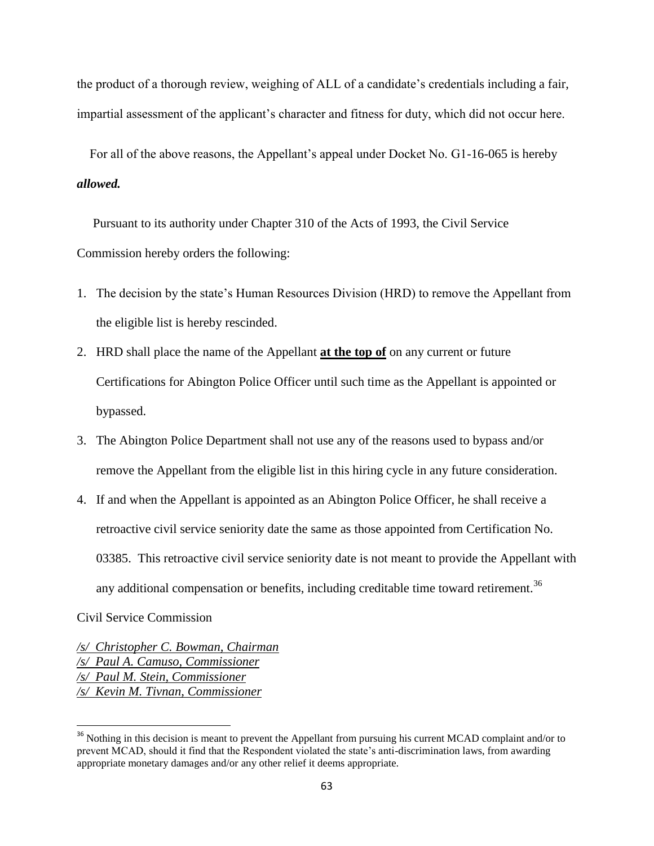the product of a thorough review, weighing of ALL of a candidate's credentials including a fair, impartial assessment of the applicant's character and fitness for duty, which did not occur here.

 For all of the above reasons, the Appellant's appeal under Docket No. G1-16-065 is hereby *allowed.*

 Pursuant to its authority under Chapter 310 of the Acts of 1993, the Civil Service Commission hereby orders the following:

- 1. The decision by the state's Human Resources Division (HRD) to remove the Appellant from the eligible list is hereby rescinded.
- 2. HRD shall place the name of the Appellant **at the top of** on any current or future Certifications for Abington Police Officer until such time as the Appellant is appointed or bypassed.
- 3. The Abington Police Department shall not use any of the reasons used to bypass and/or remove the Appellant from the eligible list in this hiring cycle in any future consideration.
- 4. If and when the Appellant is appointed as an Abington Police Officer, he shall receive a retroactive civil service seniority date the same as those appointed from Certification No. 03385. This retroactive civil service seniority date is not meant to provide the Appellant with any additional compensation or benefits, including creditable time toward retirement.<sup>36</sup>

Civil Service Commission

 $\overline{\phantom{a}}$ 

*/s/ Christopher C. Bowman, Chairman /s/ Paul A. Camuso, Commissioner /s/ Paul M. Stein, Commissioner /s/ Kevin M. Tivnan, Commissioner*

<sup>&</sup>lt;sup>36</sup> Nothing in this decision is meant to prevent the Appellant from pursuing his current MCAD complaint and/or to prevent MCAD, should it find that the Respondent violated the state's anti-discrimination laws, from awarding appropriate monetary damages and/or any other relief it deems appropriate.